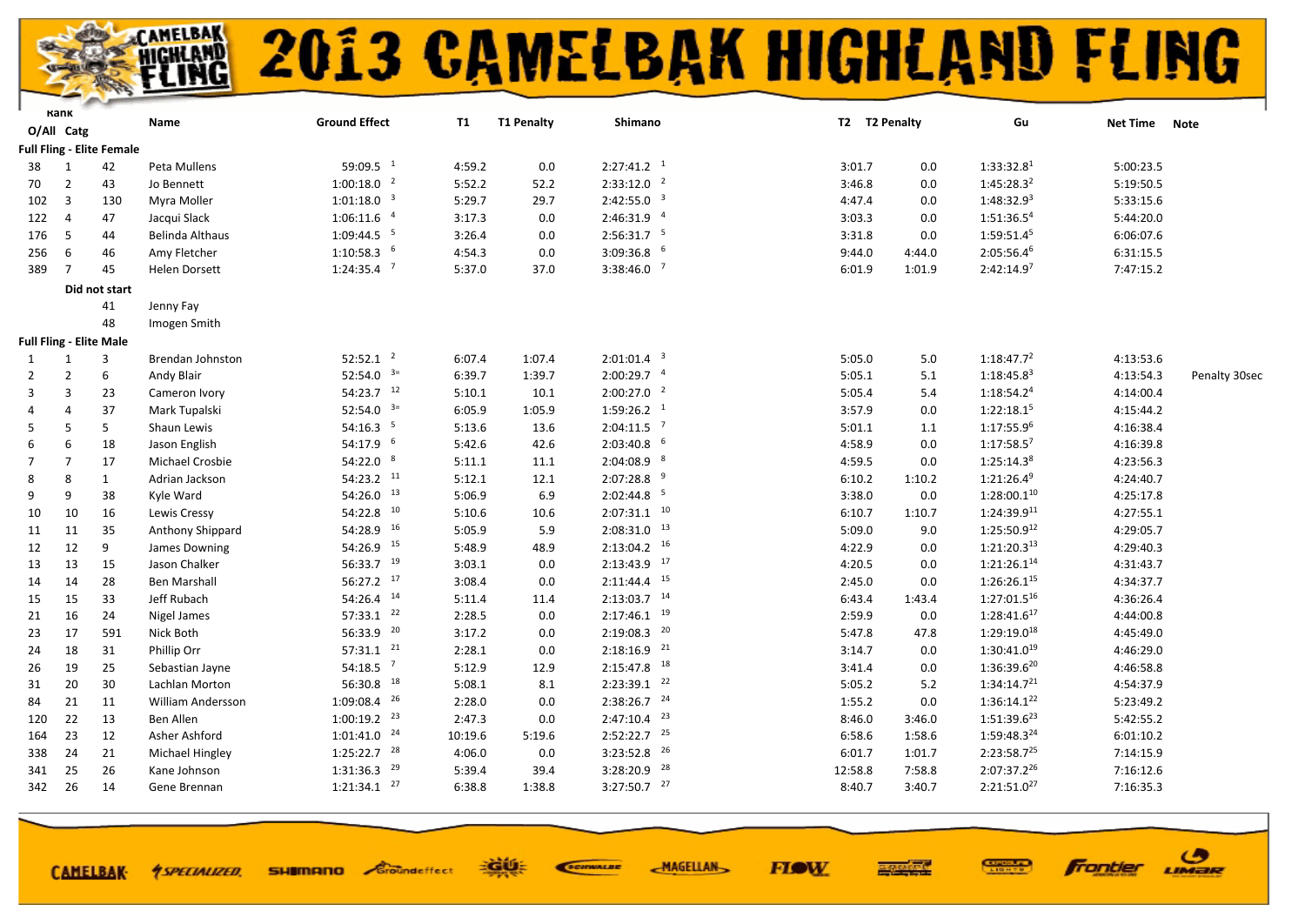

**FIOW** 

ි

LIMER

**frontier** 

|                | Kank            |                                  | Name                     | <b>Ground Effect</b>      | <b>T1</b> | <b>T1 Penalty</b> | Shimano                   | T2 T2 Penalty |         | Gu                      | Net Time Note |               |
|----------------|-----------------|----------------------------------|--------------------------|---------------------------|-----------|-------------------|---------------------------|---------------|---------|-------------------------|---------------|---------------|
|                | O/All Catg      |                                  |                          |                           |           |                   |                           |               |         |                         |               |               |
|                |                 | <b>Full Fling - Elite Female</b> |                          |                           |           |                   |                           |               |         |                         |               |               |
| 38             | 1               | 42                               | Peta Mullens             | 59:09.5 $1$               | 4:59.2    | 0.0               | $2:27:41.2$ <sup>1</sup>  | 3:01.7        | 0.0     | 1:33:32.8 <sup>1</sup>  | 5:00:23.5     |               |
| 70             | $\overline{2}$  | 43                               | Jo Bennett               | $1:00:18.0$ <sup>2</sup>  | 5:52.2    | 52.2              | $2:33:12.0$ <sup>2</sup>  | 3:46.8        | 0.0     | 1:45:28.3 <sup>2</sup>  | 5:19:50.5     |               |
| 102            | $\overline{3}$  | 130                              | Myra Moller              | $1:01:18.0$ <sup>3</sup>  | 5:29.7    | 29.7              | $2:42:55.0$ <sup>3</sup>  | 4:47.4        | 0.0     | 1:48:32.9 <sup>3</sup>  | 5:33:15.6     |               |
| 122            | $\overline{4}$  | 47                               | Jacqui Slack             | $1:06:11.6$ <sup>4</sup>  | 3:17.3    | 0.0               | 2:46:31.9 4               | 3:03.3        | 0.0     | 1:51:36.54              | 5:44:20.0     |               |
| 176            | 5               | 44                               | Belinda Althaus          | $1:09:44.5$ <sup>5</sup>  | 3:26.4    | 0.0               | $2:56:31.7$ <sup>5</sup>  | 3:31.8        | 0.0     | 1:59:51.45              | 6:06:07.6     |               |
| 256            | 6               | 46                               | Amy Fletcher             | $1:10:58.3$ 6             | 4:54.3    | 0.0               | $3:09:36.8$ 6             | 9:44.0        | 4:44.0  | $2:05:56.4^6$           | 6:31:15.5     |               |
| 389            | $7\overline{ }$ | 45                               | <b>Helen Dorsett</b>     | $1:24:35.4$ <sup>7</sup>  | 5:37.0    | 37.0              | $3:38:46.0$ <sup>7</sup>  | 6:01.9        | 1:01.9  | 2:42:14.9 <sup>7</sup>  | 7:47:15.2     |               |
|                |                 | Did not start                    |                          |                           |           |                   |                           |               |         |                         |               |               |
|                |                 | 41                               | Jenny Fay                |                           |           |                   |                           |               |         |                         |               |               |
|                |                 | 48                               | Imogen Smith             |                           |           |                   |                           |               |         |                         |               |               |
|                |                 | <b>Full Fling - Elite Male</b>   |                          |                           |           |                   |                           |               |         |                         |               |               |
| 1              | 1               | 3                                | Brendan Johnston         | $52:52.1$ <sup>2</sup>    | 6:07.4    | 1:07.4            | $2:01:01.4$ <sup>3</sup>  | 5:05.0        | 5.0     | 1:18:47.7 <sup>2</sup>  | 4:13:53.6     |               |
| $\overline{2}$ | $\overline{2}$  | 6                                | Andy Blair               | 52:54.0 $3=$              | 6:39.7    | 1:39.7            | $2:00:29.7$ $4$           | 5:05.1        | 5.1     | $1:18:45.8^3$           | 4:13:54.3     | Penalty 30sec |
| 3              | 3               | 23                               | Cameron Ivory            | 54:23.7 12                | 5:10.1    | 10.1              | $2:00:27.0$ <sup>2</sup>  | 5:05.4        | 5.4     | $1:18:54.2^4$           | 4:14:00.4     |               |
| 4              | $\Delta$        | 37                               | Mark Tupalski            | 52:54.0 $3=$              | 6:05.9    | 1:05.9            | $1:59:26.2$ <sup>1</sup>  | 3:57.9        | 0.0     | 1:22:18.15              | 4:15:44.2     |               |
| 5              | 5               | 5                                | Shaun Lewis              | 54:16.3 <sup>5</sup>      | 5:13.6    | 13.6              | $2:04:11.5$ <sup>7</sup>  | 5:01.1        | 1.1     | $1:17:55.9^6$           | 4:16:38.4     |               |
| 6              | 6               | 18                               | Jason English            | 54:17.9 6                 | 5:42.6    | 42.6              | $2:03:40.8$ 6             | 4:58.9        | 0.0     | $1:17:58.5^7$           | 4:16:39.8     |               |
| $\overline{7}$ | $\overline{7}$  | 17                               | Michael Crosbie          | 54:22.0 8                 | 5:11.1    | 11.1              | $2:04:08.9$ <sup>8</sup>  | 4:59.5        | 0.0     | 1:25:14.3 <sup>8</sup>  | 4:23:56.3     |               |
| 8              | 8               | $\mathbf{1}$                     | Adrian Jackson           | 54:23.2 11                | 5:12.1    | 12.1              | $2:07:28.8$ <sup>9</sup>  | 6:10.2        | 1:10.2  | $1:21:26.4^9$           | 4:24:40.7     |               |
| 9              | q               | 38                               | Kyle Ward                | $54:26.0$ $^{13}$         | 5:06.9    | 6.9               | $2:02:44.8$ <sup>5</sup>  | 3:38.0        | $0.0\,$ | $1:28:00.1^{10}$        | 4:25:17.8     |               |
| 10             | 10              | 16                               | Lewis Cressy             | 54:22.8 10                | 5:10.6    | 10.6              | $2:07:31.1$ $10$          | 6:10.7        | 1:10.7  | $1:24:39.9^{11}$        | 4:27:55.1     |               |
| 11             | 11              | 35                               | Anthony Shippard         | 54:28.9 16                | 5:05.9    | 5.9               | $2:08:31.0$ $13$          | 5:09.0        | 9.0     | $1:25:50.9^{12}$        | 4:29:05.7     |               |
| 12             | 12              | 9                                | James Downing            | 54:26.9 15                | 5:48.9    | 48.9              | $2:13:04.2$ 16            | 4:22.9        | 0.0     | 1:21:20.3 <sup>13</sup> | 4:29:40.3     |               |
| 13             | 13              | 15                               | Jason Chalker            | 56:33.7 19                | 3:03.1    | 0.0               | $2:13:43.9$ <sup>17</sup> | 4:20.5        | 0.0     | $1:21:26.1^{14}$        | 4:31:43.7     |               |
| 14             | 14              | 28                               | <b>Ben Marshall</b>      | 56:27.2 17                | 3:08.4    | 0.0               | $2:11:44.4$ <sup>15</sup> | 2:45.0        | 0.0     | $1:26:26.1^{15}$        | 4:34:37.7     |               |
| 15             | 15              | 33                               | Jeff Rubach              | 54:26.4 14                | 5:11.4    | 11.4              | $2:13:03.7$ <sup>14</sup> | 6:43.4        | 1:43.4  | $1:27:01.5^{16}$        | 4:36:26.4     |               |
| 21             | 16              | 24                               | Nigel James              | $57:33.1$ $22$            | 2:28.5    | 0.0               | $2:17:46.1$ <sup>19</sup> | 2:59.9        | 0.0     | $1:28:41.6^{17}$        | 4:44:00.8     |               |
| 23             | 17              | 591                              | Nick Both                | 56:33.9 20                | 3:17.2    | 0.0               | $2:19:08.3$ <sup>20</sup> | 5:47.8        | 47.8    | $1:29:19.0^{18}$        | 4:45:49.0     |               |
| 24             | 18              | 31                               | Phillip Orr              | $57:31.1$ $^{21}$         | 2:28.1    | 0.0               | $2:18:16.9$ <sup>21</sup> | 3:14.7        | 0.0     | $1:30:41.0^{19}$        | 4:46:29.0     |               |
| 26             | 19              | 25                               | Sebastian Jayne          | $54:18.5$ <sup>7</sup>    | 5:12.9    | 12.9              | $2:15:47.8$ <sup>18</sup> | 3:41.4        | 0.0     | $1:36:39.6^{20}$        | 4:46:58.8     |               |
| 31             | 20              | 30                               | Lachlan Morton           | 56:30.8 18                | 5:08.1    | 8.1               | $2:23:39.1$ $22$          | 5:05.2        | 5.2     | $1:34:14.7^{21}$        | 4:54:37.9     |               |
| 84             | 21              | 11                               | <b>William Andersson</b> | $1:09:08.4$ <sup>26</sup> | 2:28.0    | 0.0               | $2:38:26.7$ <sup>24</sup> | 1:55.2        | 0.0     | $1:36:14.1^{22}$        | 5:23:49.2     |               |
| 120            | 22              | 13                               | Ben Allen                | $1:00:19.2$ <sup>23</sup> | 2:47.3    | 0.0               | $2:47:10.4$ $23$          | 8:46.0        | 3:46.0  | $1:51:39.6^{23}$        | 5:42:55.2     |               |
| 164            | 23              | 12                               | Asher Ashford            | $1:01:41.0$ $^{24}$       | 10:19.6   | 5:19.6            | $2:52:22.7$ $25$          | 6:58.6        | 1:58.6  | 1:59:48.324             | 6:01:10.2     |               |
| 338            | 24              | 21                               | <b>Michael Hingley</b>   | $1:25:22.7$ $28$          | 4:06.0    | 0.0               | $3:23:52.8$ $^{26}$       | 6:01.7        | 1:01.7  | $2:23:58.7^{25}$        | 7:14:15.9     |               |
| 341            | 25              | 26                               | Kane Johnson             | $1:31:36.3$ <sup>29</sup> | 5:39.4    | 39.4              | $3:28:20.9$ $28$          | 12:58.8       | 7:58.8  | 2:07:37.2 <sup>26</sup> | 7:16:12.6     |               |
| 342            | 26              | 14                               | Gene Brennan             | $1:21:34.1$ $27$          | 6:38.8    | 1:38.8            | $3:27:50.7$ $27$          | 8:40.7        | 3:40.7  | $2:21:51.0^{27}$        | 7:16:35.3     |               |
|                |                 |                                  |                          |                           |           |                   |                           |               |         |                         |               |               |

∹čÚ÷

**SHIMANO** Sroundeffect

SCIENALDE

**MAGELLAN** 

**CAMELBAK-**

**4 SPECIALIZED.**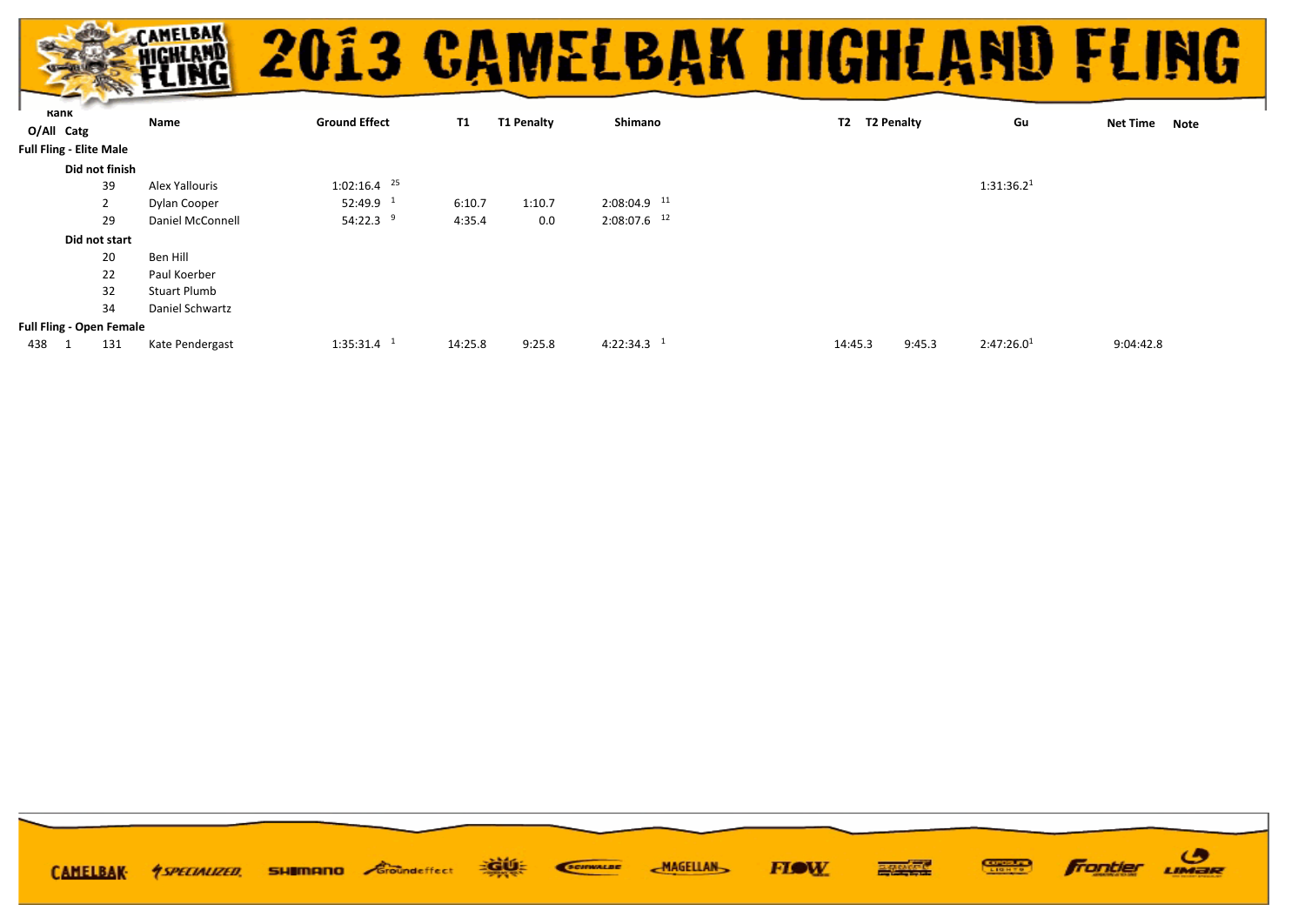|  | <b>EXAMPLE 2013 CAMELBAK HIGHLAND FLING</b> |  |
|--|---------------------------------------------|--|
|  |                                             |  |

|            |                                 | Name                | <b>Ground Effect</b>      | <b>T1</b> | <b>T1 Penalty</b> | Shimano                   | T2 T2 Penalty | Gu                               | <b>Net Time</b> |      |
|------------|---------------------------------|---------------------|---------------------------|-----------|-------------------|---------------------------|---------------|----------------------------------|-----------------|------|
| O/All Catg |                                 |                     |                           |           |                   |                           |               |                                  |                 | Note |
|            | <b>Full Fling - Elite Male</b>  |                     |                           |           |                   |                           |               |                                  |                 |      |
|            | Did not finish                  |                     |                           |           |                   |                           |               |                                  |                 |      |
|            | 39                              | Alex Yallouris      | $1:02:16.4$ <sup>25</sup> |           |                   |                           |               | 1:31:36.2 <sup>1</sup>           |                 |      |
|            | 2                               | Dylan Cooper        | $52:49.9$ <sup>1</sup>    | 6:10.7    | 1:10.7            | $2:08:04.9$ <sup>11</sup> |               |                                  |                 |      |
|            | 29                              | Daniel McConnell    | 54:22.3 $9$               | 4:35.4    | 0.0               | $2:08:07.6$ <sup>12</sup> |               |                                  |                 |      |
|            | Did not start                   |                     |                           |           |                   |                           |               |                                  |                 |      |
|            | 20                              | Ben Hill            |                           |           |                   |                           |               |                                  |                 |      |
|            | 22                              | Paul Koerber        |                           |           |                   |                           |               |                                  |                 |      |
|            | 32                              | <b>Stuart Plumb</b> |                           |           |                   |                           |               |                                  |                 |      |
|            | 34                              | Daniel Schwartz     |                           |           |                   |                           |               |                                  |                 |      |
|            | <b>Full Fling - Open Female</b> |                     |                           |           |                   |                           |               |                                  |                 |      |
| 438        | 131                             | Kate Pendergast     | $1:35:31.4$ <sup>1</sup>  | 14:25.8   | 9:25.8            | $4:22:34.3$ <sup>1</sup>  | 14:45.3       | 2:47:26.0 <sup>1</sup><br>9:45.3 | 9:04:42.8       |      |
|            |                                 |                     |                           |           |                   |                           |               |                                  |                 |      |

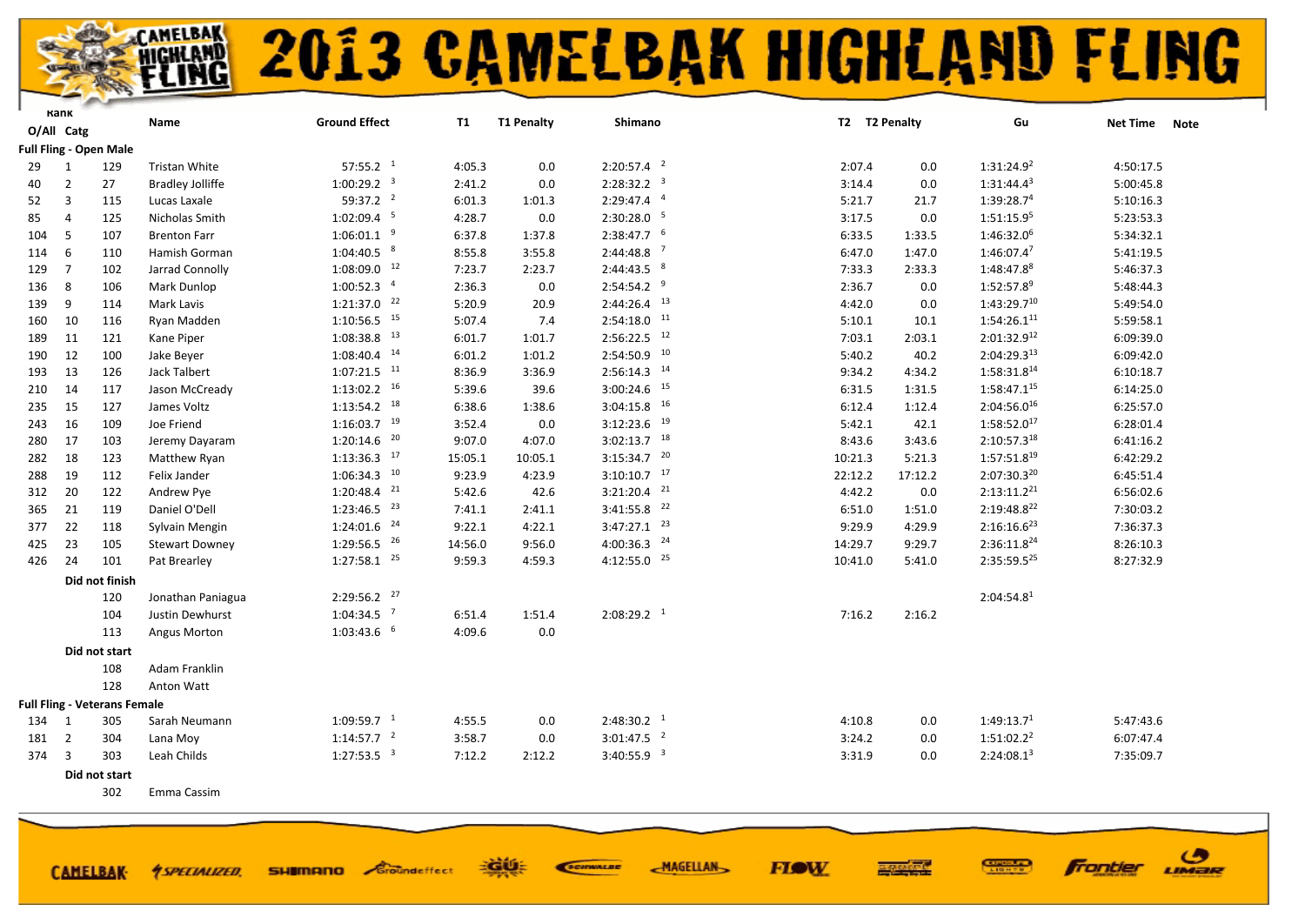

ි

LIMER

**Frontier** 

|       | Kank           |                                     |                         | <b>Ground Effect</b>      |         | <b>T1 Penalty</b> | Shimano                   | T2 T2 Penalty |         | Gu                      |                         |
|-------|----------------|-------------------------------------|-------------------------|---------------------------|---------|-------------------|---------------------------|---------------|---------|-------------------------|-------------------------|
|       | O/All Catg     |                                     | Name                    |                           | T1      |                   |                           |               |         |                         | <b>Net Time</b><br>Note |
|       |                | <b>Full Fling - Open Male</b>       |                         |                           |         |                   |                           |               |         |                         |                         |
| 29    | 1              | 129                                 | Tristan White           | $57:55.2-1$               | 4:05.3  | 0.0               | $2:20:57.4$ <sup>2</sup>  | 2:07.4        | 0.0     | 1:31:24.9 <sup>2</sup>  | 4:50:17.5               |
| 40    | $\overline{2}$ | 27                                  | <b>Bradley Jolliffe</b> | $1:00:29.2$ <sup>3</sup>  | 2:41.2  | 0.0               | 2:28:32.2 <sup>3</sup>    | 3:14.4        | 0.0     | $1:31:44.4^3$           | 5:00:45.8               |
| 52    | 3              | 115                                 | Lucas Laxale            | $59:37.2$ <sup>2</sup>    | 6:01.3  | 1:01.3            | $2:29:47.4$ <sup>4</sup>  | 5:21.7        | 21.7    | 1:39:28.7 <sup>4</sup>  | 5:10:16.3               |
| 85    | $\overline{4}$ | 125                                 | Nicholas Smith          | $1:02:09.4$ <sup>5</sup>  | 4:28.7  | 0.0               | 2:30:28.0 5               | 3:17.5        | 0.0     | 1:51:15.95              | 5:23:53.3               |
| 104   | 5              | 107                                 | <b>Brenton Farr</b>     | $1:06:01.1$ <sup>9</sup>  | 6:37.8  | 1:37.8            | $2:38:47.7$ 6             | 6:33.5        | 1:33.5  | 1:46:32.0 <sup>6</sup>  | 5:34:32.1               |
| 114   | 6              | 110                                 | Hamish Gorman           | $1:04:40.5$ $8$           | 8:55.8  | 3:55.8            | $2:44:48.8$ <sup>7</sup>  | 6:47.0        | 1:47.0  | 1:46:07.47              | 5:41:19.5               |
| 129   | $\overline{7}$ | 102                                 | Jarrad Connolly         | $1:08:09.0$ <sup>12</sup> | 7:23.7  | 2:23.7            | $2:44:43.5$ $8$           | 7:33.3        | 2:33.3  | 1:48:47.88              | 5:46:37.3               |
| 136   | 8              | 106                                 | Mark Dunlop             | $1:00:52.3$ $4$           | 2:36.3  | 0.0               | $2:54:54.2$ <sup>9</sup>  | 2:36.7        | 0.0     | 1:52:57.89              | 5:48:44.3               |
| 139   | 9              | 114                                 | Mark Lavis              | $1:21:37.0$ $22$          | 5:20.9  | 20.9              | $2:44:26.4$ <sup>13</sup> | 4:42.0        | 0.0     | $1:43:29.7^{10}$        | 5:49:54.0               |
| 160   | 10             | 116                                 | Ryan Madden             | $1:10:56.5$ <sup>15</sup> | 5:07.4  | 7.4               | $2:54:18.0$ <sup>11</sup> | 5:10.1        | 10.1    | $1:54:26.1^{11}$        | 5:59:58.1               |
| 189   | 11             | 121                                 | Kane Piper              | $1:08:38.8$ <sup>13</sup> | 6:01.7  | 1:01.7            | $2:56:22.5$ <sup>12</sup> | 7:03.1        | 2:03.1  | 2:01:32.912             | 6:09:39.0               |
| 190   | 12             | 100                                 | Jake Beyer              | $1:08:40.4$ <sup>14</sup> | 6:01.2  | 1:01.2            | $2:54:50.9$ $10$          | 5:40.2        | 40.2    | $2:04:29.3^{13}$        | 6:09:42.0               |
| 193   | 13             | 126                                 | Jack Talbert            | $1:07:21.5$ <sup>11</sup> | 8:36.9  | 3:36.9            | $2:56:14.3$ <sup>14</sup> | 9:34.2        | 4:34.2  | 1:58:31.8 <sup>14</sup> | 6:10:18.7               |
| 210   | 14             | 117                                 | Jason McCready          | $1:13:02.2$ <sup>16</sup> | 5:39.6  | 39.6              | $3:00:24.6$ <sup>15</sup> | 6:31.5        | 1:31.5  | $1:58:47.1^{15}$        | 6:14:25.0               |
| 235   | 15             | 127                                 | James Voltz             | $1:13:54.2$ <sup>18</sup> | 6:38.6  | 1:38.6            | $3:04:15.8$ <sup>16</sup> | 6:12.4        | 1:12.4  | 2:04:56.016             | 6:25:57.0               |
| 243   | 16             | 109                                 | Joe Friend              | $1:16:03.7$ <sup>19</sup> | 3:52.4  | 0.0               | $3:12:23.6$ <sup>19</sup> | 5:42.1        | 42.1    | $1:58:52.0^{17}$        | 6:28:01.4               |
| 280   | 17             | 103                                 | Jeremy Dayaram          | $1:20:14.6$ <sup>20</sup> | 9:07.0  | 4:07.0            | $3:02:13.7$ 18            | 8:43.6        | 3:43.6  | 2:10:57.318             | 6:41:16.2               |
| 282   | 18             | 123                                 | Matthew Ryan            | $1:13:36.3$ <sup>17</sup> | 15:05.1 | 10:05.1           | $3:15:34.7$ <sup>20</sup> | 10:21.3       | 5:21.3  | $1:57:51.8^{19}$        | 6:42:29.2               |
| 288   | 19             | 112                                 | Felix Jander            | $1:06:34.3$ $10$          | 9:23.9  | 4:23.9            | $3:10:10.7$ 17            | 22:12.2       | 17:12.2 | 2:07:30.320             | 6:45:51.4               |
| 312   | 20             | 122                                 | Andrew Pye              | $1:20:48.4$ <sup>21</sup> | 5:42.6  | 42.6              | $3:21:20.4$ <sup>21</sup> | 4:42.2        | 0.0     | $2:13:11.2^{21}$        | 6:56:02.6               |
| 365   | 21             | 119                                 | Daniel O'Dell           | $1:23:46.5$ <sup>23</sup> | 7:41.1  | 2:41.1            | $3:41:55.8$ <sup>22</sup> | 6:51.0        | 1:51.0  | 2:19:48.822             | 7:30:03.2               |
| 377   | 22             | 118                                 | Sylvain Mengin          | $1:24:01.6$ <sup>24</sup> | 9:22.1  | 4:22.1            | $3:47:27.1$ <sup>23</sup> | 9:29.9        | 4:29.9  | $2:16:16.6^{23}$        | 7:36:37.3               |
| 425   | 23             | 105                                 | <b>Stewart Downey</b>   | $1:29:56.5$ <sup>26</sup> | 14:56.0 | 9:56.0            | $4:00:36.3$ $^{24}$       | 14:29.7       | 9:29.7  | 2:36:11.8 <sup>24</sup> | 8:26:10.3               |
| 426   | 24             | 101                                 | Pat Brearley            | $1:27:58.1$ <sup>25</sup> | 9:59.3  | 4:59.3            | $4:12:55.0$ $25$          | 10:41.0       | 5:41.0  | $2:35:59.5^{25}$        | 8:27:32.9               |
|       |                | Did not finish                      |                         |                           |         |                   |                           |               |         |                         |                         |
|       |                | 120                                 | Jonathan Paniagua       | $2:29:56.2$ $^{27}$       |         |                   |                           |               |         | 2:04:54.8 <sup>1</sup>  |                         |
|       |                | 104                                 | Justin Dewhurst         | $1:04:34.5$ <sup>7</sup>  | 6:51.4  | 1:51.4            | $2:08:29.2$ <sup>1</sup>  | 7:16.2        | 2:16.2  |                         |                         |
|       |                | 113                                 | Angus Morton            | $1:03:43.6$ 6             | 4:09.6  | 0.0               |                           |               |         |                         |                         |
|       |                | Did not start                       |                         |                           |         |                   |                           |               |         |                         |                         |
|       |                | 108                                 | Adam Franklin           |                           |         |                   |                           |               |         |                         |                         |
|       |                | 128                                 | Anton Watt              |                           |         |                   |                           |               |         |                         |                         |
|       |                | <b>Full Fling - Veterans Female</b> |                         |                           |         |                   |                           |               |         |                         |                         |
| 134   | $\overline{1}$ | 305                                 | Sarah Neumann           | $1:09:59.7$ <sup>1</sup>  | 4:55.5  | 0.0               | $2:48:30.2-1$             | 4:10.8        | 0.0     | 1:49:13.7 <sup>1</sup>  | 5:47:43.6               |
| 181   | $\overline{2}$ | 304                                 | Lana Moy                | 1:14:57.7 <sup>2</sup>    | 3:58.7  | 0.0               | $3:01:47.5$ <sup>2</sup>  | 3:24.2        | 0.0     | $1:51:02.2^2$           | 6:07:47.4               |
| 374 3 |                | 303                                 | Leah Childs             | $1:27:53.5$ <sup>3</sup>  | 7:12.2  | 2:12.2            | 3:40:55.9 <sup>3</sup>    | 3:31.9        | 0.0     | 2:24:08.1 <sup>3</sup>  | 7:35:09.7               |
|       |                | Did not start                       |                         |                           |         |                   |                           |               |         |                         |                         |
|       |                |                                     |                         |                           |         |                   |                           |               |         |                         |                         |

EGUE

**SHIMANO** Groundeffect

SCIENALDE

**MAGELLAN** 

**FIGW** 

Emma Cassim

*<u>ASPECIALIZED.</u>* 

**CAMELBAK-**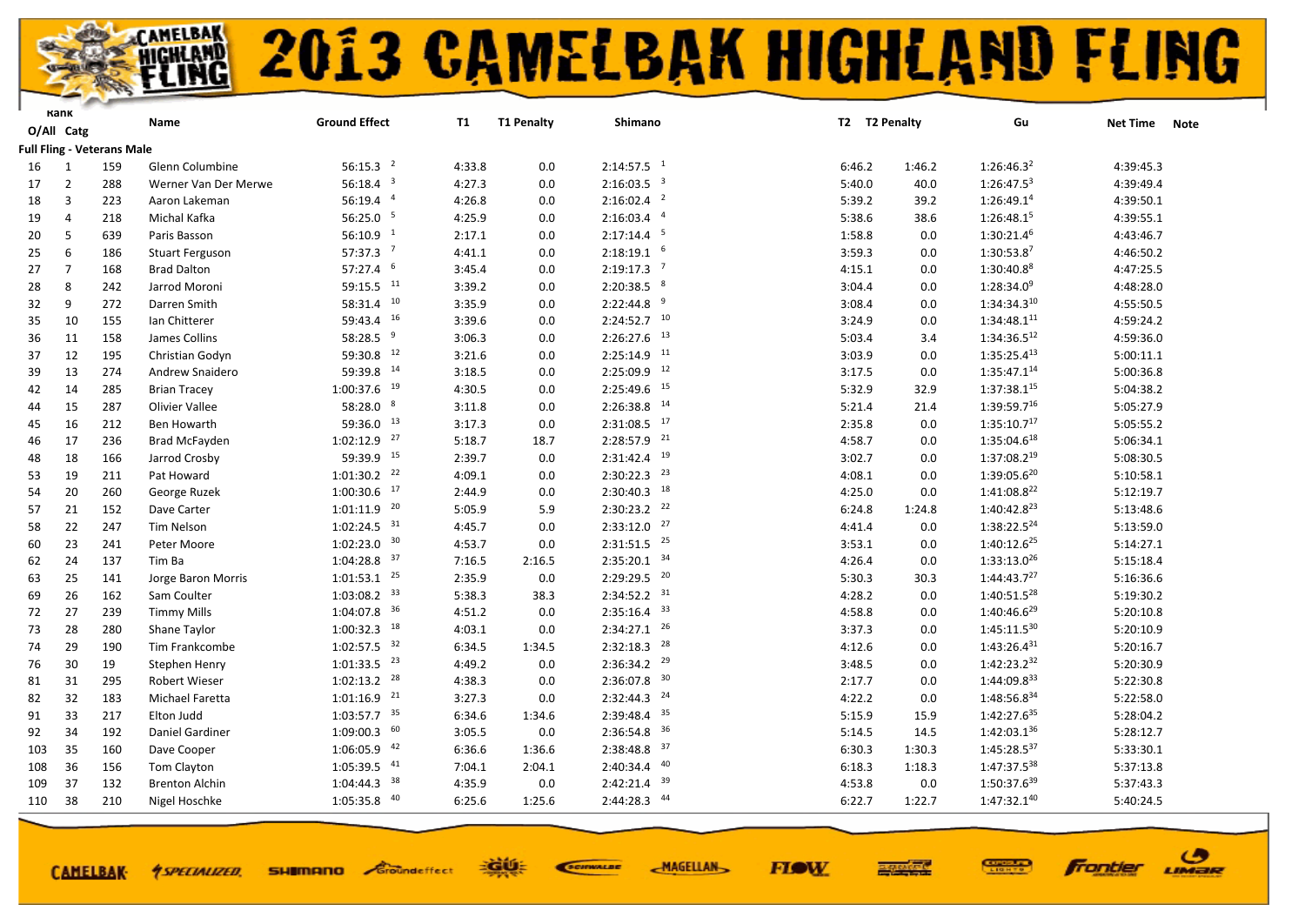

**CAMELBAK-**

*<u>ASPECIALIZED.</u>* 

## **2013 CAMELBAK HIGHLAND FLING**

**FIOW** 

ဖ

LIMER

Frantier

|     | Kank           |                                   | Name                   | <b>Ground Effect</b>      | <b>T1</b> | <b>T1 Penalty</b> | Shimano                   |        | T2 T2 Penalty | Gu                      | <b>Net Time</b> | <b>Note</b> |
|-----|----------------|-----------------------------------|------------------------|---------------------------|-----------|-------------------|---------------------------|--------|---------------|-------------------------|-----------------|-------------|
|     | O/All Catg     |                                   |                        |                           |           |                   |                           |        |               |                         |                 |             |
|     |                | <b>Full Fling - Veterans Male</b> |                        |                           |           |                   |                           |        |               |                         |                 |             |
| 16  | 1              | 159                               | Glenn Columbine        | 56:15.3 <sup>2</sup>      | 4:33.8    | 0.0               | $2:14:57.5$ <sup>1</sup>  | 6:46.2 | 1:46.2        | 1:26:46.3 <sup>2</sup>  | 4:39:45.3       |             |
| 17  | $\overline{2}$ | 288                               | Werner Van Der Merwe   | 56:18.4 $3$               | 4:27.3    | 0.0               | $2:16:03.5$ <sup>3</sup>  | 5:40.0 | 40.0          | $1:26:47.5^3$           | 4:39:49.4       |             |
| 18  | 3              | 223                               | Aaron Lakeman          | 56:19.4 4                 | 4:26.8    | 0.0               | $2:16:02.4$ <sup>2</sup>  | 5:39.2 | 39.2          | 1:26:49.1 <sup>4</sup>  | 4:39:50.1       |             |
| 19  | Δ              | 218                               | Michal Kafka           | 56:25.0 <sup>5</sup>      | 4:25.9    | 0.0               | $2:16:03.4$ <sup>4</sup>  | 5:38.6 | 38.6          | 1:26:48.15              | 4:39:55.1       |             |
| 20  | 5              | 639                               | Paris Basson           | 56:10.9 <sup>1</sup>      | 2:17.1    | 0.0               | $2:17:14.4$ <sup>5</sup>  | 1:58.8 | 0.0           | 1:30:21.46              | 4:43:46.7       |             |
| 25  | 6              | 186                               | <b>Stuart Ferguson</b> | $57:37.3$ <sup>7</sup>    | 4:41.1    | 0.0               | $2:18:19.1$ 6             | 3:59.3 | 0.0           | 1:30:53.87              | 4:46:50.2       |             |
| 27  | $\overline{7}$ | 168                               | <b>Brad Dalton</b>     | 57:27.4 6                 | 3:45.4    | 0.0               | $2:19:17.3$ <sup>7</sup>  | 4:15.1 | 0.0           | 1:30:40.88              | 4:47:25.5       |             |
| 28  | 8              | 242                               | Jarrod Moroni          | 59:15.5 11                | 3:39.2    | 0.0               | $2:20:38.5$ 8             | 3:04.4 | 0.0           | $1:28:34.0^9$           | 4:48:28.0       |             |
| 32  | 9              | 272                               | Darren Smith           | $58:31.4$ $10$            | 3:35.9    | 0.0               | 9<br>2:22:44.8            | 3:08.4 | 0.0           | 1:34:34.310             | 4:55:50.5       |             |
| 35  | 10             | 155                               | lan Chitterer          | 59:43.4 16                | 3:39.6    | 0.0               | $2:24:52.7$ 10            | 3:24.9 | 0.0           | $1:34:48.1^{11}$        | 4:59:24.2       |             |
| 36  | 11             | 158                               | James Collins          | 58:28.5 9                 | 3:06.3    | 0.0               | $2:26:27.6$ <sup>13</sup> | 5:03.4 | 3.4           | $1:34:36.5^{12}$        | 4:59:36.0       |             |
| 37  | 12             | 195                               | Christian Godyn        | 59:30.8 12                | 3:21.6    | 0.0               | $2:25:14.9$ <sup>11</sup> | 3:03.9 | 0.0           | $1:35:25.4^{13}$        | 5:00:11.1       |             |
| 39  | 13             | 274                               | Andrew Snaidero        | 59:39.8 14                | 3:18.5    | 0.0               | $2:25:09.9$ <sup>12</sup> | 3:17.5 | 0.0           | 1:35:47.114             | 5:00:36.8       |             |
| 42  | 14             | 285                               | <b>Brian Tracey</b>    | $1:00:37.6$ <sup>19</sup> | 4:30.5    | 0.0               | $2:25:49.6$ $15$          | 5:32.9 | 32.9          | $1:37:38.1^{15}$        | 5:04:38.2       |             |
| 44  | 15             | 287                               | <b>Olivier Vallee</b>  | 58:28.0 8                 | 3:11.8    | 0.0               | $2:26:38.8$ <sup>14</sup> | 5:21.4 | 21.4          | 1:39:59.716             | 5:05:27.9       |             |
| 45  | 16             | 212                               | Ben Howarth            | 59:36.0 13                | 3:17.3    | 0.0               | $2:31:08.5$ <sup>17</sup> | 2:35.8 | 0.0           | 1:35:10.7 <sup>17</sup> | 5:05:55.2       |             |
| 46  | 17             | 236                               | <b>Brad McFayden</b>   | $1:02:12.9$ $27$          | 5:18.7    | 18.7              | $2:28:57.9$ <sup>21</sup> | 4:58.7 | 0.0           | 1:35:04.618             | 5:06:34.1       |             |
| 48  | 18             | 166                               | Jarrod Crosby          | 59:39.9 15                | 2:39.7    | 0.0               | $2:31:42.4$ <sup>19</sup> | 3:02.7 | 0.0           | 1:37:08.219             | 5:08:30.5       |             |
| 53  | 19             | 211                               | Pat Howard             | $1:01:30.2$ <sup>22</sup> | 4:09.1    | 0.0               | $2:30:22.3$ $23$          | 4:08.1 | 0.0           | 1:39:05.620             | 5:10:58.1       |             |
| 54  | 20             | 260                               | George Ruzek           | $1:00:30.6$ $17$          | 2:44.9    | 0.0               | $2:30:40.3$ <sup>18</sup> | 4:25.0 | 0.0           | 1:41:08.8 <sup>22</sup> | 5:12:19.7       |             |
| 57  | 21             | 152                               | Dave Carter            | $1:01:11.9$ <sup>20</sup> | 5:05.9    | 5.9               | $2:30:23.2$ $22$          | 6:24.8 | 1:24.8        | 1:40:42.8 <sup>23</sup> | 5:13:48.6       |             |
| 58  | 22             | 247                               | Tim Nelson             | $1:02:24.5$ <sup>31</sup> | 4:45.7    | 0.0               | $2:33:12.0$ $27$          | 4:41.4 | 0.0           | 1:38:22.5 <sup>24</sup> | 5:13:59.0       |             |
| 60  | 23             | 241                               | Peter Moore            | $1:02:23.0$ 30            | 4:53.7    | 0.0               | $2:31:51.5$ <sup>25</sup> | 3:53.1 | 0.0           | 1:40:12.6 <sup>25</sup> | 5:14:27.1       |             |
| 62  | 24             | 137                               | Tim Ba                 | $1:04:28.8$ 37            | 7:16.5    | 2:16.5            | $2:35:20.1$ 34            | 4:26.4 | 0.0           | $1:33:13.0^{26}$        | 5:15:18.4       |             |
| 63  | 25             | 141                               | Jorge Baron Morris     | $1:01:53.1$ $25$          | 2:35.9    | 0.0               | 2:29:29.5 20              | 5:30.3 | 30.3          | 1:44:43.7 <sup>27</sup> | 5:16:36.6       |             |
| 69  | 26             | 162                               | Sam Coulter            | $1:03:08.2$ <sup>33</sup> | 5:38.3    | 38.3              | $2:34:52.2$ <sup>31</sup> | 4:28.2 | 0.0           | 1:40:51.5 <sup>28</sup> | 5:19:30.2       |             |
| 72  | 27             | 239                               | <b>Timmy Mills</b>     | $1:04:07.8$ 36            | 4:51.2    | 0.0               | $2:35:16.4$ 33            | 4:58.8 | 0.0           | $1:40:46.6^{29}$        | 5:20:10.8       |             |
| 73  | 28             | 280                               | Shane Taylor           | $1:00:32.3$ <sup>18</sup> | 4:03.1    | 0.0               | $2:34:27.1$ $26$          | 3:37.3 | 0.0           | $1:45:11.5^{30}$        | 5:20:10.9       |             |
| 74  | 29             | 190                               | Tim Frankcombe         | $1:02:57.5$ <sup>32</sup> | 6:34.5    | 1:34.5            | $2:32:18.3$ <sup>28</sup> | 4:12.6 | 0.0           | $1:43:26.4^{31}$        | 5:20:16.7       |             |
| 76  | 30             | 19                                | Stephen Henry          | $1:01:33.5$ <sup>23</sup> | 4:49.2    | 0.0               | $2:36:34.2$ <sup>29</sup> | 3:48.5 | 0.0           | $1:42:23.2^{32}$        | 5:20:30.9       |             |
| 81  | 31             | 295                               | Robert Wieser          | $1:02:13.2$ <sup>28</sup> | 4:38.3    | 0.0               | $2:36:07.8$ <sup>30</sup> | 2:17.7 | 0.0           | 1:44:09.833             | 5:22:30.8       |             |
| 82  | 32             | 183                               | Michael Faretta        | $1:01:16.9$ <sup>21</sup> | 3:27.3    | 0.0               | $2:32:44.3$ <sup>24</sup> | 4:22.2 | 0.0           | 1:48:56.834             | 5:22:58.0       |             |
| 91  | 33             | 217                               | Elton Judd             | $1:03:57.7$ <sup>35</sup> | 6:34.6    | 1:34.6            | $2:39:48.4$ 35            | 5:15.9 | 15.9          | 1:42:27.6 <sup>35</sup> | 5:28:04.2       |             |
| 92  | 34             | 192                               | Daniel Gardiner        | $1:09:00.3$ 60            | 3:05.5    | $0.0\,$           | $2:36:54.8$ 36            | 5:14.5 | 14.5          | 1:42:03.136             | 5:28:12.7       |             |
| 103 | 35             | 160                               | Dave Cooper            | $1:06:05.9$ <sup>42</sup> | 6:36.6    | 1:36.6            | $2:38:48.8$ 37            | 6:30.3 | 1:30.3        | $1:45:28.5^{37}$        | 5:33:30.1       |             |
| 108 | 36             | 156                               | Tom Clayton            | $1:05:39.5$ $41$          | 7:04.1    | 2:04.1            | $2:40:34.4$ $40$          | 6:18.3 | 1:18.3        | 1:47:37.538             | 5:37:13.8       |             |
| 109 | 37             | 132                               | <b>Brenton Alchin</b>  | $1:04:44.3$ <sup>38</sup> | 4:35.9    | 0.0               | 39<br>2:42:21.4           | 4:53.8 | 0.0           | 1:50:37.639             | 5:37:43.3       |             |
| 110 | 38             | 210                               | Nigel Hoschke          | $1:05:35.8$ $40$          | 6:25.6    | 1:25.6            | 2:44:28.3 44              | 6:22.7 | 1:22.7        | 1:47:32.140             | 5:40:24.5       |             |
|     |                |                                   |                        |                           |           |                   |                           |        |               |                         |                 |             |

EGUE

**SHIMANO** Groundeffect

SCIENALDE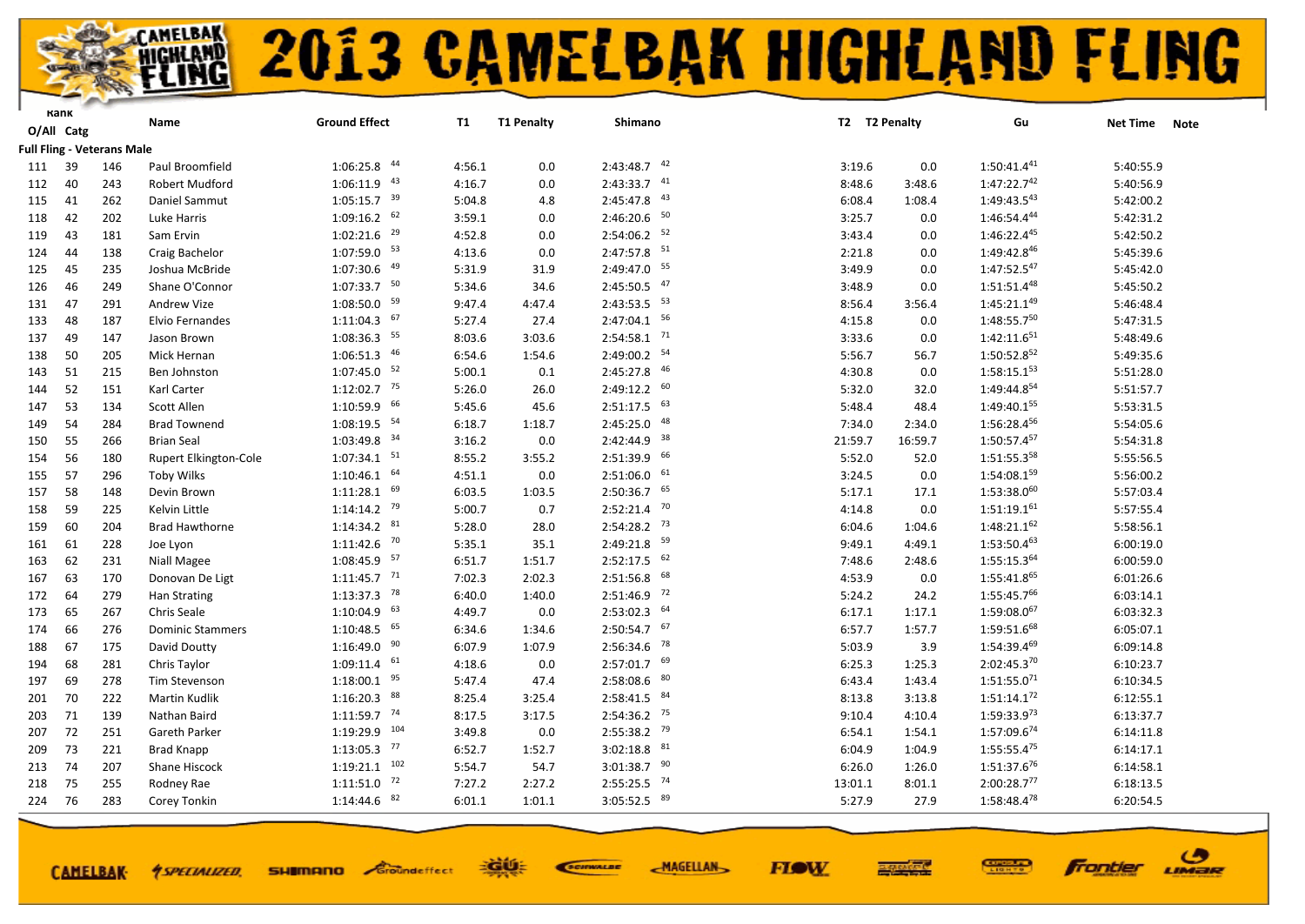

|     | Kank       |                                   | Name                    | <b>Ground Effect</b>      | <b>T1</b> | <b>T1 Penalty</b> | Shimano                   |         | T2 T2 Penalty | Gu               | <b>Net Time</b><br><b>Note</b> |
|-----|------------|-----------------------------------|-------------------------|---------------------------|-----------|-------------------|---------------------------|---------|---------------|------------------|--------------------------------|
|     | O/All Catg |                                   |                         |                           |           |                   |                           |         |               |                  |                                |
|     |            | <b>Full Fling - Veterans Male</b> |                         |                           |           |                   |                           |         |               |                  |                                |
| 111 | 39         | 146                               | Paul Broomfield         | $1:06:25.8$ $44$          | 4:56.1    | 0.0               | $2:43:48.7$ $42$          | 3:19.6  | 0.0           | $1:50:41.4^{41}$ | 5:40:55.9                      |
| 112 | 40         | 243                               | Robert Mudford          | $1:06:11.9$ $43$          | 4:16.7    | 0.0               | $2:43:33.7$ $41$          | 8:48.6  | 3:48.6        | 1:47:22.742      | 5:40:56.9                      |
| 115 | 41         | 262                               | Daniel Sammut           | $1:05:15.7$ <sup>39</sup> | 5:04.8    | 4.8               | $2:45:47.8$ <sup>43</sup> | 6:08.4  | 1:08.4        | $1:49:43.5^{43}$ | 5:42:00.2                      |
| 118 | 42         | 202                               | Luke Harris             | $1:09:16.2$ 62            | 3:59.1    | 0.0               | $2:46:20.6$ 50            | 3:25.7  | 0.0           | 1:46:54.444      | 5:42:31.2                      |
| 119 | 43         | 181                               | Sam Ervin               | $1:02:21.6$ <sup>29</sup> | 4:52.8    | 0.0               | $2:54:06.2$ <sup>52</sup> | 3:43.4  | 0.0           | 1:46:22.445      | 5:42:50.2                      |
| 124 | 44         | 138                               | Craig Bachelor          | $1:07:59.0$ 53            | 4:13.6    | 0.0               | $2:47:57.8$ 51            | 2:21.8  | 0.0           | 1:49:42.846      | 5:45:39.6                      |
| 125 | 45         | 235                               | Joshua McBride          | $1:07:30.6$ $49$          | 5:31.9    | 31.9              | 2:49:47.0 55              | 3:49.9  | 0.0           | 1:47:52.547      | 5:45:42.0                      |
| 126 | 46         | 249                               | Shane O'Connor          | $1:07:33.7$ 50            | 5:34.6    | 34.6              | $2:45:50.5$ $47$          | 3:48.9  | 0.0           | $1:51:51.4^{48}$ | 5:45:50.2                      |
| 131 | 47         | 291                               | <b>Andrew Vize</b>      | $1:08:50.0$ <sup>59</sup> | 9:47.4    | 4:47.4            | $2:43:53.5$ $53$          | 8:56.4  | 3:56.4        | $1:45:21.1^{49}$ | 5:46:48.4                      |
| 133 | 48         | 187                               | Elvio Fernandes         | $1:11:04.3$ 67            | 5:27.4    | 27.4              | $2:47:04.1$ 56            | 4:15.8  | 0.0           | 1:48:55.750      | 5:47:31.5                      |
| 137 | 49         | 147                               | Jason Brown             | $1:08:36.3$ 55            | 8:03.6    | 3:03.6            | $2:54:58.1$ <sup>71</sup> | 3:33.6  | 0.0           | $1:42:11.6^{51}$ | 5:48:49.6                      |
| 138 | 50         | 205                               | Mick Hernan             | $1:06:51.3$ $46$          | 6:54.6    | 1:54.6            | $2:49:00.2$ <sup>54</sup> | 5:56.7  | 56.7          | 1:50:52.852      | 5:49:35.6                      |
| 143 | 51         | 215                               | Ben Johnston            | $1:07:45.0$ 52            | 5:00.1    | 0.1               | 2:45:27.8 46              | 4:30.8  | 0.0           | $1:58:15.1^{53}$ | 5:51:28.0                      |
| 144 | 52         | 151                               | Karl Carter             | $1:12:02.7$ <sup>75</sup> | 5:26.0    | 26.0              | $2:49:12.2$ 60            | 5:32.0  | 32.0          | 1:49:44.854      | 5:51:57.7                      |
| 147 | 53         | 134                               | Scott Allen             | $1:10:59.9$ 66            | 5:45.6    | 45.6              | $2:51:17.5$ 63            | 5:48.4  | 48.4          | 1:49:40.155      | 5:53:31.5                      |
| 149 | 54         | 284                               | <b>Brad Townend</b>     | $1:08:19.5$ <sup>54</sup> | 6:18.7    | 1:18.7            | 48<br>2:45:25.0           | 7:34.0  | 2:34.0        | 1:56:28.456      | 5:54:05.6                      |
| 150 | 55         | 266                               | <b>Brian Seal</b>       | $1:03:49.8$ <sup>34</sup> | 3:16.2    | 0.0               | 2:42:44.9 38              | 21:59.7 | 16:59.7       | 1:50:57.457      | 5:54:31.8                      |
| 154 | 56         | 180                               | Rupert Elkington-Cole   | $1:07:34.1$ $51$          | 8:55.2    | 3:55.2            | $2:51:39.9$ 66            | 5:52.0  | 52.0          | 1:51:55.358      | 5:55:56.5                      |
| 155 | 57         | 296                               | <b>Toby Wilks</b>       | $1:10:46.1$ 64            | 4:51.1    | 0.0               | $2:51:06.0$ 61            | 3:24.5  | 0.0           | 1:54:08.159      | 5:56:00.2                      |
| 157 | 58         | 148                               | Devin Brown             | $1:11:28.1$ 69            | 6:03.5    | 1:03.5            | $2:50:36.7$ 65            | 5:17.1  | 17.1          | $1:53:38.0^{60}$ | 5:57:03.4                      |
| 158 | 59         | 225                               | Kelvin Little           | $1:14:14.2$ <sup>79</sup> | 5:00.7    | 0.7               | $2:52:21.4$ <sup>70</sup> | 4:14.8  | 0.0           | 1:51:19.161      | 5:57:55.4                      |
| 159 | 60         | 204                               | <b>Brad Hawthorne</b>   | $1:14:34.2$ $81$          | 5:28.0    | 28.0              | $2:54:28.2$ <sup>73</sup> | 6:04.6  | 1:04.6        | $1:48:21.1^{62}$ | 5:58:56.1                      |
| 161 | 61         | 228                               | Joe Lyon                | $1:11:42.6$ <sup>70</sup> | 5:35.1    | 35.1              | 2:49:21.8 59              | 9:49.1  | 4:49.1        | $1:53:50.4^{63}$ | 6:00:19.0                      |
| 163 | 62         | 231                               | Niall Magee             | $1:08:45.9$ <sup>57</sup> | 6:51.7    | 1:51.7            | $2:52:17.5$ 62            | 7:48.6  | 2:48.6        | 1:55:15.364      | 6:00:59.0                      |
| 167 | 63         | 170                               | Donovan De Ligt         | $1:11:45.7$ <sup>71</sup> | 7:02.3    | 2:02.3            | $2:51:56.8$ 68            | 4:53.9  | 0.0           | $1:55:41.8^{65}$ | 6:01:26.6                      |
| 172 | 64         | 279                               | Han Strating            | $1:13:37.3$ <sup>78</sup> | 6:40.0    | 1:40.0            | $2:51:46.9$ <sup>72</sup> | 5:24.2  | 24.2          | 1:55:45.766      | 6:03:14.1                      |
| 173 | 65         | 267                               | Chris Seale             | $1:10:04.9$ 63            | 4:49.7    | 0.0               | $2:53:02.3$ 64            | 6:17.1  | 1:17.1        | 1:59:08.067      | 6:03:32.3                      |
| 174 | 66         | 276                               | <b>Dominic Stammers</b> | $1:10:48.5$ 65            | 6:34.6    | 1:34.6            | $2:50:54.7$ 67            | 6:57.7  | 1:57.7        | 1:59:51.668      | 6:05:07.1                      |
| 188 | 67         | 175                               | David Doutty            | $1:16:49.0$ $90$          | 6:07.9    | 1:07.9            | $2:56:34.6$ <sup>78</sup> | 5:03.9  | 3.9           | 1:54:39.469      | 6:09:14.8                      |
| 194 | 68         | 281                               | Chris Taylor            | $1:09:11.4$ <sup>61</sup> | 4:18.6    | 0.0               | $2:57:01.7$ 69            | 6:25.3  | 1:25.3        | $2:02:45.3^{70}$ | 6:10:23.7                      |
| 197 | 69         | 278                               | <b>Tim Stevenson</b>    | 95<br>1:18:00.1           | 5:47.4    | 47.4              | 80<br>2:58:08.6           | 6:43.4  | 1:43.4        | $1:51:55.0^{71}$ | 6:10:34.5                      |
| 201 | 70         | 222                               | Martin Kudlik           | $1:16:20.3$ 88            | 8:25.4    | 3:25.4            | $2:58:41.5$ $84$          | 8:13.8  | 3:13.8        | $1:51:14.1^{72}$ | 6:12:55.1                      |
| 203 | 71         | 139                               | Nathan Baird            | $1:11:59.7$ <sup>74</sup> | 8:17.5    | 3:17.5            | $2:54:36.2$ <sup>75</sup> | 9:10.4  | 4:10.4        | $1:59:33.9^{73}$ | 6:13:37.7                      |
| 207 | 72         | 251                               | Gareth Parker           | 1:19:29.9 104             | 3:49.8    | 0.0               | $2:55:38.2$ 79            | 6:54.1  | 1:54.1        | 1:57:09.674      | 6:14:11.8                      |
| 209 | 73         | 221                               | <b>Brad Knapp</b>       | $1:13:05.3$ $77$          | 6:52.7    | 1:52.7            | $3:02:18.8$ $^{\,81}$     | 6:04.9  | 1:04.9        | $1:55:55.4^{75}$ | 6:14:17.1                      |
| 213 | 74         | 207                               | Shane Hiscock           | $1:19:21.1$ $102$         | 5:54.7    | 54.7              | $3:01:38.7$ 90            | 6:26.0  | 1:26.0        | 1:51:37.676      | 6:14:58.1                      |
| 218 | 75         | 255                               | Rodney Rae              | 72<br>1:11:51.0           | 7:27.2    | 2:27.2            | $2:55:25.5$ <sup>74</sup> | 13:01.1 | 8:01.1        | 2:00:28.777      | 6:18:13.5                      |
| 224 | 76         | 283                               | Corey Tonkin            | $1:14:44.6$ $82$          | 6:01.1    | 1:01.1            | $3:05:52.5$ $89$          | 5:27.9  | 27.9          | 1:58:48.478      | 6:20:54.5                      |
|     |            |                                   |                         |                           |           |                   |                           |         |               |                  |                                |

**CAMELBAK-**

*<u>ASPECIALIZED.</u>* 

**SHIMANO** Groundeffect

EGUE SCIENALDE **MAGELLAN** 

**FIOW** 



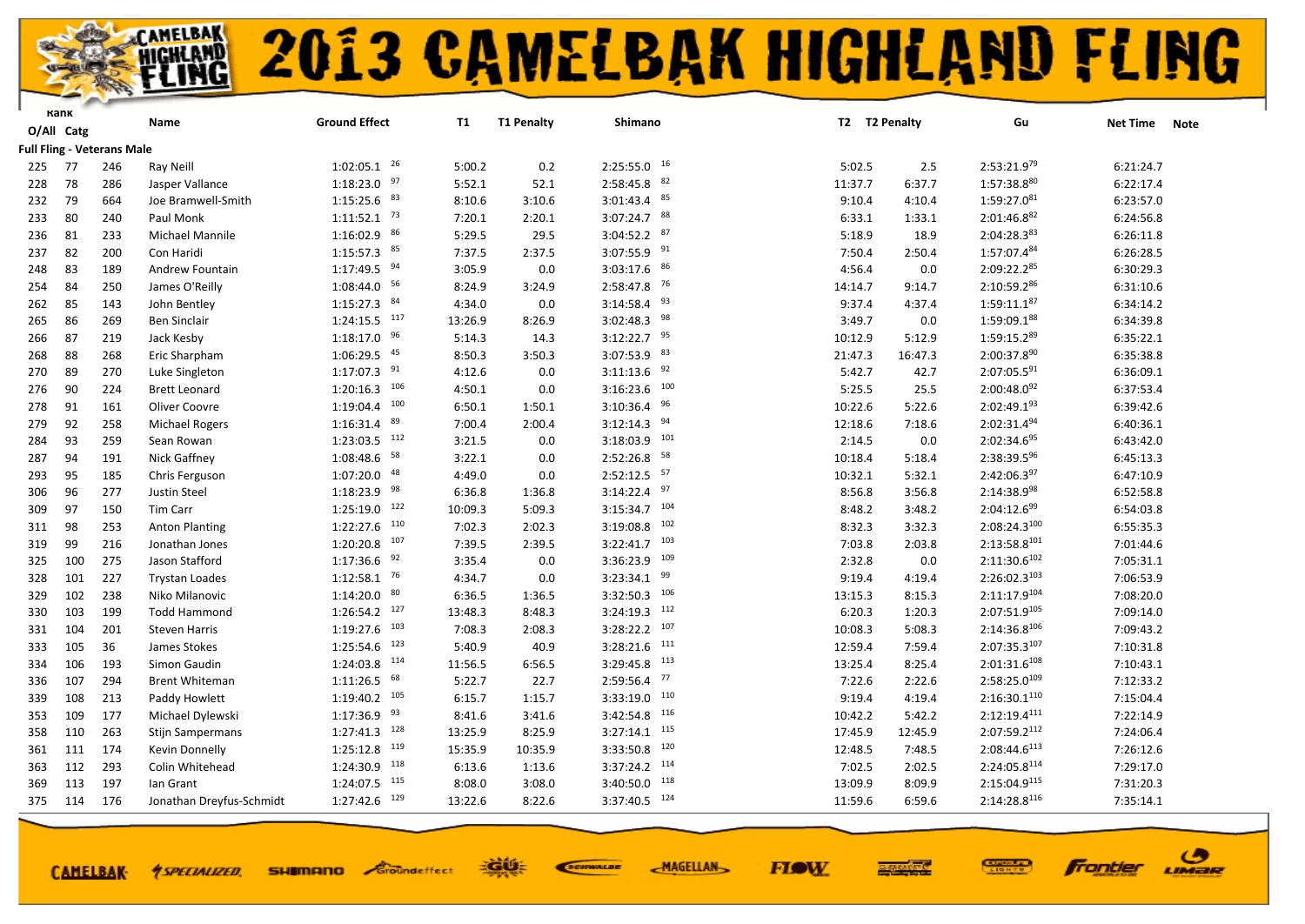

|     | капк       |                                   | Name                     | <b>Ground Effect</b>       | T1      | <b>T1 Penalty</b> | Shimano                   | T2 T2 Penalty |         | Gu                       | <b>Net Time</b> |             |
|-----|------------|-----------------------------------|--------------------------|----------------------------|---------|-------------------|---------------------------|---------------|---------|--------------------------|-----------------|-------------|
|     | O/All Catg |                                   |                          |                            |         |                   |                           |               |         |                          |                 | <b>Note</b> |
|     |            | <b>Full Fling - Veterans Male</b> |                          |                            |         |                   |                           |               |         |                          |                 |             |
| 225 | 77         | 246                               | Ray Neill                | $1:02:05.1$ <sup>26</sup>  | 5:00.2  | 0.2               | $2:25:55.0$ $16$          | 5:02.5        | 2.5     | $2:53:21.9^{79}$         | 6:21:24.7       |             |
| 228 | 78         | 286                               | Jasper Vallance          | $1:18:23.0$ 97             | 5:52.1  | 52.1              | 82<br>2:58:45.8           | 11:37.7       | 6:37.7  | 1:57:38.880              | 6:22:17.4       |             |
| 232 | 79         | 664                               | Joe Bramwell-Smith       | $1:15:25.6$ 83             | 8:10.6  | 3:10.6            | $3:01:43.4$ $85$          | 9:10.4        | 4:10.4  | $1:59:27.0^{81}$         | 6:23:57.0       |             |
| 233 | 80         | 240                               | Paul Monk                | $1:11:52.1$ <sup>73</sup>  | 7:20.1  | 2:20.1            | $3:07:24.7$ 88            | 6:33.1        | 1:33.1  | 2:01:46.882              | 6:24:56.8       |             |
| 236 | 81         | 233                               | <b>Michael Mannile</b>   | $1:16:02.9$ 86             | 5:29.5  | 29.5              | $3:04:52.2$ 87            | 5:18.9        | 18.9    | 2:04:28.383              | 6:26:11.8       |             |
| 237 | 82         | 200                               | Con Haridi               | $1:15:57.3$ 85             | 7:37.5  | 2:37.5            | $3:07:55.9$ <sup>91</sup> | 7:50.4        | 2:50.4  | 1:57:07.484              | 6:26:28.5       |             |
| 248 | 83         | 189                               | Andrew Fountain          | $1:17:49.5$ <sup>94</sup>  | 3:05.9  | 0.0               | 86<br>3:03:17.6           | 4:56.4        | 0.0     | 2:09:22.285              | 6:30:29.3       |             |
| 254 | 84         | 250                               | James O'Reilly           | 1:08:44.0 56               | 8:24.9  | 3:24.9            | $2:58:47.8$ <sup>76</sup> | 14:14.7       | 9:14.7  | 2:10:59.286              | 6:31:10.6       |             |
| 262 | 85         | 143                               | John Bentley             | $1:15:27.3$ $84$           | 4:34.0  | 0.0               | 93<br>3:14:58.4           | 9:37.4        | 4:37.4  | $1:59:11.1^{87}$         | 6:34:14.2       |             |
| 265 | 86         | 269                               | Ben Sinclair             | $1:24:15.5$ <sup>117</sup> | 13:26.9 | 8:26.9            | 98<br>3:02:48.3           | 3:49.7        | 0.0     | 1:59:09.188              | 6:34:39.8       |             |
| 266 | 87         | 219                               | Jack Kesby               | $1:18:17.0$ 96             | 5:14.3  | 14.3              | $3:12:22.7$ 95            | 10:12.9       | 5:12.9  | 1:59:15.289              | 6:35:22.1       |             |
| 268 | 88         | 268                               | Eric Sharpham            | $1:06:29.5$ $45$           | 8:50.3  | 3:50.3            | 83<br>3:07:53.9           | 21:47.3       | 16:47.3 | 2:00:37.890              | 6:35:38.8       |             |
| 270 | 89         | 270                               | Luke Singleton           | $1:17:07.3$ 91             | 4:12.6  | 0.0               | 92<br>3:11:13.6           | 5:42.7        | 42.7    | $2:07:05.5^{91}$         | 6:36:09.1       |             |
| 276 | 90         | 224                               | <b>Brett Leonard</b>     | $1:20:16.3$ <sup>106</sup> | 4:50.1  | 0.0               | 100<br>3:16:23.6          | 5:25.5        | 25.5    | $2:00:48.0^{92}$         | 6:37:53.4       |             |
| 278 | 91         | 161                               | Oliver Coovre            | $1:19:04.4$ 100            | 6:50.1  | 1:50.1            | 96<br>3:10:36.4           | 10:22.6       | 5:22.6  | 2:02:49.193              | 6:39:42.6       |             |
| 279 | 92         | 258                               | <b>Michael Rogers</b>    | 89<br>1:16:31.4            | 7:00.4  | 2:00.4            | $3:12:14.3$ $94$          | 12:18.6       | 7:18.6  | $2:02:31.4^{94}$         | 6:40:36.1       |             |
| 284 | 93         | 259                               | Sean Rowan               | $1:23:03.5$ $112$          | 3:21.5  | 0.0               | $3:18:03.9$ 101           | 2:14.5        | 0.0     | 2:02:34.695              | 6:43:42.0       |             |
| 287 | 94         | 191                               | Nick Gaffney             | 58<br>1:08:48.6            | 3:22.1  | 0.0               | 58<br>2:52:26.8           | 10:18.4       | 5:18.4  | 2:38:39.5%               | 6:45:13.3       |             |
| 293 | 95         | 185                               | Chris Ferguson           | $1:07:20.0$ $48$           | 4:49.0  | 0.0               | $2:52:12.5$ 57            | 10:32.1       | 5:32.1  | 2:42:06.397              | 6:47:10.9       |             |
| 306 | 96         | 277                               | <b>Justin Steel</b>      | 98<br>1:18:23.9            | 6:36.8  | 1:36.8            | $3:14:22.4$ $97$          | 8:56.8        | 3:56.8  | $2:14:38.9^{98}$         | 6:52:58.8       |             |
| 309 | 97         | 150                               | Tim Carr                 | $1:25:19.0$ 122            | 10:09.3 | 5:09.3            | $3:15:34.7$ 104           | 8:48.2        | 3:48.2  | 2:04:12.699              | 6:54:03.8       |             |
| 311 | 98         | 253                               | <b>Anton Planting</b>    | $1:22:27.6$ $110$          | 7:02.3  | 2:02.3            | 102<br>3:19:08.8          | 8:32.3        | 3:32.3  | $2:08:24.3^{100}$        | 6:55:35.3       |             |
| 319 | 99         | 216                               | Jonathan Jones           | $1:20:20.8$ 107            | 7:39.5  | 2:39.5            | $3:22:41.7$ 103           | 7:03.8        | 2:03.8  | 2:13:58.8101             | 7:01:44.6       |             |
| 325 | 100        | 275                               | Jason Stafford           | 92<br>1:17:36.6            | 3:35.4  | 0.0               | 109<br>3:36:23.9          | 2:32.8        | 0.0     | $2:11:30.6^{102}$        | 7:05:31.1       |             |
| 328 | 101        | 227                               | <b>Trystan Loades</b>    | $1:12:58.1$ <sup>76</sup>  | 4:34.7  | 0.0               | $3:23:34.1$ 99            | 9:19.4        | 4:19.4  | 2:26:02.3103             | 7:06:53.9       |             |
| 329 | 102        | 238                               | Niko Milanovic           | 80<br>1:14:20.0            | 6:36.5  | 1:36.5            | 106<br>3:32:50.3          | 13:15.3       | 8:15.3  | 2:11:17.9104             | 7:08:20.0       |             |
| 330 | 103        | 199                               | <b>Todd Hammond</b>      | $1:26:54.2$ <sup>127</sup> | 13:48.3 | 8:48.3            | $3:24:19.3$ 112           | 6:20.3        | 1:20.3  | 2:07:51.9105             | 7:09:14.0       |             |
| 331 | 104        | 201                               | <b>Steven Harris</b>     | $1:19:27.6$ $103$          | 7:08.3  | 2:08.3            | $3:28:22.2$ 107           | 10:08.3       | 5:08.3  | $2:14:36.8^{106}$        | 7:09:43.2       |             |
| 333 | 105        | 36                                | James Stokes             | 123<br>1:25:54.6           | 5:40.9  | 40.9              | 111<br>3:28:21.6          | 12:59.4       | 7:59.4  | 2:07:35.3107             | 7:10:31.8       |             |
| 334 | 106        | 193                               | Simon Gaudin             | $1:24:03.8$ <sup>114</sup> | 11:56.5 | 6:56.5            | 113<br>3:29:45.8          | 13:25.4       | 8:25.4  | $2:01:31.6^{108}$        | 7:10:43.1       |             |
| 336 | 107        | 294                               | <b>Brent Whiteman</b>    | 68<br>1:11:26.5            | 5:22.7  | 22.7              | 77<br>2:59:56.4           | 7:22.6        | 2:22.6  | $2:58:25.0^{109}$        | 7:12:33.2       |             |
| 339 | 108        | 213                               | Paddy Howlett            | $1:19:40.2$ 105            | 6:15.7  | 1:15.7            | $3:33:19.0$ 110           | 9:19.4        | 4:19.4  | $2:16:30.1^{110}$        | 7:15:04.4       |             |
| 353 | 109        | 177                               | Michael Dylewski         | 93<br>1:17:36.9            | 8:41.6  | 3:41.6            | 116<br>3:42:54.8          | 10:42.2       | 5:42.2  | $2:12:19.4^{111}$        | 7:22:14.9       |             |
| 358 | 110        | 263                               | Stijn Sampermans         | $1:27:41.3$ $128$          | 13:25.9 | 8:25.9            | $3:27:14.1$ 115           | 17:45.9       | 12:45.9 | 2:07:59.2112             | 7:24:06.4       |             |
| 361 | 111        | 174                               | Kevin Donnelly           | $1:25:12.8$ <sup>119</sup> | 15:35.9 | 10:35.9           | 120<br>3:33:50.8          | 12:48.5       | 7:48.5  | 2:08:44.6 <sup>113</sup> | 7:26:12.6       |             |
| 363 | 112        | 293                               | Colin Whitehead          | 1:24:30.9 118              | 6:13.6  | 1:13.6            | $3:37:24.2$ 114           | 7:02.5        | 2:02.5  | 2:24:05.8114             | 7:29:17.0       |             |
| 369 | 113        | 197                               | lan Grant                | $1:24:07.5$ <sup>115</sup> | 8:08.0  | 3:08.0            | 118<br>3:40:50.0          | 13:09.9       | 8:09.9  | $2:15:04.9^{115}$        | 7:31:20.3       |             |
| 375 | 114        | 176                               | Jonathan Dreyfus-Schmidt | 1:27:42.6 129              | 13:22.6 | 8:22.6            | $3:37:40.5$ 124           | 11:59.6       | 6:59.6  | 2:14:28.8116             | 7:35:14.1       |             |
|     |            |                                   |                          |                            |         |                   |                           |               |         |                          |                 |             |



EGUE SCIENALDE

**FIOW MAGELLAN** 



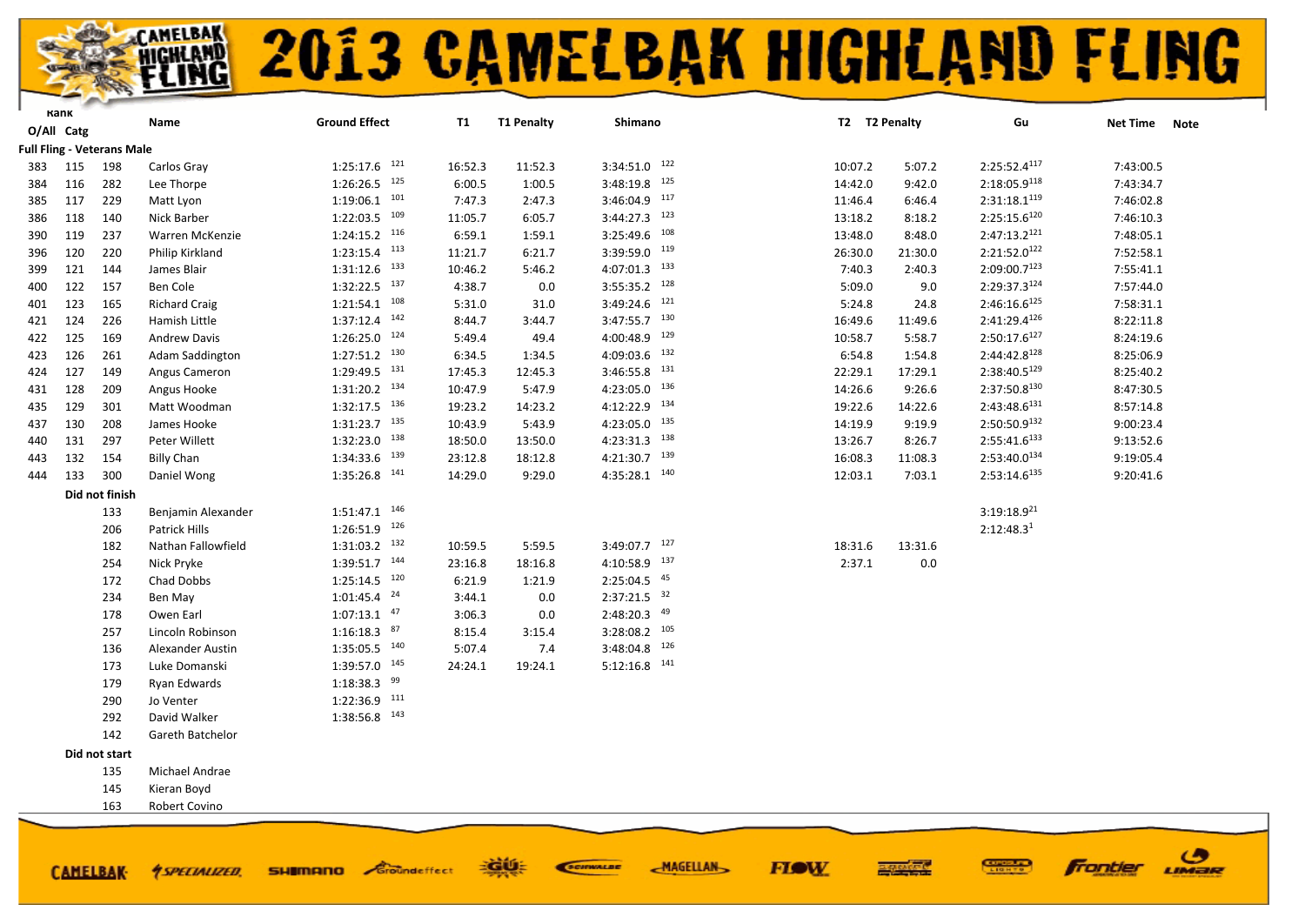#### **AMELBAK**<br>HIGHLAMD **2013 CAMELBAK HIGHLAND FLING**

**FIOW** 

ဖ

LIMER

**frontier** 

|     | Kank       |                                   | Name                    | <b>Ground Effect</b>       | <b>T1</b> | <b>T1 Penalty</b> | Shimano                    | T2 T2 Penalty |         | Gu                       | <b>Net Time</b> | <b>Note</b> |
|-----|------------|-----------------------------------|-------------------------|----------------------------|-----------|-------------------|----------------------------|---------------|---------|--------------------------|-----------------|-------------|
|     | O/All Catg |                                   |                         |                            |           |                   |                            |               |         |                          |                 |             |
|     |            | <b>Full Fling - Veterans Male</b> |                         |                            |           |                   |                            |               |         |                          |                 |             |
| 383 | 115        | 198                               | Carlos Gray             | $1:25:17.6$ <sup>121</sup> | 16:52.3   | 11:52.3           | $3:34:51.0$ $122$          | 10:07.2       | 5:07.2  | 2:25:52.4 <sup>117</sup> | 7:43:00.5       |             |
| 384 | 116        | 282                               | Lee Thorpe              | $1:26:26.5$ 125            | 6:00.5    | 1:00.5            | $3:48:19.8$ <sup>125</sup> | 14:42.0       | 9:42.0  | 2:18:05.9118             | 7:43:34.7       |             |
| 385 | 117        | 229                               | Matt Lyon               | $1:19:06.1$ $101$          | 7:47.3    | 2:47.3            | $3:46:04.9$ 117            | 11:46.4       | 6:46.4  | 2:31:18.1 <sup>119</sup> | 7:46:02.8       |             |
| 386 | 118        | 140                               | Nick Barber             | $1:22:03.5$ 109            | 11:05.7   | 6:05.7            | $3:44:27.3$ 123            | 13:18.2       | 8:18.2  | $2:25:15.6^{120}$        | 7:46:10.3       |             |
| 390 | 119        | 237                               | Warren McKenzie         | $1:24:15.2$ <sup>116</sup> | 6:59.1    | 1:59.1            | $3:25:49.6$ 108            | 13:48.0       | 8:48.0  | 2:47:13.2 <sup>121</sup> | 7:48:05.1       |             |
| 396 | 120        | 220                               | Philip Kirkland         | $1:23:15.4$ $113$          | 11:21.7   | 6:21.7            | $3:39:59.0$ 119            | 26:30.0       | 21:30.0 | 2:21:52.0122             | 7:52:58.1       |             |
| 399 | 121        | 144                               | James Blair             | $1:31:12.6$ $133$          | 10:46.2   | 5:46.2            | $4:07:01.3$ $133$          | 7:40.3        | 2:40.3  | $2:09:00.7^{123}$        | 7:55:41.1       |             |
| 400 | 122        | 157                               | Ben Cole                | $1:32:22.5$ $137$          | 4:38.7    | 0.0               | $3:55:35.2$ 128            | 5:09.0        | 9.0     | 2:29:37.3124             | 7:57:44.0       |             |
| 401 | 123        | 165                               | <b>Richard Craig</b>    | $1:21:54.1$ <sup>108</sup> | 5:31.0    | 31.0              | $3:49:24.6$ <sup>121</sup> | 5:24.8        | 24.8    | $2:46:16.6^{125}$        | 7:58:31.1       |             |
| 421 | 124        | 226                               | Hamish Little           | $1:37:12.4$ $142$          | 8:44.7    | 3:44.7            | $3:47:55.7$ 130            | 16:49.6       | 11:49.6 | 2:41:29.4126             | 8:22:11.8       |             |
| 422 | 125        | 169                               | <b>Andrew Davis</b>     | $1:26:25.0$ $124$          | 5:49.4    | 49.4              | $4:00:48.9$ <sup>129</sup> | 10:58.7       | 5:58.7  | 2:50:17.6 <sup>127</sup> | 8:24:19.6       |             |
| 423 | 126        | 261                               | Adam Saddington         | $1:27:51.2$ <sup>130</sup> | 6:34.5    | 1:34.5            | 132<br>4:09:03.6           | 6:54.8        | 1:54.8  | 2:44:42.8 <sup>128</sup> | 8:25:06.9       |             |
| 424 | 127        | 149                               | Angus Cameron           | 1:29:49.5 131              | 17:45.3   | 12:45.3           | $3:46:55.8$ 131            | 22:29.1       | 17:29.1 | 2:38:40.5129             | 8:25:40.2       |             |
| 431 | 128        | 209                               | Angus Hooke             | $1:31:20.2$ $134$          | 10:47.9   | 5:47.9            | $4:23:05.0$ $136$          | 14:26.6       | 9:26.6  | 2:37:50.8130             | 8:47:30.5       |             |
| 435 | 129        | 301                               | Matt Woodman            | $1:32:17.5$ $136$          | 19:23.2   | 14:23.2           | 4:12:22.9 134              | 19:22.6       | 14:22.6 | 2:43:48.6131             | 8:57:14.8       |             |
| 437 | 130        | 208                               | James Hooke             | $1:31:23.7$ $135$          | 10:43.9   | 5:43.9            | $4:23:05.0$ $135$          | 14:19.9       | 9:19.9  | 2:50:50.9 <sup>132</sup> | 9:00:23.4       |             |
| 440 | 131        | 297                               | Peter Willett           | $1:32:23.0$ $138$          | 18:50.0   | 13:50.0           | $4:23:31.3$ $138$          | 13:26.7       | 8:26.7  | 2:55:41.6 <sup>133</sup> | 9:13:52.6       |             |
| 443 | 132        | 154                               | <b>Billy Chan</b>       | $1:34:33.6$ $139$          | 23:12.8   | 18:12.8           | $4:21:30.7$ 139            | 16:08.3       | 11:08.3 | 2:53:40.0134             | 9:19:05.4       |             |
| 444 | 133        | 300                               | Daniel Wong             | $1:35:26.8$ 141            | 14:29.0   | 9:29.0            | $4:35:28.1$ $140$          | 12:03.1       | 7:03.1  | 2:53:14.6 <sup>135</sup> | 9:20:41.6       |             |
|     |            | Did not finish                    |                         |                            |           |                   |                            |               |         |                          |                 |             |
|     |            | 133                               | Benjamin Alexander      | $1:51:47.1$ $146$          |           |                   |                            |               |         | $3:19:18.9^{21}$         |                 |             |
|     |            | 206                               | Patrick Hills           | $1:26:51.9$ 126            |           |                   |                            |               |         | 2:12:48.3 <sup>1</sup>   |                 |             |
|     |            | 182                               | Nathan Fallowfield      | $1:31:03.2$ $132$          | 10:59.5   | 5:59.5            | $3:49:07.7$ 127            | 18:31.6       | 13:31.6 |                          |                 |             |
|     |            | 254                               | Nick Pryke              | $1:39:51.7$ <sup>144</sup> | 23:16.8   | 18:16.8           | $4:10:58.9$ $137$          | 2:37.1        | 0.0     |                          |                 |             |
|     |            | 172                               | Chad Dobbs              | $1:25:14.5$ 120            | 6:21.9    | 1:21.9            | $2:25:04.5$ $45$           |               |         |                          |                 |             |
|     |            | 234                               | Ben May                 | $1:01:45.4$ <sup>24</sup>  | 3:44.1    | 0.0               | $2:37:21.5$ $32$           |               |         |                          |                 |             |
|     |            | 178                               | Owen Earl               | $1:07:13.1$ $47$           | 3:06.3    | 0.0               | $2:48:20.3$ $49$           |               |         |                          |                 |             |
|     |            | 257                               | Lincoln Robinson        | $1:16:18.3$ $87$           | 8:15.4    | 3:15.4            | $3:28:08.2$ 105            |               |         |                          |                 |             |
|     |            | 136                               | <b>Alexander Austin</b> | $1:35:05.5$ $140$          | 5:07.4    | 7.4               | $3:48:04.8$ <sup>126</sup> |               |         |                          |                 |             |
|     |            | 173                               | Luke Domanski           | $1:39:57.0$ $145$          | 24:24.1   | 19:24.1           | $5:12:16.8$ <sup>141</sup> |               |         |                          |                 |             |
|     |            | 179                               | Ryan Edwards            | $1:18:38.3$ <sup>99</sup>  |           |                   |                            |               |         |                          |                 |             |
|     |            | 290                               | Jo Venter               | 1:22:36.9 111              |           |                   |                            |               |         |                          |                 |             |
|     |            | 292                               | David Walker            | $1:38:56.8$ $143$          |           |                   |                            |               |         |                          |                 |             |
|     |            | 142                               | Gareth Batchelor        |                            |           |                   |                            |               |         |                          |                 |             |
|     |            | Did not start                     |                         |                            |           |                   |                            |               |         |                          |                 |             |
|     |            | 135                               | Michael Andrae          |                            |           |                   |                            |               |         |                          |                 |             |
|     |            | 145                               | Kieran Boyd             |                            |           |                   |                            |               |         |                          |                 |             |
|     |            | 163                               | Robert Covino           |                            |           |                   |                            |               |         |                          |                 |             |
|     |            |                                   |                         |                            |           |                   |                            |               |         |                          |                 |             |
|     |            |                                   |                         |                            |           |                   |                            |               |         |                          |                 |             |

EGUE

**SHIMANO** Groundeffect

**CAMELBAK-**

*<u>ASPECIALIZED.</u>* 

SCIENALDE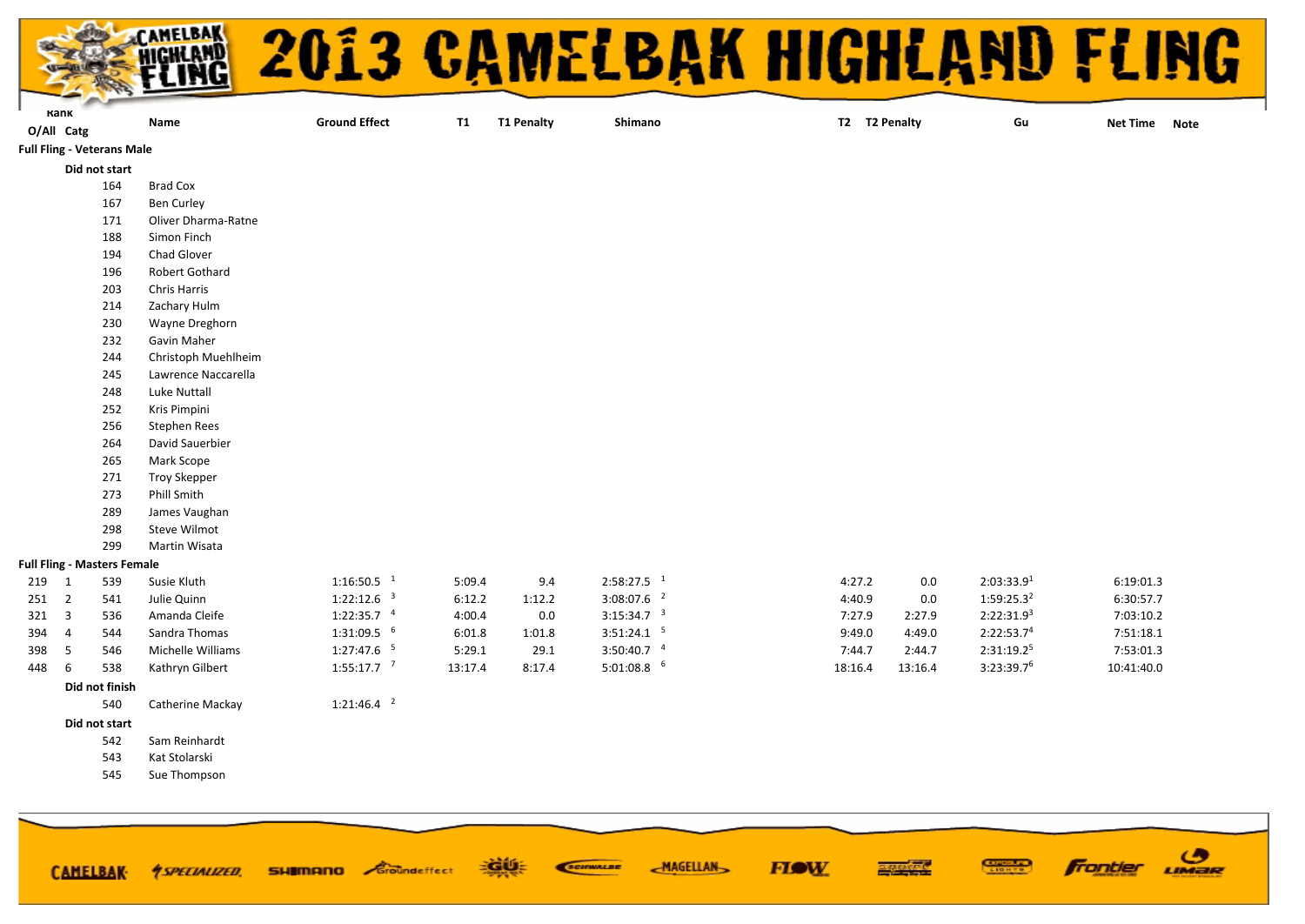

| aш | n. |
|----|----|
|----|----|

**Ground Effect T1 T1 Penalty Shimano T2 T2 Penalty Gu**

**O/All Catg Net Time Note**

#### **Full Fling - Veterans Male**

- **Did not start**
	- Brad Cox
	- Ben Curley

**Name**

- Oliver Dharma-Ratne
- Simon Finch
- Chad Glover
- Robert Gothard
- Chris Harris
- Zachary Hulm
- Wayne Dreghorn
- Gavin Maher
- Christoph Muehlheim
- Lawrence Naccarella
- Luke Nuttall
- Kris Pimpini
- Stephen Rees
- David Sauerbier
- Mark Scope
- Troy Skepper
- Phill Smith
- James Vaughan
- Steve Wilmot
- Martin Wisata

#### **Full Fling - Masters Female**

| 219 | 539 | Susie Kluth       | $1:16:50.5$ <sup>1</sup> | 5:09.4  | 9.4    | $2:58:27.5$ <sup>1</sup> | 4:27.2  | 0.0     | 2:03:33.9 <sup>1</sup> | 6:19:01.3  |
|-----|-----|-------------------|--------------------------|---------|--------|--------------------------|---------|---------|------------------------|------------|
| 251 | 541 | Julie Quinn       | $1:22:12.6$ <sup>3</sup> | 6:12.2  | 1:12.2 | $3:08:07.6$ <sup>2</sup> | 4:40.9  | 0.0     | $1:59:25.3^2$          | 6:30:57.7  |
| 321 | 536 | Amanda Cleife     | 1:22:35.7                | 4:00.4  | 0.0    | 3:15:34.7 <sup>3</sup>   | 7:27.9  | 2:27.9  | $2:22:31.9^{3}$        | 7:03:10.2  |
| 394 | 544 | Sandra Thomas     | $1:31:09.5$ $^6$         | 6:01.8  | 1:01.8 | 3:51:24.1                | 9:49.0  | 4:49.0  | 2:22:53.7 <sup>4</sup> | 7:51:18.1  |
| 398 | 546 | Michelle Williams | 1:27:47.6                | 5:29.1  | 29.1   | $3:50:40.7$ <sup>4</sup> | 7:44.7  | 2:44.7  | $2:31:19.2^5$          | 7:53:01.3  |
| 448 | 538 | Kathrvn Gilbert   | 1:55:17.7                | 13:17.4 | 8:17.4 | $5:01:08.8$ <sup>6</sup> | 18:16.4 | 13:16.4 | 3:23:39.7 <sup>6</sup> | 10:41:40.0 |

#### **Did not finish**

- 1:21:46.4 <sup>2</sup> Catherine Mackay
- **Did not start**
	- Sam Reinhardt
	- Kat Stolarski
	- Sue Thompson

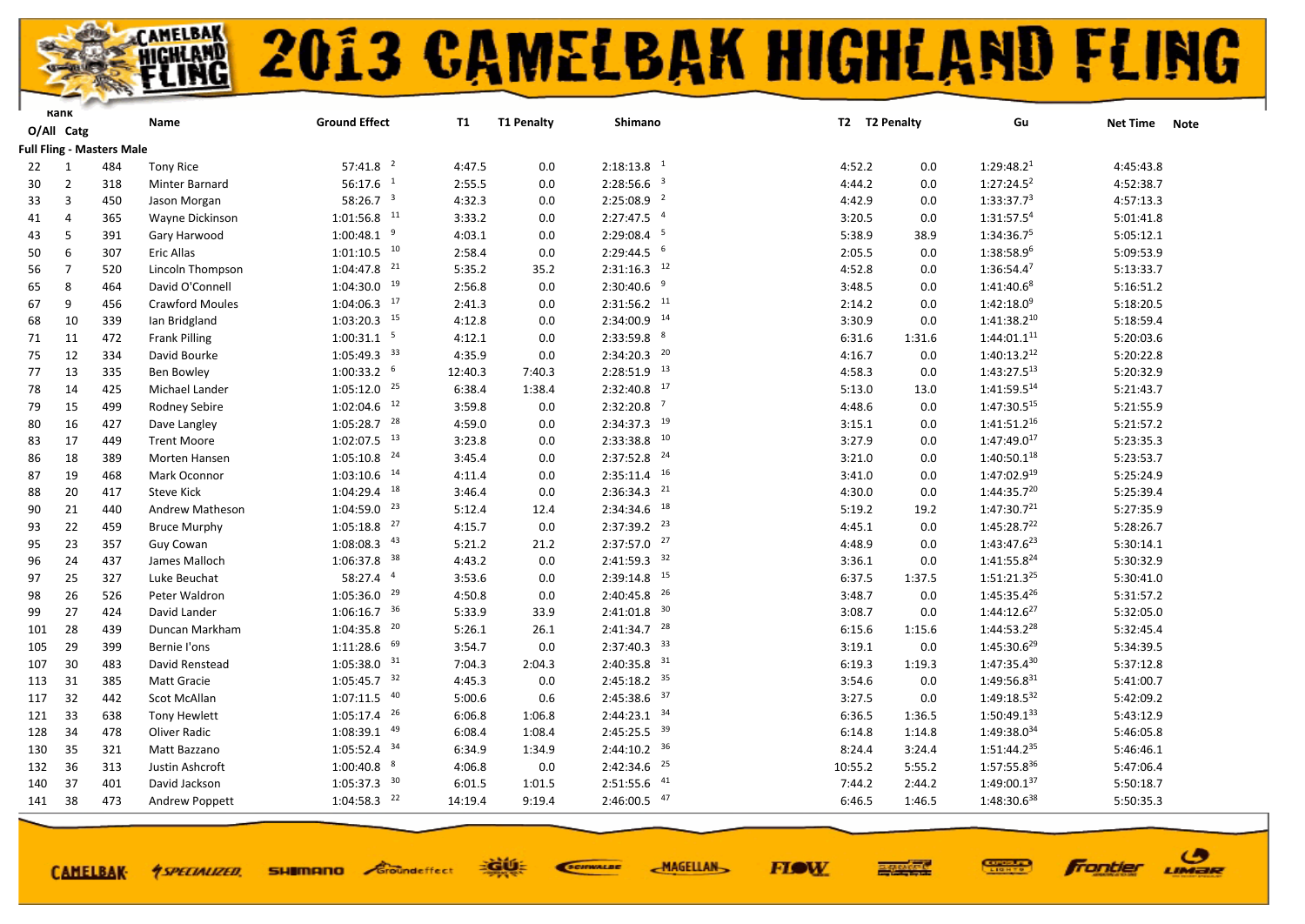

|     | Kank           |                                  | Name                   | <b>Ground Effect</b>      | T1      | <b>T1 Penalty</b> | Shimano                   | T2 T2 Penalty |        | Gu                      | <b>Net Time</b> | <b>Note</b> |
|-----|----------------|----------------------------------|------------------------|---------------------------|---------|-------------------|---------------------------|---------------|--------|-------------------------|-----------------|-------------|
|     | O/All Catg     |                                  |                        |                           |         |                   |                           |               |        |                         |                 |             |
|     |                | <b>Full Fling - Masters Male</b> |                        |                           |         |                   |                           |               |        |                         |                 |             |
| 22  | 1              | 484                              | <b>Tony Rice</b>       | $57:41.8$ <sup>2</sup>    | 4:47.5  | 0.0               | $2:18:13.8$ <sup>1</sup>  | 4:52.2        | 0.0    | 1:29:48.2 <sup>1</sup>  | 4:45:43.8       |             |
| 30  | $\overline{2}$ | 318                              | Minter Barnard         | $56:17.6$ <sup>1</sup>    | 2:55.5  | 0.0               | $2:28:56.6$ <sup>3</sup>  | 4:44.2        | 0.0    | 1:27:24.5 <sup>2</sup>  | 4:52:38.7       |             |
| 33  | 3              | 450                              | Jason Morgan           | 58:26.7 $3$               | 4:32.3  | 0.0               | $2:25:08.9$ <sup>2</sup>  | 4:42.9        | 0.0    | 1:33:37.7 <sup>3</sup>  | 4:57:13.3       |             |
| 41  | $\overline{4}$ | 365                              | Wayne Dickinson        | $1:01:56.8$ <sup>11</sup> | 3:33.2  | 0.0               | $2:27:47.5$ <sup>4</sup>  | 3:20.5        | 0.0    | 1:31:57.54              | 5:01:41.8       |             |
| 43  | 5              | 391                              | Gary Harwood           | $1:00:48.1$ <sup>9</sup>  | 4:03.1  | 0.0               | $2:29:08.4$ 5             | 5:38.9        | 38.9   | 1:34:36.75              | 5:05:12.1       |             |
| 50  | 6              | 307                              | Eric Allas             | $1:01:10.5$ <sup>10</sup> | 2:58.4  | 0.0               | $2:29:44.5$ <sup>6</sup>  | 2:05.5        | 0.0    | 1:38:58.96              | 5:09:53.9       |             |
| 56  | $\overline{7}$ | 520                              | Lincoln Thompson       | $1:04:47.8$ <sup>21</sup> | 5:35.2  | 35.2              | $2:31:16.3$ <sup>12</sup> | 4:52.8        | 0.0    | $1:36:54.4^7$           | 5:13:33.7       |             |
| 65  | 8              | 464                              | David O'Connell        | $1:04:30.0$ <sup>19</sup> | 2:56.8  | 0.0               | $2:30:40.6$ <sup>9</sup>  | 3:48.5        | 0.0    | 1:41:40.68              | 5:16:51.2       |             |
| 67  | 9              | 456                              | <b>Crawford Moules</b> | $1:04:06.3$ <sup>17</sup> | 2:41.3  | 0.0               | $2:31:56.2$ <sup>11</sup> | 2:14.2        | 0.0    | $1:42:18.0^9$           | 5:18:20.5       |             |
| 68  | 10             | 339                              | lan Bridgland          | $1:03:20.3$ $15$          | 4:12.8  | 0.0               | $2:34:00.9$ <sup>14</sup> | 3:30.9        | 0.0    | $1:41:38.2^{10}$        | 5:18:59.4       |             |
| 71  | 11             | 472                              | <b>Frank Pilling</b>   | $1:00:31.1$ <sup>5</sup>  | 4:12.1  | 0.0               | $2:33:59.8$ $8$           | 6:31.6        | 1:31.6 | $1:44:01.1^{11}$        | 5:20:03.6       |             |
| 75  | 12             | 334                              | David Bourke           | $1:05:49.3$ <sup>33</sup> | 4:35.9  | 0.0               | $2:34:20.3$ $20$          | 4:16.7        | 0.0    | $1:40:13.2^{12}$        | 5:20:22.8       |             |
| 77  | 13             | 335                              | <b>Ben Bowley</b>      | $1:00:33.2$ 6             | 12:40.3 | 7:40.3            | $2:28:51.9$ <sup>13</sup> | 4:58.3        | 0.0    | $1:43:27.5^{13}$        | 5:20:32.9       |             |
| 78  | 14             | 425                              | Michael Lander         | $1:05:12.0$ <sup>25</sup> | 6:38.4  | 1:38.4            | $2:32:40.8$ <sup>17</sup> | 5:13.0        | 13.0   | $1:41:59.5^{14}$        | 5:21:43.7       |             |
| 79  | 15             | 499                              | Rodney Sebire          | $1:02:04.6$ <sup>12</sup> | 3:59.8  | 0.0               | $2:32:20.8$ <sup>7</sup>  | 4:48.6        | 0.0    | 1:47:30.515             | 5:21:55.9       |             |
| 80  | 16             | 427                              | Dave Langley           | $1:05:28.7$ <sup>28</sup> | 4:59.0  | 0.0               | $2:34:37.3$ <sup>19</sup> | 3:15.1        | 0.0    | $1:41:51.2^{16}$        | 5:21:57.2       |             |
| 83  | 17             | 449                              | <b>Trent Moore</b>     | $1:02:07.5$ <sup>13</sup> | 3:23.8  | 0.0               | $2:33:38.8$ $10$          | 3:27.9        | 0.0    | 1:47:49.017             | 5:23:35.3       |             |
| 86  | 18             | 389                              | Morten Hansen          | $1:05:10.8$ <sup>24</sup> | 3:45.4  | 0.0               | $2:37:52.8$ <sup>24</sup> | 3:21.0        | 0.0    | $1:40:50.1^{18}$        | 5:23:53.7       |             |
| 87  | 19             | 468                              | Mark Oconnor           | $1:03:10.6$ <sup>14</sup> | 4:11.4  | 0.0               | $2:35:11.4$ 16            | 3:41.0        | 0.0    | 1:47:02.919             | 5:25:24.9       |             |
| 88  | 20             | 417                              | <b>Steve Kick</b>      | $1:04:29.4$ <sup>18</sup> | 3:46.4  | 0.0               | $2:36:34.3$ <sup>21</sup> | 4:30.0        | 0.0    | $1:44:35.7^{20}$        | 5:25:39.4       |             |
| 90  | 21             | 440                              | Andrew Matheson        | $1:04:59.0$ <sup>23</sup> | 5:12.4  | 12.4              | $2:34:34.6$ <sup>18</sup> | 5:19.2        | 19.2   | 1:47:30.7 <sup>21</sup> | 5:27:35.9       |             |
| 93  | 22             | 459                              | <b>Bruce Murphy</b>    | $1:05:18.8$ <sup>27</sup> | 4:15.7  | 0.0               | $2:37:39.2$ <sup>23</sup> | 4:45.1        | 0.0    | $1:45:28.7^{22}$        | 5:28:26.7       |             |
| 95  | 23             | 357                              | Guy Cowan              | $1:08:08.3$ $43$          | 5:21.2  | 21.2              | $2:37:57.0$ $27$          | 4:48.9        | 0.0    | $1:43:47.6^{23}$        | 5:30:14.1       |             |
| 96  | 24             | 437                              | James Malloch          | $1:06:37.8$ <sup>38</sup> | 4:43.2  | 0.0               | $2:41:59.3$ $32$          | 3:36.1        | 0.0    | $1:41:55.8^{24}$        | 5:30:32.9       |             |
| 97  | 25             | 327                              | Luke Beuchat           | 58:27.4 4                 | 3:53.6  | 0.0               | $2:39:14.8$ <sup>15</sup> | 6:37.5        | 1:37.5 | $1:51:21.3^{25}$        | 5:30:41.0       |             |
| 98  | 26             | 526                              | Peter Waldron          | $1:05:36.0$ <sup>29</sup> | 4:50.8  | 0.0               | $2:40:45.8$ <sup>26</sup> | 3:48.7        | 0.0    | $1:45:35.4^{26}$        | 5:31:57.2       |             |
| 99  | 27             | 424                              | David Lander           | $1:06:16.7$ 36            | 5:33.9  | 33.9              | $2:41:01.8$ 30            | 3:08.7        | 0.0    | $1:44:12.6^{27}$        | 5:32:05.0       |             |
| 101 | 28             | 439                              | Duncan Markham         | $1:04:35.8$ <sup>20</sup> | 5:26.1  | 26.1              | $2:41:34.7$ <sup>28</sup> | 6:15.6        | 1:15.6 | $1:44:53.2^{28}$        | 5:32:45.4       |             |
| 105 | 29             | 399                              | Bernie l'ons           | $1:11:28.6$ 69            | 3:54.7  | 0.0               | $2:37:40.3$ 33            | 3:19.1        | 0.0    | $1:45:30.6^{29}$        | 5:34:39.5       |             |
| 107 | 30             | 483                              | David Renstead         | $1:05:38.0$ 31            | 7:04.3  | 2:04.3            | $2:40:35.8$ <sup>31</sup> | 6:19.3        | 1:19.3 | $1:47:35.4^{30}$        | 5:37:12.8       |             |
| 113 | 31             | 385                              | Matt Gracie            | $1:05:45.7$ <sup>32</sup> | 4:45.3  | 0.0               | $2:45:18.2$ <sup>35</sup> | 3:54.6        | 0.0    | $1:49:56.8^{31}$        | 5:41:00.7       |             |
| 117 | 32             | 442                              | Scot McAllan           | $1:07:11.5$ $40$          | 5:00.6  | 0.6               | $2:45:38.6$ 37            | 3:27.5        | 0.0    | 1:49:18.532             | 5:42:09.2       |             |
| 121 | 33             | 638                              | <b>Tony Hewlett</b>    | $1:05:17.4$ <sup>26</sup> | 6:06.8  | 1:06.8            | $2:44:23.1$ $34$          | 6:36.5        | 1:36.5 | $1:50:49.1^{33}$        | 5:43:12.9       |             |
| 128 | 34             | 478                              | Oliver Radic           | $1:08:39.1$ $49$          | 6:08.4  | 1:08.4            | $2:45:25.5$ 39            | 6:14.8        | 1:14.8 | 1:49:38.034             | 5:46:05.8       |             |
| 130 | 35             | 321                              | Matt Bazzano           | $1:05:52.4$ 34            | 6:34.9  | 1:34.9            | $2:44:10.2$ 36            | 8:24.4        | 3:24.4 | $1:51:44.2^{35}$        | 5:46:46.1       |             |
| 132 | 36             | 313                              | Justin Ashcroft        | $1:00:40.8$ $8$           | 4:06.8  | 0.0               | $2:42:34.6$ <sup>25</sup> | 10:55.2       | 5:55.2 | 1:57:55.836             | 5:47:06.4       |             |
| 140 | 37             | 401                              | David Jackson          | $1:05:37.3$ <sup>30</sup> | 6:01.5  | 1:01.5            | $2:51:55.6$ $41$          | 7:44.2        | 2:44.2 | $1:49:00.1^{37}$        | 5:50:18.7       |             |
| 141 | 38             | 473                              | Andrew Poppett         | $1:04:58.3$ <sup>22</sup> | 14:19.4 | 9:19.4            | $2:46:00.5$ $47$          | 6:46.5        | 1:46.5 | 1:48:30.638             | 5:50:35.3       |             |
|     |                |                                  |                        |                           |         |                   |                           |               |        |                         |                 |             |

**CAMELBAK-**

**SHIMANO** Groundeffect *<u>ASPECIALIZED.</u>* 

EGUE SCIENALDE

**FIOW MAGELLAN** 



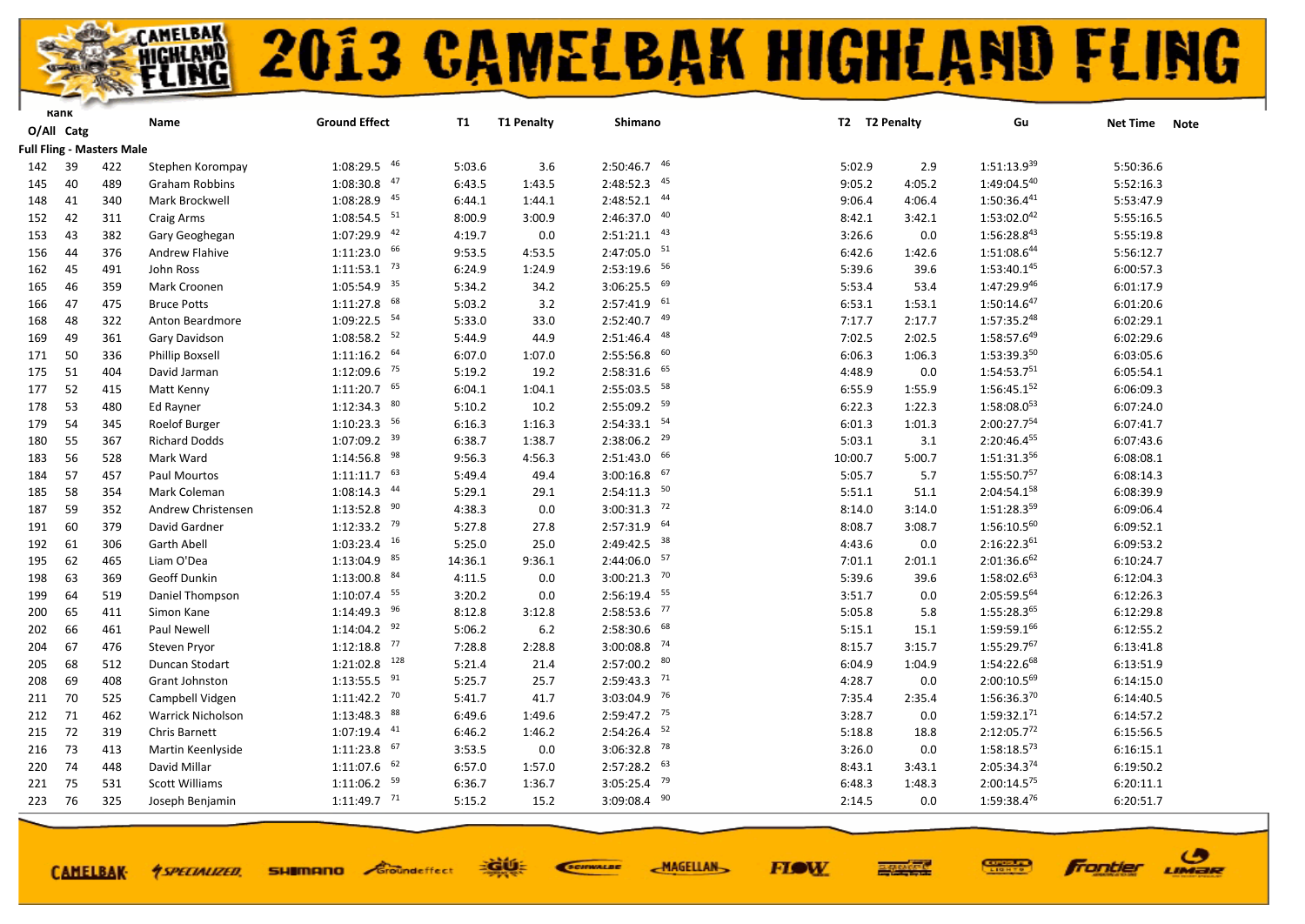

|     | Kank       |                           | Name                     | <b>Ground Effect</b>      | T1      | <b>T1 Penalty</b> | Shimano                   |         | T2 T2 Penalty | Gu                      | Net Time  | <b>Note</b> |
|-----|------------|---------------------------|--------------------------|---------------------------|---------|-------------------|---------------------------|---------|---------------|-------------------------|-----------|-------------|
|     | O/All Catg |                           |                          |                           |         |                   |                           |         |               |                         |           |             |
|     |            | Full Fling - Masters Male |                          |                           |         |                   |                           |         |               |                         |           |             |
| 142 | 39         | 422                       | Stephen Korompay         | 46<br>1:08:29.5           | 5:03.6  | 3.6               | $2:50:46.7$ $46$          | 5:02.9  | 2.9           | $1:51:13.9^{39}$        | 5:50:36.6 |             |
| 145 | 40         | 489                       | <b>Graham Robbins</b>    | 47<br>1:08:30.8           | 6:43.5  | 1:43.5            | $2:48:52.3$ $45$          | 9:05.2  | 4:05.2        | 1:49:04.540             | 5:52:16.3 |             |
| 148 | 41         | 340                       | Mark Brockwell           | 45<br>1:08:28.9           | 6:44.1  | 1:44.1            | $2:48:52.1$ $44$          | 9:06.4  | 4:06.4        | $1:50:36.4^{41}$        | 5:53:47.9 |             |
| 152 | 42         | 311                       | Craig Arms               | $1:08:54.5$ <sup>51</sup> | 8:00.9  | 3:00.9            | 2:46:37.0 40              | 8:42.1  | 3:42.1        | 1:53:02.042             | 5:55:16.5 |             |
| 153 | 43         | 382                       | Gary Geoghegan           | 42<br>1:07:29.9           | 4:19.7  | 0.0               | $2:51:21.1$ $43$          | 3:26.6  | 0.0           | 1:56:28.843             | 5:55:19.8 |             |
| 156 | 44         | 376                       | Andrew Flahive           | $1:11:23.0$ 66            | 9:53.5  | 4:53.5            | $2:47:05.0$ 51            | 6:42.6  | 1:42.6        | 1:51:08.644             | 5:56:12.7 |             |
| 162 | 45         | 491                       | John Ross                | $1:11:53.1$ <sup>73</sup> | 6:24.9  | 1:24.9            | $2:53:19.6$ 56            | 5:39.6  | 39.6          | $1:53:40.1^{45}$        | 6:00:57.3 |             |
| 165 | 46         | 359                       | Mark Croonen             | $1:05:54.9$ 35            | 5:34.2  | 34.2              | $3:06:25.5$ 69            | 5:53.4  | 53.4          | 1:47:29.946             | 6:01:17.9 |             |
| 166 | 47         | 475                       | <b>Bruce Potts</b>       | 68<br>1:11:27.8           | 5:03.2  | 3.2               | $2:57:41.9$ $61$          | 6:53.1  | 1:53.1        | $1:50:14.6^{47}$        | 6:01:20.6 |             |
| 168 | 48         | 322                       | Anton Beardmore          | 54<br>1:09:22.5           | 5:33.0  | 33.0              | $2:52:40.7$ $49$          | 7:17.7  | 2:17.7        | $1:57:35.2^{48}$        | 6:02:29.1 |             |
| 169 | 49         | 361                       | Gary Davidson            | $1:08:58.2$ <sup>52</sup> | 5:44.9  | 44.9              | 48<br>2:51:46.4           | 7:02.5  | 2:02.5        | 1:58:57.649             | 6:02:29.6 |             |
| 171 | 50         | 336                       | <b>Phillip Boxsell</b>   | $1:11:16.2$ 64            | 6:07.0  | 1:07.0            | $2:55:56.8$ 60            | 6:06.3  | 1:06.3        | 1:53:39.350             | 6:03:05.6 |             |
| 175 | 51         | 404                       | David Jarman             | $1:12:09.6$ <sup>75</sup> | 5:19.2  | 19.2              | $2:58:31.6$ 65            | 4:48.9  | 0.0           | 1:54:53.751             | 6:05:54.1 |             |
| 177 | 52         | 415                       | Matt Kenny               | $1:11:20.7$ 65            | 6:04.1  | 1:04.1            | $2:55:03.5$ 58            | 6:55.9  | 1:55.9        | $1:56:45.1^{52}$        | 6:06:09.3 |             |
| 178 | 53         | 480                       | Ed Rayner                | $1:12:34.3$ 80            | 5:10.2  | 10.2              | 2:55:09.2 59              | 6:22.3  | 1:22.3        | 1:58:08.053             | 6:07:24.0 |             |
| 179 | 54         | 345                       | Roelof Burger            | $1:10:23.3$ 56            | 6:16.3  | 1:16.3            | $2:54:33.1$ <sup>54</sup> | 6:01.3  | 1:01.3        | 2:00:27.754             | 6:07:41.7 |             |
| 180 | 55         | 367                       | <b>Richard Dodds</b>     | $1:07:09.2$ 39            | 6:38.7  | 1:38.7            | $2:38:06.2$ <sup>29</sup> | 5:03.1  | 3.1           | 2:20:46.455             | 6:07:43.6 |             |
| 183 | 56         | 528                       | Mark Ward                | 98<br>1:14:56.8           | 9:56.3  | 4:56.3            | $2:51:43.0$ 66            | 10:00.7 | 5:00.7        | 1:51:31.3 <sup>56</sup> | 6:08:08.1 |             |
| 184 | 57         | 457                       | <b>Paul Mourtos</b>      | $1:11:11.7$ 63            | 5:49.4  | 49.4              | $3:00:16.8$ 67            | 5:05.7  | 5.7           | 1:55:50.757             | 6:08:14.3 |             |
| 185 | 58         | 354                       | Mark Coleman             | 44<br>1:08:14.3           | 5:29.1  | 29.1              | $2:54:11.3$ <sup>50</sup> | 5:51.1  | 51.1          | 2:04:54.158             | 6:08:39.9 |             |
| 187 | 59         | 352                       | Andrew Christensen       | $1:13:52.8$ $90$          | 4:38.3  | 0.0               | $3:00:31.3$ <sup>72</sup> | 8:14.0  | 3:14.0        | 1:51:28.359             | 6:09:06.4 |             |
| 191 | 60         | 379                       | David Gardner            | $1:12:33.2$ <sup>79</sup> | 5:27.8  | 27.8              | $2:57:31.9$ 64            | 8:08.7  | 3:08.7        | $1:56:10.5^{60}$        | 6:09:52.1 |             |
| 192 | 61         | 306                       | <b>Garth Abell</b>       | $1:03:23.4$ 16            | 5:25.0  | 25.0              | 2:49:42.5 38              | 4:43.6  | 0.0           | 2:16:22.361             | 6:09:53.2 |             |
| 195 | 62         | 465                       | Liam O'Dea               | $1:13:04.9$ $85$          | 14:36.1 | 9:36.1            | $2:44:06.0$ $57$          | 7:01.1  | 2:01.1        | 2:01:36.662             | 6:10:24.7 |             |
| 198 | 63         | 369                       | Geoff Dunkin             | $1:13:00.8$ $84$          | 4:11.5  | 0.0               | $3:00:21.3$ <sup>70</sup> | 5:39.6  | 39.6          | 1:58:02.663             | 6:12:04.3 |             |
| 199 | 64         | 519                       | Daniel Thompson          | $1:10:07.4$ 55            | 3:20.2  | 0.0               | $2:56:19.4$ 55            | 3:51.7  | 0.0           | 2:05:59.564             | 6:12:26.3 |             |
| 200 | 65         | 411                       | Simon Kane               | 96<br>1:14:49.3           | 8:12.8  | 3:12.8            | $2:58:53.6$ $77$          | 5:05.8  | 5.8           | 1:55:28.365             | 6:12:29.8 |             |
| 202 | 66         | 461                       | Paul Newell              | $1:14:04.2$ <sup>92</sup> | 5:06.2  | 6.2               | $2:58:30.6$ 68            | 5:15.1  | 15.1          | 1:59:59.166             | 6:12:55.2 |             |
| 204 | 67         | 476                       | Steven Pryor             | 77<br>1:12:18.8           | 7:28.8  | 2:28.8            | $3:00:08.8$ <sup>74</sup> | 8:15.7  | 3:15.7        | 1:55:29.767             | 6:13:41.8 |             |
| 205 | 68         | 512                       | Duncan Stodart           | 128<br>1:21:02.8          | 5:21.4  | 21.4              | $2:57:00.2$ 80            | 6:04.9  | 1:04.9        | 1:54:22.668             | 6:13:51.9 |             |
| 208 | 69         | 408                       | Grant Johnston           | 91<br>1:13:55.5           | 5:25.7  | 25.7              | $2:59:43.3$ <sup>71</sup> | 4:28.7  | 0.0           | $2:00:10.5^{69}$        | 6:14:15.0 |             |
| 211 | 70         | 525                       | Campbell Vidgen          | $1:11:42.2$ <sup>70</sup> | 5:41.7  | 41.7              | $3:03:04.9$ <sup>76</sup> | 7:35.4  | 2:35.4        | 1:56:36.370             | 6:14:40.5 |             |
| 212 | 71         | 462                       | <b>Warrick Nicholson</b> | 88<br>1:13:48.3           | 6:49.6  | 1:49.6            | $2:59:47.2$ <sup>75</sup> | 3:28.7  | 0.0           | $1:59:32.1^{71}$        | 6:14:57.2 |             |
| 215 | 72         | 319                       | Chris Barnett            | $1:07:19.4$ $41$          | 6:46.2  | 1:46.2            | $2:54:26.4$ <sup>52</sup> | 5:18.8  | 18.8          | 2:12:05.772             | 6:15:56.5 |             |
| 216 | 73         | 413                       | Martin Keenlyside        | 67<br>1:11:23.8           | 3:53.5  | 0.0               | $3:06:32.8$ <sup>78</sup> | 3:26.0  | 0.0           | $1:58:18.5^{73}$        | 6:16:15.1 |             |
| 220 | 74         | 448                       | David Millar             | $1:11:07.6$ 62            | 6:57.0  | 1:57.0            | $2:57:28.2$ 63            | 8:43.1  | 3:43.1        | 2:05:34.374             | 6:19:50.2 |             |
| 221 | 75         | 531                       | <b>Scott Williams</b>    | $1:11:06.2$ <sup>59</sup> | 6:36.7  | 1:36.7            | $3:05:25.4$ <sup>79</sup> | 6:48.3  | 1:48.3        | 2:00:14.575             | 6:20:11.1 |             |
| 223 | 76         | 325                       | Joseph Benjamin          | $1:11:49.7$ <sup>71</sup> | 5:15.2  | 15.2              | $3:09:08.4$ 90            | 2:14.5  | 0.0           | 1:59:38.476             | 6:20:51.7 |             |
|     |            |                           |                          |                           |         |                   |                           |         |               |                         |           |             |

**CAMELBAK-**

**SHIMANO** Groundeffect *<u>ASPECIALIZED.</u>* 

EGUE SCIENALDE **MAGELLAN** 

**FIOW** 



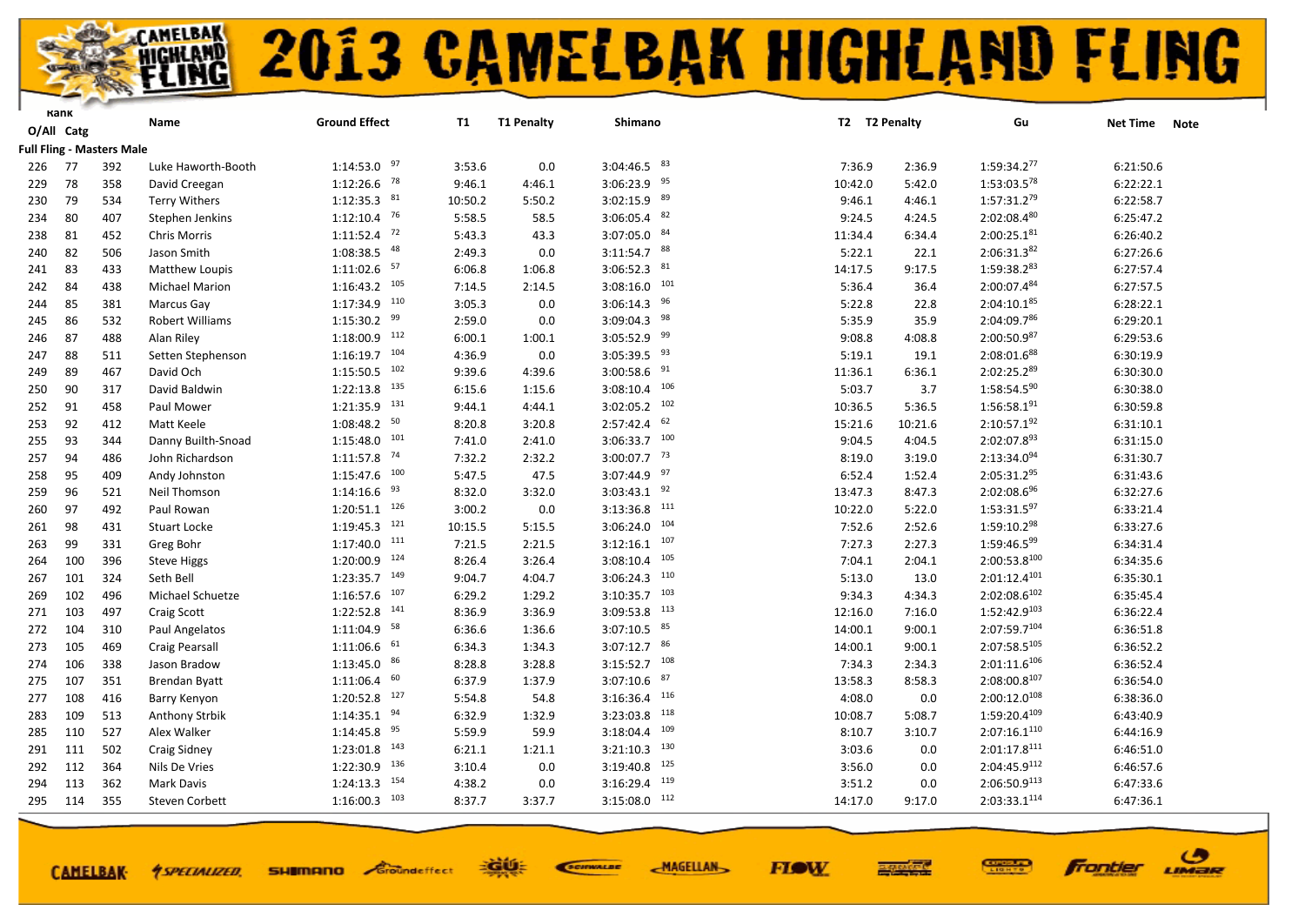

|     | Kank       |                                  | Name                   | <b>Ground Effect</b>       | <b>T1</b> | <b>T1 Penalty</b> | Shimano                   | T2 T2 Penalty |         | Gu                       | <b>Net Time</b> | <b>Note</b> |
|-----|------------|----------------------------------|------------------------|----------------------------|-----------|-------------------|---------------------------|---------------|---------|--------------------------|-----------------|-------------|
|     | O/All Catg |                                  |                        |                            |           |                   |                           |               |         |                          |                 |             |
|     |            | <b>Full Fling - Masters Male</b> |                        |                            |           |                   |                           |               |         |                          |                 |             |
| 226 | 77         | 392                              | Luke Haworth-Booth     | $1:14:53.0$ 97             | 3:53.6    | 0.0               | $3:04:46.5$ $83$          | 7:36.9        | 2:36.9  | 1:59:34.277              | 6:21:50.6       |             |
| 229 | 78         | 358                              | David Creegan          | $1:12:26.6$ <sup>78</sup>  | 9:46.1    | 4:46.1            | $3:06:23.9$ 95            | 10:42.0       | 5:42.0  | 1:53:03.578              | 6:22:22.1       |             |
| 230 | 79         | 534                              | <b>Terry Withers</b>   | $1:12:35.3$ $81$           | 10:50.2   | 5:50.2            | $3:02:15.9$ $89$          | 9:46.1        | 4:46.1  | $1:57:31.2^{79}$         | 6:22:58.7       |             |
| 234 | 80         | 407                              | Stephen Jenkins        | $1:12:10.4$ 76             | 5:58.5    | 58.5              | $3:06:05.4$ 82            | 9:24.5        | 4:24.5  | 2:02:08.480              | 6:25:47.2       |             |
| 238 | 81         | 452                              | Chris Morris           | $1:11:52.4$ <sup>72</sup>  | 5:43.3    | 43.3              | $3:07:05.0$ $84$          | 11:34.4       | 6:34.4  | $2:00:25.1^{81}$         | 6:26:40.2       |             |
| 240 | 82         | 506                              | Jason Smith            | 1:08:38.5 48               | 2:49.3    | 0.0               | $3:11:54.7$ 88            | 5:22.1        | 22.1    | 2:06:31.382              | 6:27:26.6       |             |
| 241 | 83         | 433                              | Matthew Loupis         | $1:11:02.6$ <sup>57</sup>  | 6:06.8    | 1:06.8            | $3:06:52.3$ $81$          | 14:17.5       | 9:17.5  | 1:59:38.283              | 6:27:57.4       |             |
| 242 | 84         | 438                              | <b>Michael Marion</b>  | $1:16:43.2$ 105            | 7:14.5    | 2:14.5            | 101<br>3:08:16.0          | 5:36.4        | 36.4    | 2:00:07.484              | 6:27:57.5       |             |
| 244 | 85         | 381                              | Marcus Gay             | $1:17:34.9$ <sup>110</sup> | 3:05.3    | 0.0               | 96<br>3:06:14.3           | 5:22.8        | 22.8    | $2:04:10.1^{85}$         | 6:28:22.1       |             |
| 245 | 86         | 532                              | <b>Robert Williams</b> | $1:15:30.2$ $99$           | 2:59.0    | 0.0               | $3:09:04.3$ <sup>98</sup> | 5:35.9        | 35.9    | 2:04:09.786              | 6:29:20.1       |             |
| 246 | 87         | 488                              | Alan Riley             | $1:18:00.9$ 112            | 6:00.1    | 1:00.1            | $3:05:52.9$ <sup>99</sup> | 9:08.8        | 4:08.8  | 2:00:50.987              | 6:29:53.6       |             |
| 247 | 88         | 511                              | Setten Stephenson      | $1:16:19.7$ <sup>104</sup> | 4:36.9    | 0.0               | $3:05:39.5$ <sup>93</sup> | 5:19.1        | 19.1    | 2:08:01.688              | 6:30:19.9       |             |
| 249 | 89         | 467                              | David Och              | $1:15:50.5$ 102            | 9:39.6    | 4:39.6            | $3:00:58.6$ <sup>91</sup> | 11:36.1       | 6:36.1  | 2:02:25.289              | 6:30:30.0       |             |
| 250 | 90         | 317                              | David Baldwin          | 135<br>1:22:13.8           | 6:15.6    | 1:15.6            | 106<br>3:08:10.4          | 5:03.7        | 3.7     | 1:58:54.590              | 6:30:38.0       |             |
| 252 | 91         | 458                              | Paul Mower             | $1:21:35.9$ $131$          | 9:44.1    | 4:44.1            | 102<br>3:02:05.2          | 10:36.5       | 5:36.5  | 1:56:58.191              | 6:30:59.8       |             |
| 253 | 92         | 412                              | Matt Keele             | $1:08:48.2$ 50             | 8:20.8    | 3:20.8            | 62<br>2:57:42.4           | 15:21.6       | 10:21.6 | $2:10:57.1^{92}$         | 6:31:10.1       |             |
| 255 | 93         | 344                              | Danny Builth-Snoad     | 101<br>1:15:48.0           | 7:41.0    | 2:41.0            | $3:06:33.7$ 100           | 9:04.5        | 4:04.5  | 2:02:07.893              | 6:31:15.0       |             |
| 257 | 94         | 486                              | John Richardson        | $1:11:57.8$ <sup>74</sup>  | 7:32.2    | 2:32.2            | $3:00:07.7$ <sup>73</sup> | 8:19.0        | 3:19.0  | $2:13:34.0^{94}$         | 6:31:30.7       |             |
| 258 | 95         | 409                              | Andy Johnston          | $1:15:47.6$ 100            | 5:47.5    | 47.5              | $3:07:44.9$ 97            | 6:52.4        | 1:52.4  | 2:05:31.295              | 6:31:43.6       |             |
| 259 | 96         | 521                              | Neil Thomson           | 93<br>1:14:16.6            | 8:32.0    | 3:32.0            | $3:03:43.1$ 92            | 13:47.3       | 8:47.3  | $2:02:08.6^{96}$         | 6:32:27.6       |             |
| 260 | 97         | 492                              | Paul Rowan             | $1:20:51.1$ $126$          | 3:00.2    | 0.0               | 111<br>3:13:36.8          | 10:22.0       | 5:22.0  | 1:53:31.597              | 6:33:21.4       |             |
| 261 | 98         | 431                              | <b>Stuart Locke</b>    | $1:19:45.3$ <sup>121</sup> | 10:15.5   | 5:15.5            | 104<br>3:06:24.0          | 7:52.6        | 2:52.6  | 1:59:10.298              | 6:33:27.6       |             |
| 263 | 99         | 331                              | Greg Bohr              | $1:17:40.0$ $111$          | 7:21.5    | 2:21.5            | $3:12:16.1$ 107           | 7:27.3        | 2:27.3  | 1:59:46.599              | 6:34:31.4       |             |
| 264 | 100        | 396                              | <b>Steve Higgs</b>     | 124<br>1:20:00.9           | 8:26.4    | 3:26.4            | 105<br>3:08:10.4          | 7:04.1        | 2:04.1  | 2:00:53.8100             | 6:34:35.6       |             |
| 267 | 101        | 324                              | Seth Bell              | $1:23:35.7$ 149            | 9:04.7    | 4:04.7            | 110<br>3:06:24.3          | 5:13.0        | 13.0    | $2:01:12.4^{101}$        | 6:35:30.1       |             |
| 269 | 102        | 496                              | Michael Schuetze       | 107<br>1:16:57.6           | 6:29.2    | 1:29.2            | 103<br>3:10:35.7          | 9:34.3        | 4:34.3  | $2:02:08.6^{102}$        | 6:35:45.4       |             |
| 271 | 103        | 497                              | Craig Scott            | 141<br>1:22:52.8           | 8:36.9    | 3:36.9            | 113<br>3:09:53.8          | 12:16.0       | 7:16.0  | $1:52:42.9^{103}$        | 6:36:22.4       |             |
| 272 | 104        | 310                              | Paul Angelatos         | $1:11:04.9$ <sup>58</sup>  | 6:36.6    | 1:36.6            | $3:07:10.5$ $85$          | 14:00.1       | 9:00.1  | 2:07:59.7104             | 6:36:51.8       |             |
| 273 | 105        | 469                              | Craig Pearsall         | 61<br>1:11:06.6            | 6:34.3    | 1:34.3            | $3:07:12.7$ 86            | 14:00.1       | 9:00.1  | $2:07:58.5^{105}$        | 6:36:52.2       |             |
| 274 | 106        | 338                              | Jason Bradow           | $1:13:45.0$ 86             | 8:28.8    | 3:28.8            | 108<br>3:15:52.7          | 7:34.3        | 2:34.3  | $2:01:11.6^{106}$        | 6:36:52.4       |             |
| 275 | 107        | 351                              | Brendan Byatt          | 60<br>1:11:06.4            | 6:37.9    | 1:37.9            | 87<br>3:07:10.6           | 13:58.3       | 8:58.3  | 2:08:00.8107             | 6:36:54.0       |             |
| 277 | 108        | 416                              | Barry Kenyon           | $1:20:52.8$ $127$          | 5:54.8    | 54.8              | $3:16:36.4$ 116           | 4:08.0        | 0.0     | 2:00:12.0 <sup>108</sup> | 6:38:36.0       |             |
| 283 | 109        | 513                              | Anthony Strbik         | $1:14:35.1$ $94$           | 6:32.9    | 1:32.9            | 118<br>3:23:03.8          | 10:08.7       | 5:08.7  | 1:59:20.4109             | 6:43:40.9       |             |
| 285 | 110        | 527                              | Alex Walker            | $1:14:45.8$ 95             | 5:59.9    | 59.9              | 109<br>3:18:04.4          | 8:10.7        | 3:10.7  | 2:07:16.1 <sup>110</sup> | 6:44:16.9       |             |
| 291 | 111        | 502                              | Craig Sidney           | $1:23:01.8$ $143$          | 6:21.1    | 1:21.1            | 130<br>3:21:10.3          | 3:03.6        | 0.0     | $2:01:17.8^{111}$        | 6:46:51.0       |             |
| 292 | 112        | 364                              | Nils De Vries          | 1:22:30.9 136              | 3:10.4    | 0.0               | 125<br>3:19:40.8          | 3:56.0        | 0.0     | 2:04:45.9112             | 6:46:57.6       |             |
| 294 | 113        | 362                              | <b>Mark Davis</b>      | 154<br>1:24:13.3           | 4:38.2    | 0.0               | 119<br>3:16:29.4          | 3:51.2        | 0.0     | 2:06:50.9 <sup>113</sup> | 6:47:33.6       |             |
| 295 | 114        | 355                              | <b>Steven Corbett</b>  | $1:16:00.3$ 103            | 8:37.7    | 3:37.7            | 112<br>3:15:08.0          | 14:17.0       | 9:17.0  | 2:03:33.1114             | 6:47:36.1       |             |
|     |            |                                  |                        |                            |           |                   |                           |               |         |                          |                 |             |

**CAMELBAK-**

**SHIMANO** Groundeffect *<u>ASPECIALIZED.</u>* 

EGUE SCIENALDE **MAGELLAN** 

**FIOW** 



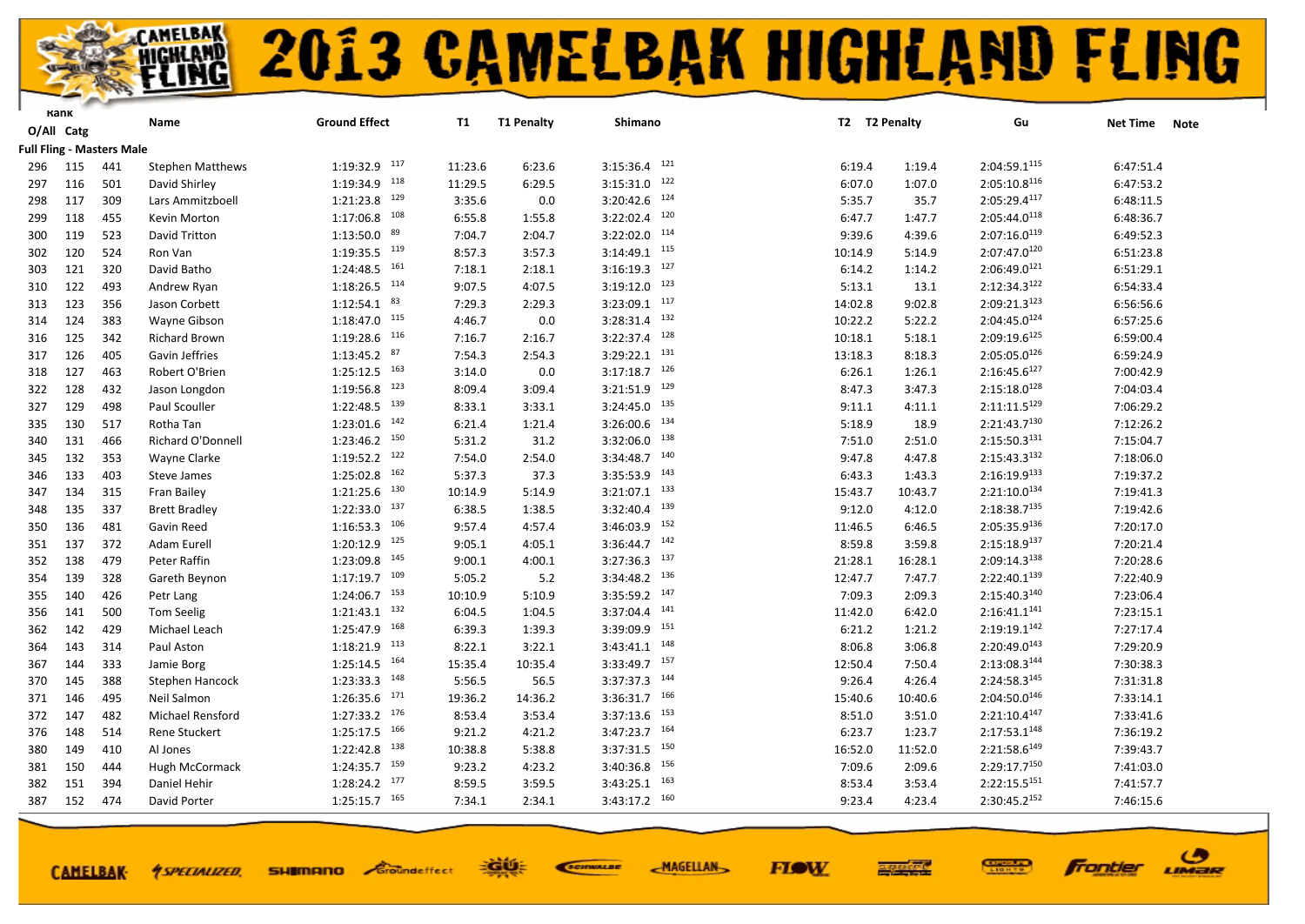

|     | Kank       |                                  | Name                    | <b>Ground Effect</b>       | T1      | <b>T1 Penalty</b> | <b>Shimano</b>    | T2 T2 Penalty |         | Gu                       | <b>Net Time</b> | <b>Note</b> |
|-----|------------|----------------------------------|-------------------------|----------------------------|---------|-------------------|-------------------|---------------|---------|--------------------------|-----------------|-------------|
|     | O/All Catg |                                  |                         |                            |         |                   |                   |               |         |                          |                 |             |
|     |            | <b>Full Fling - Masters Male</b> |                         |                            |         |                   |                   |               |         |                          |                 |             |
| 296 | 115        | 441                              | <b>Stephen Matthews</b> | $1:19:32.9$ <sup>117</sup> | 11:23.6 | 6:23.6            | $3:15:36.4$ 121   | 6:19.4        | 1:19.4  | 2:04:59.1115             | 6:47:51.4       |             |
| 297 | 116        | 501                              | David Shirley           | 1:19:34.9 118              | 11:29.5 | 6:29.5            | $3:15:31.0$ 122   | 6:07.0        | 1:07.0  | 2:05:10.8116             | 6:47:53.2       |             |
| 298 | 117        | 309                              | Lars Ammitzboell        | 129<br>1:21:23.8           | 3:35.6  | 0.0               | 124<br>3:20:42.6  | 5:35.7        | 35.7    | 2:05:29.4117             | 6:48:11.5       |             |
| 299 | 118        | 455                              | Kevin Morton            | $1:17:06.8$ 108            | 6:55.8  | 1:55.8            | $3:22:02.4$ 120   | 6:47.7        | 1:47.7  | 2:05:44.0118             | 6:48:36.7       |             |
| 300 | 119        | 523                              | David Tritton           | 89<br>1:13:50.0            | 7:04.7  | 2:04.7            | $3:22:02.0$ $114$ | 9:39.6        | 4:39.6  | $2:07:16.0^{119}$        | 6:49:52.3       |             |
| 302 | 120        | 524                              | Ron Van                 | $1:19:35.5$ $119$          | 8:57.3  | 3:57.3            | $3:14:49.1$ 115   | 10:14.9       | 5:14.9  | $2:07:47.0^{120}$        | 6:51:23.8       |             |
| 303 | 121        | 320                              | David Batho             | $1:24:48.5$ <sup>161</sup> | 7:18.1  | 2:18.1            | $3:16:19.3$ 127   | 6:14.2        | 1:14.2  | $2:06:49.0^{121}$        | 6:51:29.1       |             |
| 310 | 122        | 493                              | Andrew Ryan             | $1:18:26.5$ $114$          | 9:07.5  | 4:07.5            | $3:19:12.0$ 123   | 5:13.1        | 13.1    | 2:12:34.3122             | 6:54:33.4       |             |
| 313 | 123        | 356                              | Jason Corbett           | $1:12:54.1$ $83$           | 7:29.3  | 2:29.3            | $3:23:09.1$ 117   | 14:02.8       | 9:02.8  | $2:09:21.3^{123}$        | 6:56:56.6       |             |
| 314 | 124        | 383                              | Wayne Gibson            | $1:18:47.0$ $115$          | 4:46.7  | 0.0               | $3:28:31.4$ $132$ | 10:22.2       | 5:22.2  | $2:04:45.0^{124}$        | 6:57:25.6       |             |
| 316 | 125        | 342                              | <b>Richard Brown</b>    | $1:19:28.6$ $116$          | 7:16.7  | 2:16.7            | $3:22:37.4$ $128$ | 10:18.1       | 5:18.1  | 2:09:19.6 <sup>125</sup> | 6:59:00.4       |             |
| 317 | 126        | 405                              | Gavin Jeffries          | $1:13:45.2$ 87             | 7:54.3  | 2:54.3            | 131<br>3:29:22.1  | 13:18.3       | 8:18.3  | 2:05:05.0126             | 6:59:24.9       |             |
| 318 | 127        | 463                              | Robert O'Brien          | $1:25:12.5$ 163            | 3:14.0  | 0.0               | $3:17:18.7$ 126   | 6:26.1        | 1:26.1  | $2:16:45.6^{127}$        | 7:00:42.9       |             |
| 322 | 128        | 432                              | Jason Longdon           | $1:19:56.8$ <sup>123</sup> | 8:09.4  | 3:09.4            | 129<br>3:21:51.9  | 8:47.3        | 3:47.3  | $2:15:18.0^{128}$        | 7:04:03.4       |             |
| 327 | 129        | 498                              | Paul Scouller           | 1:22:48.5 139              | 8:33.1  | 3:33.1            | 135<br>3:24:45.0  | 9:11.1        | 4:11.1  | $2:11:11.5^{129}$        | 7:06:29.2       |             |
| 335 | 130        | 517                              | Rotha Tan               | $1:23:01.6$ $142$          | 6:21.4  | 1:21.4            | 134<br>3:26:00.6  | 5:18.9        | 18.9    | $2:21:43.7^{130}$        | 7:12:26.2       |             |
| 340 | 131        | 466                              | Richard O'Donnell       | $1:23:46.2$ $150$          | 5:31.2  | 31.2              | $3:32:06.0$ 138   | 7:51.0        | 2:51.0  | 2:15:50.3131             | 7:15:04.7       |             |
| 345 | 132        | 353                              | <b>Wayne Clarke</b>     | $1:19:52.2$ <sup>122</sup> | 7:54.0  | 2:54.0            | $3:34:48.7$ 140   | 9:47.8        | 4:47.8  | $2:15:43.3^{132}$        | 7:18:06.0       |             |
| 346 | 133        | 403                              | Steve James             | $1:25:02.8$ 162            | 5:37.3  | 37.3              | $3:35:53.9$ 143   | 6:43.3        | 1:43.3  | 2:16:19.9133             | 7:19:37.2       |             |
| 347 | 134        | 315                              | Fran Bailey             | $1:21:25.6$ $130$          | 10:14.9 | 5:14.9            | 133<br>3:21:07.1  | 15:43.7       | 10:43.7 | $2:21:10.0^{134}$        | 7:19:41.3       |             |
| 348 | 135        | 337                              | <b>Brett Bradley</b>    | $1:22:33.0$ $137$          | 6:38.5  | 1:38.5            | $3:32:40.4$ $139$ | 9:12.0        | 4:12.0  | 2:18:38.7135             | 7:19:42.6       |             |
| 350 | 136        | 481                              | Gavin Reed              | $1:16:53.3$ <sup>106</sup> | 9:57.4  | 4:57.4            | $3:46:03.9$ $152$ | 11:46.5       | 6:46.5  | 2:05:35.9136             | 7:20:17.0       |             |
| 351 | 137        | 372                              | Adam Eurell             | $1:20:12.9$ 125            | 9:05.1  | 4:05.1            | $3:36:44.7$ 142   | 8:59.8        | 3:59.8  | 2:15:18.9137             | 7:20:21.4       |             |
| 352 | 138        | 479                              | Peter Raffin            | $1:23:09.8$ $145$          | 9:00.1  | 4:00.1            | $3:27:36.3$ $137$ | 21:28.1       | 16:28.1 | 2:09:14.3138             | 7:20:28.6       |             |
| 354 | 139        | 328                              | Gareth Beynon           | $1:17:19.7$ 109            | 5:05.2  | 5.2               | $3:34:48.2$ 136   | 12:47.7       | 7:47.7  | 2:22:40.1139             | 7:22:40.9       |             |
| 355 | 140        | 426                              | Petr Lang               | $1:24:06.7$ $153$          | 10:10.9 | 5:10.9            | $3:35:59.2$ 147   | 7:09.3        | 2:09.3  | $2:15:40.3^{140}$        | 7:23:06.4       |             |
| 356 | 141        | 500                              | Tom Seelig              | $1:21:43.1$ $132$          | 6:04.5  | 1:04.5            | 141<br>3:37:04.4  | 11:42.0       | 6:42.0  | $2:16:41.1^{141}$        | 7:23:15.1       |             |
| 362 | 142        | 429                              | Michael Leach           | 1:25:47.9 168              | 6:39.3  | 1:39.3            | $3:39:09.9$ $151$ | 6:21.2        | 1:21.2  | $2:19:19.1^{142}$        | 7:27:17.4       |             |
| 364 | 143        | 314                              | Paul Aston              | $1:18:21.9$ $113$          | 8:22.1  | 3:22.1            | $3:43:41.1$ $148$ | 8:06.8        | 3:06.8  | $2:20:49.0^{143}$        | 7:29:20.9       |             |
| 367 | 144        | 333                              | Jamie Borg              | $1:25:14.5$ <sup>164</sup> | 15:35.4 | 10:35.4           | $3:33:49.7$ 157   | 12:50.4       | 7:50.4  | $2:13:08.3^{144}$        | 7:30:38.3       |             |
| 370 | 145        | 388                              | <b>Stephen Hancock</b>  | $1:23:33.3$ $148$          | 5:56.5  | 56.5              | $3:37:37.3$ $144$ | 9:26.4        | 4:26.4  | $2:24:58.3^{145}$        | 7:31:31.8       |             |
| 371 | 146        | 495                              | Neil Salmon             | $1:26:35.6$ $171$          | 19:36.2 | 14:36.2           | $3:36:31.7$ 166   | 15:40.6       | 10:40.6 | 2:04:50.0146             | 7:33:14.1       |             |
| 372 | 147        | 482                              | Michael Rensford        | $1:27:33.2$ $176$          | 8:53.4  | 3:53.4            | 153<br>3:37:13.6  | 8:51.0        | 3:51.0  | $2:21:10.4^{147}$        | 7:33:41.6       |             |
| 376 | 148        | 514                              | Rene Stuckert           | $1:25:17.5$ 166            | 9:21.2  | 4:21.2            | $3:47:23.7$ 164   | 6:23.7        | 1:23.7  | 2:17:53.1 <sup>148</sup> | 7:36:19.2       |             |
| 380 | 149        | 410                              | Al Jones                | 138<br>1:22:42.8           | 10:38.8 | 5:38.8            | $3:37:31.5$ $150$ | 16:52.0       | 11:52.0 | $2:21:58.6^{149}$        | 7:39:43.7       |             |
| 381 | 150        | 444                              | Hugh McCormack          | $1:24:35.7$ 159            | 9:23.2  | 4:23.2            | 156<br>3:40:36.8  | 7:09.6        | 2:09.6  | 2:29:17.7150             | 7:41:03.0       |             |
| 382 | 151        | 394                              | Daniel Hehir            | $1:28:24.2$ $177$          | 8:59.5  | 3:59.5            | 163<br>3:43:25.1  | 8:53.4        | 3:53.4  | $2:22:15.5^{151}$        | 7:41:57.7       |             |
| 387 | 152        | 474                              | David Porter            | $1:25:15.7$ 165            | 7:34.1  | 2:34.1            | $3:43:17.2$ 160   | 9:23.4        | 4:23.4  | 2:30:45.2152             | 7:46:15.6       |             |
|     |            |                                  |                         |                            |         |                   |                   |               |         |                          |                 |             |

**CAMELBAK-**

**SHIMANO** Groundeffect *<u>ASPECIALIZED.</u>* 

EGUE SCIENALDE

**FIOW MAGELLAN** 



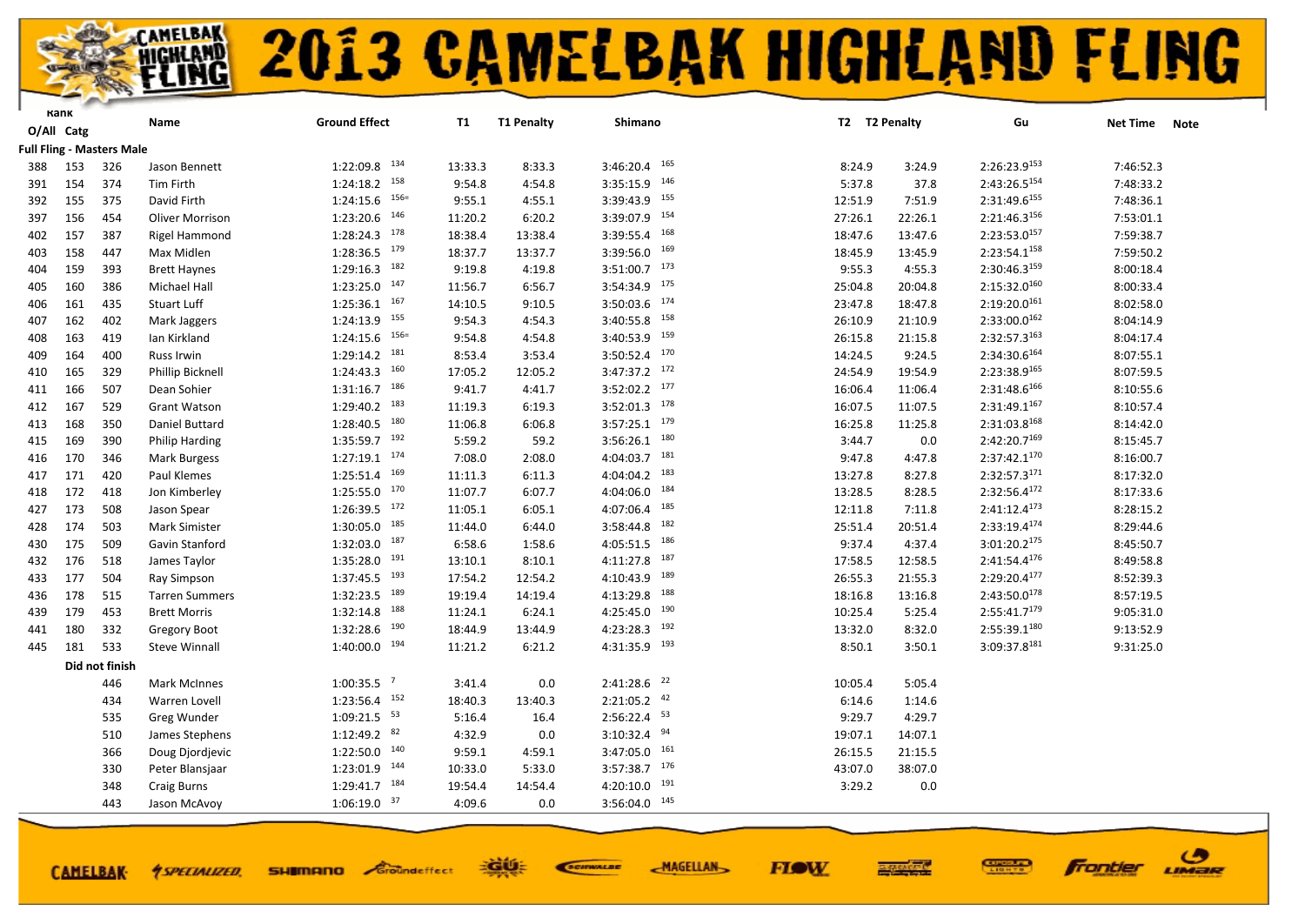#### **ELING 2013 CAMELBAK HIGHLAND FLING**

**FIOW** 

ဖ

LIMER

**Frontier** 

|            | Kank |                                  | Name                   | <b>Ground Effect</b>       | <b>T1</b> | <b>T1 Penalty</b> | Shimano                    |         | T2 T2 Penalty | Gu                       | <b>Net Time</b><br><b>Note</b> |
|------------|------|----------------------------------|------------------------|----------------------------|-----------|-------------------|----------------------------|---------|---------------|--------------------------|--------------------------------|
| O/All Catg |      |                                  |                        |                            |           |                   |                            |         |               |                          |                                |
|            |      | <b>Full Fling - Masters Male</b> |                        |                            |           |                   |                            |         |               |                          |                                |
| 388        | 153  | 326                              | Jason Bennett          | $1:22:09.8$ $134$          | 13:33.3   | 8:33.3            | $3:46:20.4$ 165            | 8:24.9  | 3:24.9        | 2:26:23.9153             | 7:46:52.3                      |
| 391        | 154  | 374                              | Tim Firth              | $1:24:18.2$ $158$          | 9:54.8    | 4:54.8            | $3:35:15.9$ 146            | 5:37.8  | 37.8          | 2:43:26.5154             | 7:48:33.2                      |
| 392        | 155  | 375                              | David Firth            | $156=$<br>1:24:15.6        | 9:55.1    | 4:55.1            | $3:39:43.9$ <sup>155</sup> | 12:51.9 | 7:51.9        | 2:31:49.6155             | 7:48:36.1                      |
| 397        | 156  | 454                              | <b>Oliver Morrison</b> | 1:23:20.6 146              | 11:20.2   | 6:20.2            | 3:39:07.9 154              | 27:26.1 | 22:26.1       | 2:21:46.3156             | 7:53:01.1                      |
| 402        | 157  | 387                              | Rigel Hammond          | $1:28:24.3$ $178$          | 18:38.4   | 13:38.4           | $3:39:55.4$ 168            | 18:47.6 | 13:47.6       | 2:23:53.0157             | 7:59:38.7                      |
| 403        | 158  | 447                              | Max Midlen             | $1:28:36.5$ $179$          | 18:37.7   | 13:37.7           | $3:39:56.0$ 169            | 18:45.9 | 13:45.9       | 2:23:54.1158             | 7:59:50.2                      |
| 404        | 159  | 393                              | <b>Brett Haynes</b>    | $1:29:16.3$ 182            | 9:19.8    | 4:19.8            | $3:51:00.7$ 173            | 9:55.3  | 4:55.3        | 2:30:46.3159             | 8:00:18.4                      |
| 405        | 160  | 386                              | Michael Hall           | $1:23:25.0$ 147            | 11:56.7   | 6:56.7            | 3:54:34.9 175              | 25:04.8 | 20:04.8       | 2:15:32.0160             | 8:00:33.4                      |
| 406        | 161  | 435                              | Stuart Luff            | $1:25:36.1$ 167            | 14:10.5   | 9:10.5            | $3:50:03.6$ $174$          | 23:47.8 | 18:47.8       | 2:19:20.0161             | 8:02:58.0                      |
| 407        | 162  | 402                              | Mark Jaggers           | $1:24:13.9$ $155$          | 9:54.3    | 4:54.3            | $3:40:55.8$ <sup>158</sup> | 26:10.9 | 21:10.9       | $2:33:00.0^{162}$        | 8:04:14.9                      |
| 408        | 163  | 419                              | Ian Kirkland           | $1:24:15.6$ $156=$         | 9:54.8    | 4:54.8            | $3:40:53.9$ <sup>159</sup> | 26:15.8 | 21:15.8       | 2:32:57.3163             | 8:04:17.4                      |
| 409        | 164  | 400                              | Russ Irwin             | $1:29:14.2$ <sup>181</sup> | 8:53.4    | 3:53.4            | $3:50:52.4$ $170$          | 14:24.5 | 9:24.5        | 2:34:30.6164             | 8:07:55.1                      |
| 410        | 165  | 329                              | Phillip Bicknell       | $1:24:43.3$ <sup>160</sup> | 17:05.2   | 12:05.2           | $3:47:37.2$ $172$          | 24:54.9 | 19:54.9       | 2:23:38.9165             | 8:07:59.5                      |
| 411        | 166  | 507                              | Dean Sohier            | $1:31:16.7$ 186            | 9:41.7    | 4:41.7            | $3:52:02.2$ $177$          | 16:06.4 | 11:06.4       | $2:31:48.6^{166}$        | 8:10:55.6                      |
| 412        | 167  | 529                              | <b>Grant Watson</b>    | 1:29:40.2 183              | 11:19.3   | 6:19.3            | $3:52:01.3$ 178            | 16:07.5 | 11:07.5       | 2:31:49.1167             | 8:10:57.4                      |
| 413        | 168  | 350                              | Daniel Buttard         | 180<br>1:28:40.5           | 11:06.8   | 6:06.8            | 179<br>3:57:25.1           | 16:25.8 | 11:25.8       | 2:31:03.8 <sup>168</sup> | 8:14:42.0                      |
| 415        | 169  | 390                              | Philip Harding         | 1:35:59.7 192              | 5:59.2    | 59.2              | $3:56:26.1$ 180            | 3:44.7  | 0.0           | 2:42:20.7169             | 8:15:45.7                      |
| 416        | 170  | 346                              | Mark Burgess           | $1:27:19.1$ $174$          | 7:08.0    | 2:08.0            | $4:04:03.7$ 181            | 9:47.8  | 4:47.8        | 2:37:42.1 <sup>170</sup> | 8:16:00.7                      |
| 417        | 171  | 420                              | Paul Klemes            | $1:25:51.4$ 169            | 11:11.3   | 6:11.3            | 4:04:04.2 183              | 13:27.8 | 8:27.8        | 2:32:57.3171             | 8:17:32.0                      |
| 418        | 172  | 418                              | Jon Kimberley          | $1:25:55.0$ $170$          | 11:07.7   | 6:07.7            | 184<br>4:04:06.0           | 13:28.5 | 8:28.5        | 2:32:56.4172             | 8:17:33.6                      |
| 427        | 173  | 508                              | Jason Spear            | $1:26:39.5$ $172$          | 11:05.1   | 6:05.1            | 4:07:06.4 185              | 12:11.8 | 7:11.8        | $2:41:12.4^{173}$        | 8:28:15.2                      |
| 428        | 174  | 503                              | Mark Simister          | $1:30:05.0$ 185            | 11:44.0   | 6:44.0            | $3:58:44.8$ <sup>182</sup> | 25:51.4 | 20:51.4       | 2:33:19.4174             | 8:29:44.6                      |
| 430        | 175  | 509                              | Gavin Stanford         | $1:32:03.0$ 187            | 6:58.6    | 1:58.6            | $4:05:51.5$ 186            | 9:37.4  | 4:37.4        | 3:01:20.2175             | 8:45:50.7                      |
| 432        | 176  | 518                              | James Taylor           | $1:35:28.0$ $191$          | 13:10.1   | 8:10.1            | $4:11:27.8$ 187            | 17:58.5 | 12:58.5       | 2:41:54.4176             | 8:49:58.8                      |
| 433        | 177  | 504                              | Ray Simpson            | $1:37:45.5$ <sup>193</sup> | 17:54.2   | 12:54.2           | 189<br>4:10:43.9           | 26:55.3 | 21:55.3       | 2:29:20.4 <sup>177</sup> | 8:52:39.3                      |
| 436        | 178  | 515                              | <b>Tarren Summers</b>  | 1:32:23.5 189              | 19:19.4   | 14:19.4           | $4:13:29.8$ 188            | 18:16.8 | 13:16.8       | 2:43:50.0 <sup>178</sup> | 8:57:19.5                      |
| 439        | 179  | 453                              | <b>Brett Morris</b>    | 188<br>1:32:14.8           | 11:24.1   | 6:24.1            | 190<br>4:25:45.0           | 10:25.4 | 5:25.4        | 2:55:41.7179             | 9:05:31.0                      |
| 441        | 180  | 332                              | <b>Gregory Boot</b>    | $1:32:28.6$ $190$          | 18:44.9   | 13:44.9           | $4:23:28.3$ $192$          | 13:32.0 | 8:32.0        | 2:55:39.1180             | 9:13:52.9                      |
| 445        | 181  | 533                              | <b>Steve Winnall</b>   | $1:40:00.0$ $194$          | 11:21.2   | 6:21.2            | $4:31:35.9$ $193$          | 8:50.1  | 3:50.1        | 3:09:37.8181             | 9:31:25.0                      |
|            |      | Did not finish                   |                        |                            |           |                   |                            |         |               |                          |                                |
|            |      | 446                              | <b>Mark McInnes</b>    | $1:00:35.5$ <sup>7</sup>   | 3:41.4    | 0.0               | $2:41:28.6$ <sup>22</sup>  | 10:05.4 | 5:05.4        |                          |                                |
|            |      | 434                              | Warren Lovell          | $1:23:56.4$ 152            | 18:40.3   | 13:40.3           | $2:21:05.2$ $42$           | 6:14.6  | 1:14.6        |                          |                                |
|            |      | 535                              | Greg Wunder            | $1:09:21.5$ <sup>53</sup>  | 5:16.4    | 16.4              | 2:56:22.4 53               | 9:29.7  | 4:29.7        |                          |                                |
|            |      | 510                              | James Stephens         | $1:12:49.2$ 82             | 4:32.9    | 0.0               | $3:10:32.4$ 94             | 19:07.1 | 14:07.1       |                          |                                |
|            |      | 366                              | Doug Djordjevic        | $1:22:50.0$ $140$          | 9:59.1    | 4:59.1            | $3:47:05.0$ 161            | 26:15.5 | 21:15.5       |                          |                                |
|            |      | 330                              | Peter Blansjaar        | $1:23:01.9$ 144            | 10:33.0   | 5:33.0            | $3:57:38.7$ 176            | 43:07.0 | 38:07.0       |                          |                                |
|            |      | 348                              | Craig Burns            | $1:29:41.7$ 184            | 19:54.4   | 14:54.4           | $4:20:10.0$ $191$          | 3:29.2  | 0.0           |                          |                                |
|            |      | 443                              | Jason McAvoy           | $1:06:19.0$ 37             | 4:09.6    | 0.0               | $3:56:04.0$ 145            |         |               |                          |                                |
|            |      |                                  |                        |                            |           |                   |                            |         |               |                          |                                |
|            |      |                                  |                        |                            |           |                   |                            |         |               |                          |                                |

EGUE

**SHIMANO** Groundeffect

**CAMELBAK-**

*<u>ASPECIALIZED.</u>* 

SCIENALDE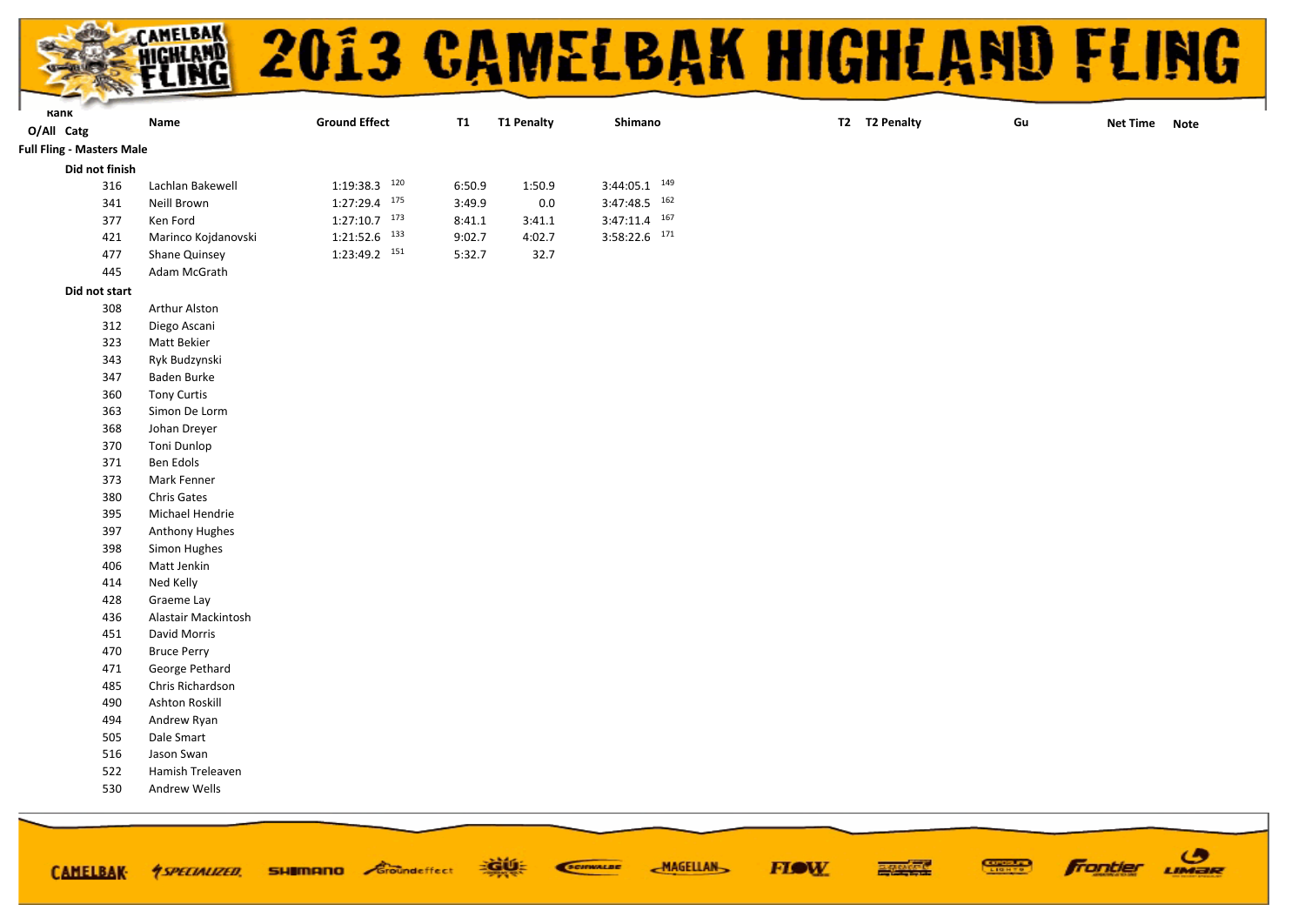|                                                |                                     |                      |           |                                   | 2013 CAMELBAK HIGHLAND FLING |    |               |
|------------------------------------------------|-------------------------------------|----------------------|-----------|-----------------------------------|------------------------------|----|---------------|
|                                                |                                     |                      |           |                                   |                              |    |               |
|                                                |                                     |                      |           |                                   |                              |    |               |
| Kank                                           | Name                                | <b>Ground Effect</b> | <b>T1</b> | <b>T1 Penalty</b><br>Shimano      | T2 T2 Penalty                | Gu | Net Time Note |
| O/All Catg<br><b>Full Fling - Masters Male</b> |                                     |                      |           |                                   |                              |    |               |
| Did not finish                                 |                                     |                      |           |                                   |                              |    |               |
| 316                                            | Lachlan Bakewell                    | 1:19:38.3 120        | 6:50.9    | $3:44:05.1$ $149$<br>1:50.9       |                              |    |               |
| 341                                            | Neill Brown                         | $1:27:29.4$ $175$    | 3:49.9    | $3:47:48.5$ <sup>162</sup><br>0.0 |                              |    |               |
| 377                                            | Ken Ford                            | $1:27:10.7$ 173      | 8:41.1    | $3:47:11.4$ 167<br>3:41.1         |                              |    |               |
| 421                                            | Marinco Kojdanovski                 | $1:21:52.6$ $133$    | 9:02.7    | $3:58:22.6$ $171$<br>4:02.7       |                              |    |               |
| 477                                            | Shane Quinsey                       | 1:23:49.2 151        | 5:32.7    | 32.7                              |                              |    |               |
| 445                                            | Adam McGrath                        |                      |           |                                   |                              |    |               |
| Did not start                                  |                                     |                      |           |                                   |                              |    |               |
| 308                                            | Arthur Alston                       |                      |           |                                   |                              |    |               |
| 312                                            | Diego Ascani                        |                      |           |                                   |                              |    |               |
| 323                                            | Matt Bekier                         |                      |           |                                   |                              |    |               |
| 343                                            | Ryk Budzynski                       |                      |           |                                   |                              |    |               |
| 347                                            | Baden Burke                         |                      |           |                                   |                              |    |               |
| 360                                            | <b>Tony Curtis</b>                  |                      |           |                                   |                              |    |               |
| 363                                            | Simon De Lorm                       |                      |           |                                   |                              |    |               |
| 368                                            | Johan Dreyer                        |                      |           |                                   |                              |    |               |
| 370                                            | Toni Dunlop                         |                      |           |                                   |                              |    |               |
| 371                                            | Ben Edols                           |                      |           |                                   |                              |    |               |
| 373                                            | Mark Fenner                         |                      |           |                                   |                              |    |               |
| 380                                            | <b>Chris Gates</b>                  |                      |           |                                   |                              |    |               |
| 395                                            | Michael Hendrie                     |                      |           |                                   |                              |    |               |
| 397                                            | <b>Anthony Hughes</b>               |                      |           |                                   |                              |    |               |
| 398                                            | Simon Hughes                        |                      |           |                                   |                              |    |               |
| 406                                            | Matt Jenkin                         |                      |           |                                   |                              |    |               |
| 414                                            | Ned Kelly                           |                      |           |                                   |                              |    |               |
| 428                                            | Graeme Lay                          |                      |           |                                   |                              |    |               |
| 436<br>451                                     | Alastair Mackintosh<br>David Morris |                      |           |                                   |                              |    |               |
| 470                                            | <b>Bruce Perry</b>                  |                      |           |                                   |                              |    |               |
| 471                                            | George Pethard                      |                      |           |                                   |                              |    |               |
| 485                                            | Chris Richardson                    |                      |           |                                   |                              |    |               |
| 490                                            | Ashton Roskill                      |                      |           |                                   |                              |    |               |
| 494                                            | Andrew Ryan                         |                      |           |                                   |                              |    |               |
| 505                                            | Dale Smart                          |                      |           |                                   |                              |    |               |
| 516                                            | Jason Swan                          |                      |           |                                   |                              |    |               |
| 522                                            | Hamish Treleaven                    |                      |           |                                   |                              |    |               |
| 530                                            | Andrew Wells                        |                      |           |                                   |                              |    |               |
|                                                |                                     |                      |           |                                   |                              |    |               |
|                                                |                                     |                      |           |                                   |                              |    |               |

**FIOW** 

**EXIMEN** 

CAMELBAK *† SPECIALIZED*, SHIIMANO Groundeffect = SALE: Commune MAGELLAN

**SEED** Frontier **UMBR**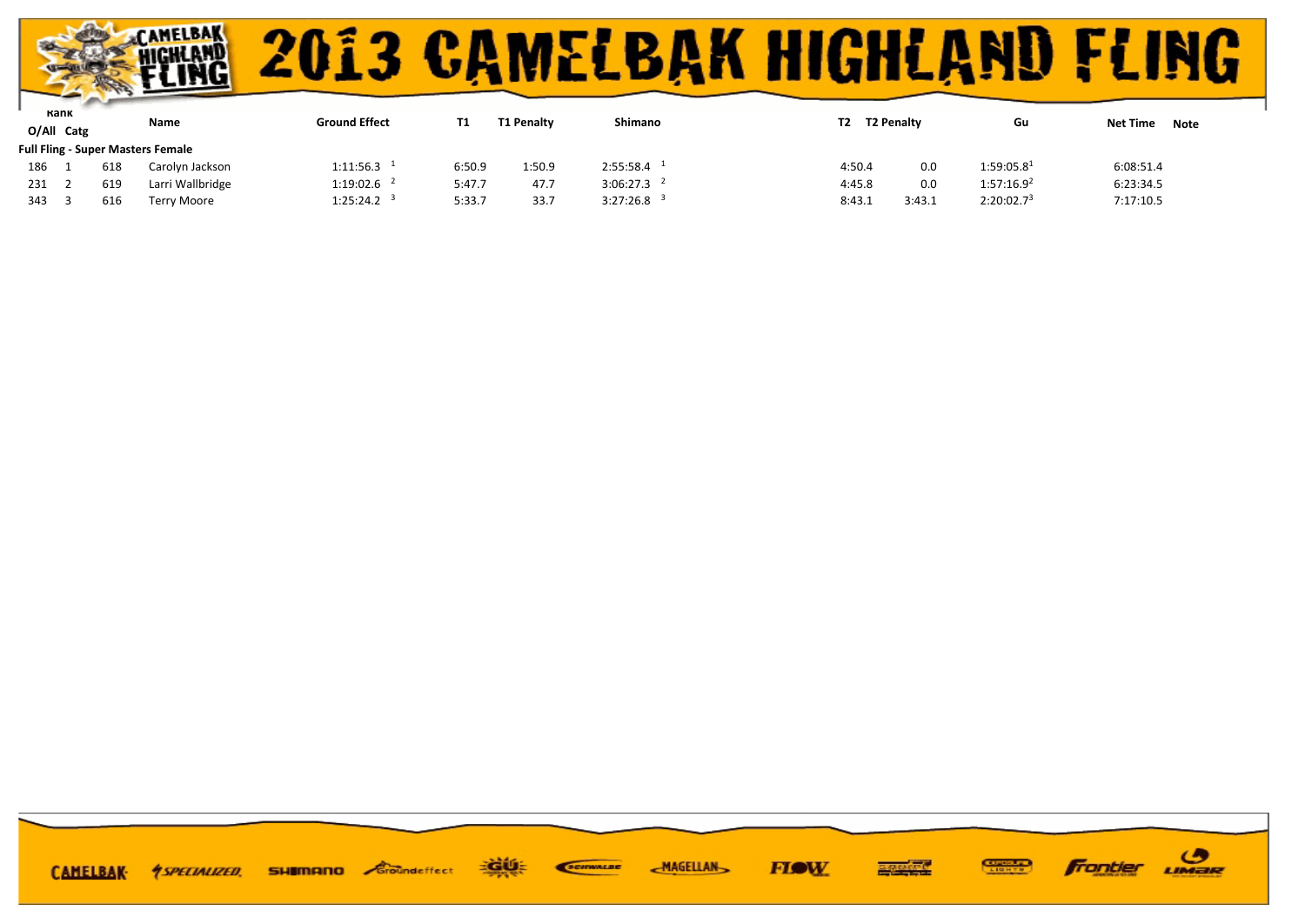

| Kank |            |     | Name                                     | <b>Ground Effect</b>     |        | <b>T1 Penalty</b> | Shimano                  |        | T2 Penalty |                        |                         |
|------|------------|-----|------------------------------------------|--------------------------|--------|-------------------|--------------------------|--------|------------|------------------------|-------------------------|
|      | O/All Catg |     |                                          |                          |        |                   |                          | Т2     |            | Gu                     | <b>Net Time</b><br>Note |
|      |            |     | <b>Full Fling - Super Masters Female</b> |                          |        |                   |                          |        |            |                        |                         |
| 186  |            | 618 | Carolyn Jackson                          | $1:11:56.3$ <sup>1</sup> | 6:50.9 | 1:50.9            | 2:55:58.4                | 4:50.4 | 0.0        | 1:59:05.8 <sup>1</sup> | 6:08:51.4               |
| 231  |            | 619 | Larri Wallbridge                         | $1:19:02.6$ <sup>2</sup> | 5:47.7 | 47.7              | $3:06:27.3$ <sup>2</sup> | 4:45.8 | 0.0        | 1:57:16.9 <sup>2</sup> | 6:23:34.5               |
| 343  |            | 616 | <b>Terry Moore</b>                       | $1:25:24.2$ <sup>3</sup> | 5:33.7 | 33.7              | $3:27:26.8$ <sup>3</sup> | 8:43.1 | 3:43.1     | 2:20:02.7 <sup>3</sup> | 7:17:10.5               |

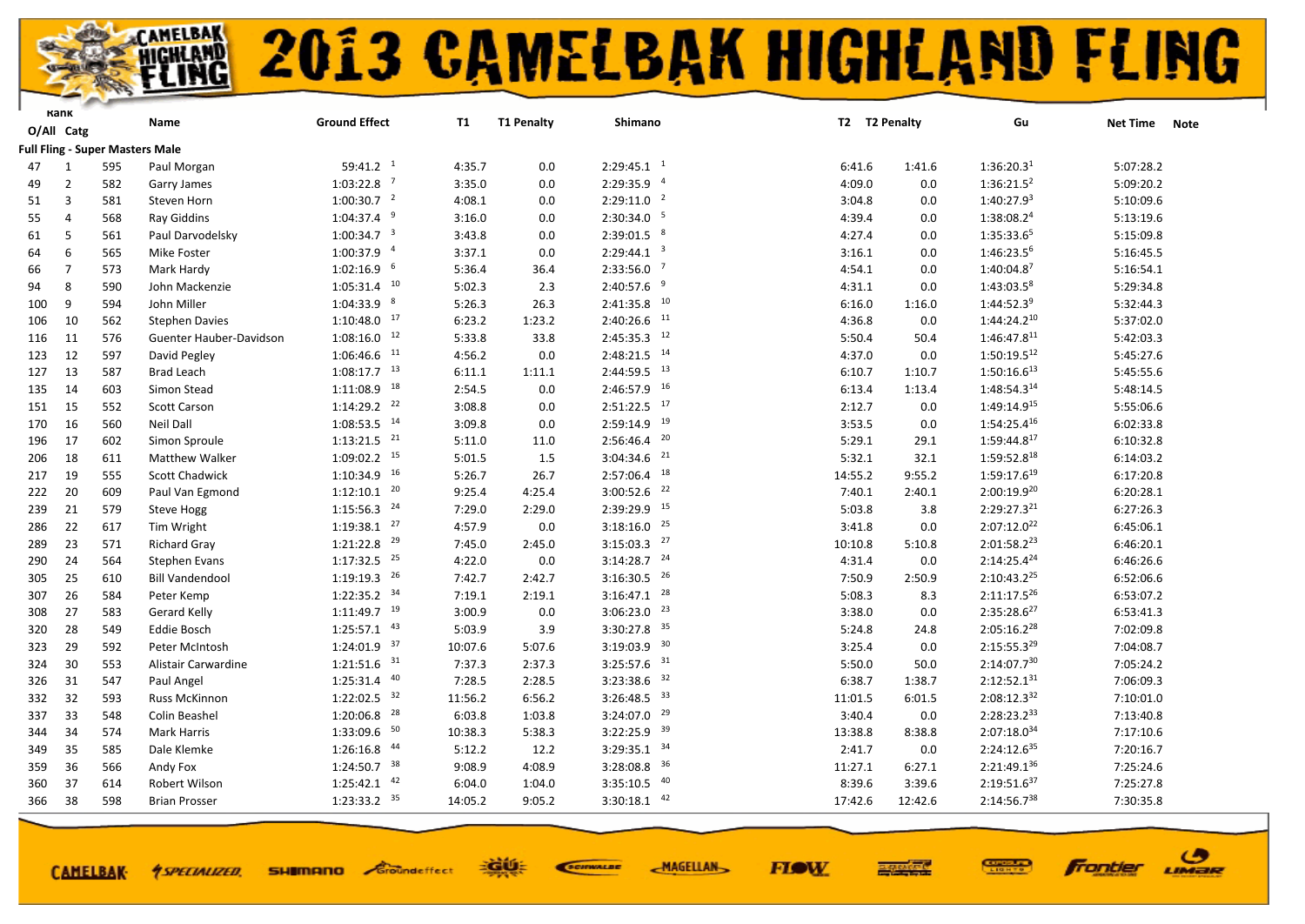

**CAMELBAK-**

*<u>ASPECIALIZED.</u>* 

## **2013 CAMELBAK HIGHLAND FLING**

**FIOW** 

ဖ

LIMER

Frantier

|     | Kank           |                                        | Name                    | <b>Ground Effect</b>      | T1      | <b>T1 Penalty</b> | Shimano                   | T2 T2 Penalty |         | Gu                     | <b>Net Time</b><br><b>Note</b> |  |
|-----|----------------|----------------------------------------|-------------------------|---------------------------|---------|-------------------|---------------------------|---------------|---------|------------------------|--------------------------------|--|
|     | O/All Catg     |                                        |                         |                           |         |                   |                           |               |         |                        |                                |  |
|     |                | <b>Full Fling - Super Masters Male</b> |                         |                           |         |                   |                           |               |         |                        |                                |  |
| 47  | 1              | 595                                    | Paul Morgan             | 59:41.2 <sup>1</sup>      | 4:35.7  | 0.0               | $2:29:45.1$ <sup>1</sup>  | 6:41.6        | 1:41.6  | 1:36:20.3 <sup>1</sup> | 5:07:28.2                      |  |
| 49  | $\overline{2}$ | 582                                    | Garry James             | $1:03:22.8$ <sup>7</sup>  | 3:35.0  | 0.0               | 2:29:35.9 4               | 4:09.0        | 0.0     | 1:36:21.5 <sup>2</sup> | 5:09:20.2                      |  |
| 51  | $\overline{3}$ | 581                                    | Steven Horn             | $1:00:30.7$ <sup>2</sup>  | 4:08.1  | 0.0               | $2:29:11.0$ <sup>2</sup>  | 3:04.8        | 0.0     | 1:40:27.9 <sup>3</sup> | 5:10:09.6                      |  |
| 55  | $\Delta$       | 568                                    | <b>Ray Giddins</b>      | $1:04:37.4$ <sup>9</sup>  | 3:16.0  | 0.0               | $2:30:34.0$ <sup>5</sup>  | 4:39.4        | 0.0     | 1:38:08.24             | 5:13:19.6                      |  |
| 61  | 5              | 561                                    | Paul Darvodelsky        | $1:00:34.7$ <sup>3</sup>  | 3:43.8  | 0.0               | $2:39:01.5$ 8             | 4:27.4        | 0.0     | 1:35:33.65             | 5:15:09.8                      |  |
| 64  | 6              | 565                                    | Mike Foster             | $1:00:37.9$ <sup>4</sup>  | 3:37.1  | 0.0               | $2:29:44.1$ <sup>3</sup>  | 3:16.1        | 0.0     | 1:46:23.56             | 5:16:45.5                      |  |
| 66  | $\overline{7}$ | 573                                    | Mark Hardy              | $1:02:16.9$ <sup>6</sup>  | 5:36.4  | 36.4              | $2:33:56.0$ <sup>7</sup>  | 4:54.1        | 0.0     | 1:40:04.87             | 5:16:54.1                      |  |
| 94  | 8              | 590                                    | John Mackenzie          | $1:05:31.4$ <sup>10</sup> | 5:02.3  | 2.3               | $2:40:57.6$ <sup>9</sup>  | 4:31.1        | 0.0     | 1:43:03.58             | 5:29:34.8                      |  |
| 100 | 9              | 594                                    | John Miller             | $1:04:33.9$ $8$           | 5:26.3  | 26.3              | $2:41:35.8$ <sup>10</sup> | 6:16.0        | 1:16.0  | $1:44:52.3^9$          | 5:32:44.3                      |  |
| 106 | 10             | 562                                    | <b>Stephen Davies</b>   | $1:10:48.0$ $17$          | 6:23.2  | 1:23.2            | $2:40:26.6$ <sup>11</sup> | 4:36.8        | 0.0     | $1:44:24.2^{10}$       | 5:37:02.0                      |  |
| 116 | 11             | 576                                    | Guenter Hauber-Davidson | $1:08:16.0$ <sup>12</sup> | 5:33.8  | 33.8              | $2:45:35.3$ <sup>12</sup> | 5:50.4        | 50.4    | 1:46:47.811            | 5:42:03.3                      |  |
| 123 | 12             | 597                                    | David Pegley            | $1:06:46.6$ <sup>11</sup> | 4:56.2  | 0.0               | $2:48:21.5$ <sup>14</sup> | 4:37.0        | 0.0     | $1:50:19.5^{12}$       | 5:45:27.6                      |  |
| 127 | 13             | 587                                    | <b>Brad Leach</b>       | $1:08:17.7$ <sup>13</sup> | 6:11.1  | 1:11.1            | $2:44:59.5$ $13$          | 6:10.7        | 1:10.7  | $1:50:16.6^{13}$       | 5:45:55.6                      |  |
| 135 | 14             | 603                                    | Simon Stead             | $1:11:08.9$ <sup>18</sup> | 2:54.5  | 0.0               | $2:46:57.9$ <sup>16</sup> | 6:13.4        | 1:13.4  | 1:48:54.314            | 5:48:14.5                      |  |
| 151 | 15             | 552                                    | Scott Carson            | $1:14:29.2$ <sup>22</sup> | 3:08.8  | 0.0               | $2:51:22.5$ 17            | 2:12.7        | 0.0     | 1:49:14.915            | 5:55:06.6                      |  |
| 170 | 16             | 560                                    | <b>Neil Dall</b>        | $1:08:53.5$ <sup>14</sup> | 3:09.8  | 0.0               | $2:59:14.9$ <sup>19</sup> | 3:53.5        | 0.0     | $1:54:25.4^{16}$       | 6:02:33.8                      |  |
| 196 | 17             | 602                                    | Simon Sproule           | $1:13:21.5$ <sup>21</sup> | 5:11.0  | 11.0              | $2:56:46.4$ <sup>20</sup> | 5:29.1        | 29.1    | 1:59:44.817            | 6:10:32.8                      |  |
| 206 | 18             | 611                                    | <b>Matthew Walker</b>   | $1:09:02.2$ <sup>15</sup> | 5:01.5  | 1.5               | $3:04:34.6$ <sup>21</sup> | 5:32.1        | 32.1    | $1:59:52.8^{18}$       | 6:14:03.2                      |  |
| 217 | 19             | 555                                    | <b>Scott Chadwick</b>   | $1:10:34.9$ <sup>16</sup> | 5:26.7  | 26.7              | $2:57:06.4$ 18            | 14:55.2       | 9:55.2  | 1:59:17.619            | 6:17:20.8                      |  |
| 222 | 20             | 609                                    | Paul Van Egmond         | $1:12:10.1$ <sup>20</sup> | 9:25.4  | 4:25.4            | $3:00:52.6$ <sup>22</sup> | 7:40.1        | 2:40.1  | 2:00:19.920            | 6:20:28.1                      |  |
| 239 | 21             | 579                                    | <b>Steve Hogg</b>       | $1:15:56.3$ $^{24}$       | 7:29.0  | 2:29.0            | 2:39:29.9 15              | 5:03.8        | 3.8     | 2:29:27.321            | 6:27:26.3                      |  |
| 286 | 22             | 617                                    | Tim Wright              | $1:19:38.1$ $27$          | 4:57.9  | 0.0               | $3:18:16.0$ <sup>25</sup> | 3:41.8        | 0.0     | $2:07:12.0^{22}$       | 6:45:06.1                      |  |
| 289 | 23             | 571                                    | <b>Richard Gray</b>     | $1:21:22.8$ $29$          | 7:45.0  | 2:45.0            | $3:15:03.3$ $27$          | 10:10.8       | 5:10.8  | $2:01:58.2^{23}$       | 6:46:20.1                      |  |
| 290 | 24             | 564                                    | <b>Stephen Evans</b>    | $1:17:32.5$ <sup>25</sup> | 4:22.0  | 0.0               | $3:14:28.7$ <sup>24</sup> | 4:31.4        | 0.0     | $2:14:25.4^{24}$       | 6:46:26.6                      |  |
| 305 | 25             | 610                                    | <b>Bill Vandendool</b>  | $1:19:19.3$ $26$          | 7:42.7  | 2:42.7            | $3:16:30.5$ <sup>26</sup> | 7:50.9        | 2:50.9  | $2:10:43.2^{25}$       | 6:52:06.6                      |  |
| 307 | 26             | 584                                    | Peter Kemp              | $1:22:35.2$ <sup>34</sup> | 7:19.1  | 2:19.1            | $3:16:47.1$ $28$          | 5:08.3        | 8.3     | $2:11:17.5^{26}$       | 6:53:07.2                      |  |
| 308 | 27             | 583                                    | <b>Gerard Kelly</b>     | $1:11:49.7$ <sup>19</sup> | 3:00.9  | 0.0               | $3:06:23.0$ $23$          | 3:38.0        | 0.0     | $2:35:28.6^{27}$       | 6:53:41.3                      |  |
| 320 | 28             | 549                                    | <b>Eddie Bosch</b>      | $1:25:57.1$ $43$          | 5:03.9  | 3.9               | $3:30:27.8$ 35            | 5:24.8        | 24.8    | $2:05:16.2^{28}$       | 7:02:09.8                      |  |
| 323 | 29             | 592                                    | Peter McIntosh          | $1:24:01.9$ 37            | 10:07.6 | 5:07.6            | $3:19:03.9$ <sup>30</sup> | 3:25.4        | 0.0     | $2:15:55.3^{29}$       | 7:04:08.7                      |  |
| 324 | 30             | 553                                    | Alistair Carwardine     | $1:21:51.6$ <sup>31</sup> | 7:37.3  | 2:37.3            | $3:25:57.6$ 31            | 5:50.0        | 50.0    | $2:14:07.7^{30}$       | 7:05:24.2                      |  |
| 326 | 31             | 547                                    | Paul Angel              | $1:25:31.4$ $40$          | 7:28.5  | 2:28.5            | 32<br>3:23:38.6           | 6:38.7        | 1:38.7  | $2:12:52.1^{31}$       | 7:06:09.3                      |  |
| 332 | 32             | 593                                    | Russ McKinnon           | $1:22:02.5$ 32            | 11:56.2 | 6:56.2            | $3:26:48.5$ 33            | 11:01.5       | 6:01.5  | 2:08:12.332            | 7:10:01.0                      |  |
| 337 | 33             | 548                                    | Colin Beashel           | $1:20:06.8$ <sup>28</sup> | 6:03.8  | 1:03.8            | $3:24:07.0$ <sup>29</sup> | 3:40.4        | 0.0     | $2:28:23.2^{33}$       | 7:13:40.8                      |  |
| 344 | 34             | 574                                    | Mark Harris             | 1:33:09.6 50              | 10:38.3 | 5:38.3            | $3:22:25.9$ 39            | 13:38.8       | 8:38.8  | 2:07:18.034            | 7:17:10.6                      |  |
| 349 | 35             | 585                                    | Dale Klemke             | $1:26:16.8$ $44$          | 5:12.2  | 12.2              | $3:29:35.1$ $34$          | 2:41.7        | 0.0     | $2:24:12.6^{35}$       | 7:20:16.7                      |  |
| 359 | 36             | 566                                    | Andy Fox                | $1:24:50.7$ 38            | 9:08.9  | 4:08.9            | $3:28:08.8$ 36            | 11:27.1       | 6:27.1  | 2:21:49.136            | 7:25:24.6                      |  |
| 360 | 37             | 614                                    | Robert Wilson           | 42<br>1:25:42.1           | 6:04.0  | 1:04.0            | 40<br>3:35:10.5           | 8:39.6        | 3:39.6  | $2:19:51.6^{37}$       | 7:25:27.8                      |  |
| 366 | 38             | 598                                    | <b>Brian Prosser</b>    | $1:23:33.2$ 35            | 14:05.2 | 9:05.2            | $3:30:18.1$ $42$          | 17:42.6       | 12:42.6 | 2:14:56.738            | 7:30:35.8                      |  |
|     |                |                                        |                         |                           |         |                   |                           |               |         |                        |                                |  |

EGUE

**SHIMANO** Groundeffect

SCIENALDE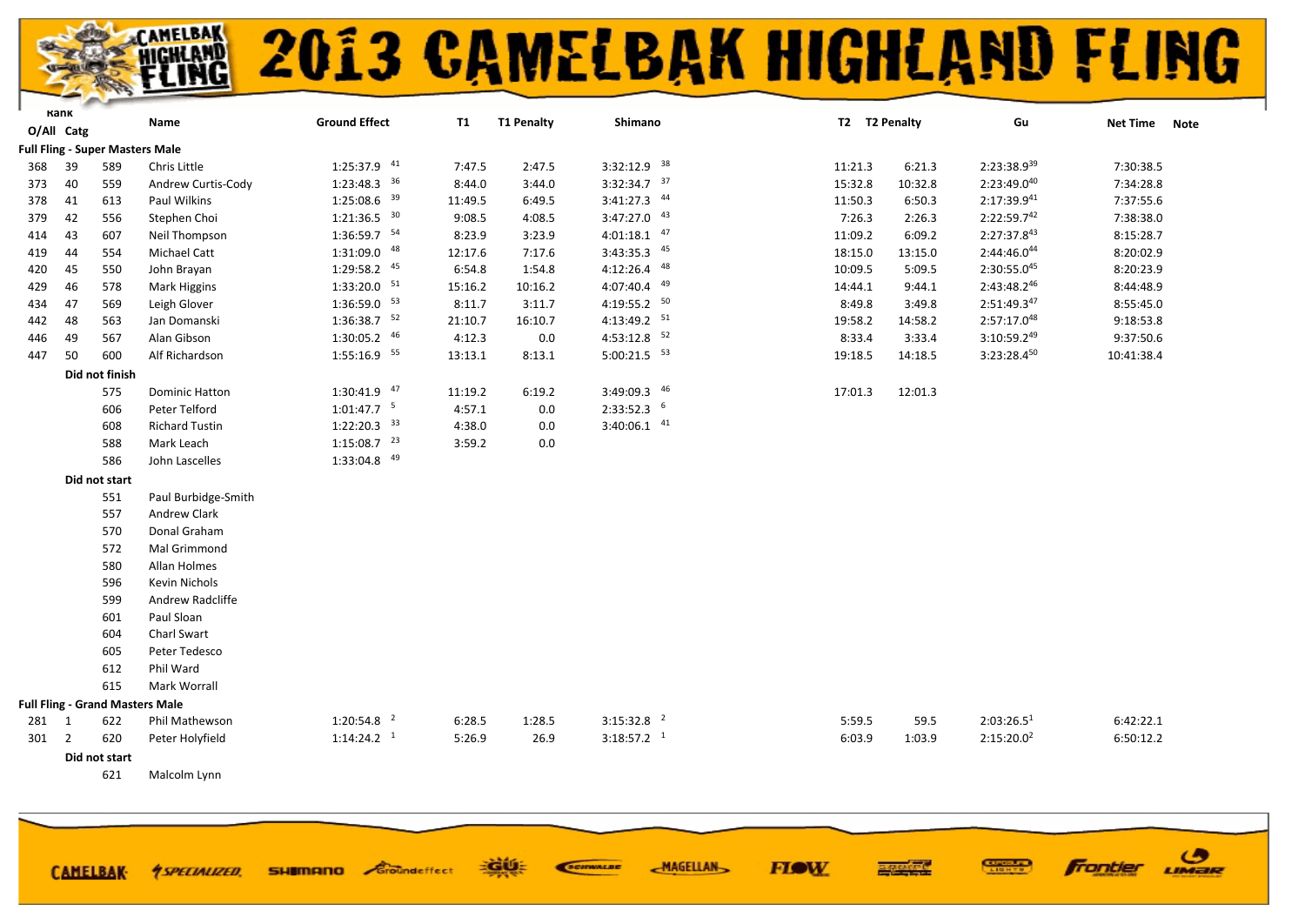#### AMELBAK<br>IGHLAMD<br>F**LIMG 2013 CAMELBAK HIGHLAND FLING**

|            | Karık          |                | Name                                   | <b>Ground Effect</b>      | <b>T1</b> | <b>T1 Penalty</b> | Shimano                   | T2 T2 Penalty |         | Gu                     | <b>Net Time</b> |             |
|------------|----------------|----------------|----------------------------------------|---------------------------|-----------|-------------------|---------------------------|---------------|---------|------------------------|-----------------|-------------|
| O/All Catg |                |                |                                        |                           |           |                   |                           |               |         |                        |                 | <b>Note</b> |
|            |                |                | <b>Full Fling - Super Masters Male</b> |                           |           |                   |                           |               |         |                        |                 |             |
| 368        | 39             | 589            | Chris Little                           | 1:25:37.9 41              | 7:47.5    | 2:47.5            | $3:32:12.9$ 38            | 11:21.3       | 6:21.3  | $2:23:38.9^{39}$       | 7:30:38.5       |             |
| 373        | 40             | 559            | Andrew Curtis-Cody                     | $1:23:48.3$ 36            | 8:44.0    | 3:44.0            | $3:32:34.7$ 37            | 15:32.8       | 10:32.8 | 2:23:49.040            | 7:34:28.8       |             |
| 378        | 41             | 613            | Paul Wilkins                           | $1:25:08.6$ <sup>39</sup> | 11:49.5   | 6:49.5            | $3:41:27.3$ $44$          | 11:50.3       | 6:50.3  | $2:17:39.9^{41}$       | 7:37:55.6       |             |
| 379        | 42             | 556            | Stephen Choi                           | $1:21:36.5$ 30            | 9:08.5    | 4:08.5            | $3:47:27.0$ $43$          | 7:26.3        | 2:26.3  | $2:22:59.7^{42}$       | 7:38:38.0       |             |
| 414        | 43             | 607            | Neil Thompson                          | $1:36:59.7$ <sup>54</sup> | 8:23.9    | 3:23.9            | $4:01:18.1$ $47$          | 11:09.2       | 6:09.2  | $2:27:37.8^{43}$       | 8:15:28.7       |             |
| 419        | 44             | 554            | Michael Catt                           | 1:31:09.0 48              | 12:17.6   | 7:17.6            | 3:43:35.3 45              | 18:15.0       | 13:15.0 | 2:44:46.044            | 8:20:02.9       |             |
| 420        | 45             | 550            | John Brayan                            | $1:29:58.2$ <sup>45</sup> | 6:54.8    | 1:54.8            | $4:12:26.4$ $48$          | 10:09.5       | 5:09.5  | 2:30:55.045            | 8:20:23.9       |             |
| 429        | 46             | 578            | <b>Mark Higgins</b>                    | $1:33:20.0$ <sup>51</sup> | 15:16.2   | 10:16.2           | 4:07:40.4 49              | 14:44.1       | 9:44.1  | 2:43:48.246            | 8:44:48.9       |             |
| 434        | 47             | 569            | Leigh Glover                           | $1:36:59.0$ <sup>53</sup> | 8:11.7    | 3:11.7            | 4:19:55.2 50              | 8:49.8        | 3:49.8  | $2:51:49.3^{47}$       | 8:55:45.0       |             |
| 442        | 48             | 563            | Jan Domanski                           | $1:36:38.7$ <sup>52</sup> | 21:10.7   | 16:10.7           | 4:13:49.2 51              | 19:58.2       | 14:58.2 | $2:57:17.0^{48}$       | 9:18:53.8       |             |
| 446        | 49             | 567            | Alan Gibson                            | $1:30:05.2$ $46$          | 4:12.3    | 0.0               | $4:53:12.8$ <sup>52</sup> | 8:33.4        | 3:33.4  | $3:10:59.2^{49}$       | 9:37:50.6       |             |
| 447        | 50             | 600            | Alf Richardson                         | 1:55:16.9 55              | 13:13.1   | 8:13.1            | $5:00:21.5$ <sup>53</sup> | 19:18.5       | 14:18.5 | $3:23:28.4^{50}$       | 10:41:38.4      |             |
|            |                | Did not finish |                                        |                           |           |                   |                           |               |         |                        |                 |             |
|            |                | 575            | <b>Dominic Hatton</b>                  | $1:30:41.9$ $47$          | 11:19.2   | 6:19.2            | 3:49:09.3 46              | 17:01.3       | 12:01.3 |                        |                 |             |
|            |                | 606            | Peter Telford                          | $1:01:47.7$ <sup>5</sup>  | 4:57.1    | 0.0               | $2:33:52.3$ 6             |               |         |                        |                 |             |
|            |                | 608            | <b>Richard Tustin</b>                  | $1:22:20.3$ $33$          | 4:38.0    | 0.0               | $3:40:06.1$ $41$          |               |         |                        |                 |             |
|            |                | 588            | Mark Leach                             | $1:15:08.7$ <sup>23</sup> | 3:59.2    | 0.0               |                           |               |         |                        |                 |             |
|            |                | 586            | John Lascelles                         | $1:33:04.8$ <sup>49</sup> |           |                   |                           |               |         |                        |                 |             |
|            |                | Did not start  |                                        |                           |           |                   |                           |               |         |                        |                 |             |
|            |                | 551            | Paul Burbidge-Smith                    |                           |           |                   |                           |               |         |                        |                 |             |
|            |                | 557            | Andrew Clark                           |                           |           |                   |                           |               |         |                        |                 |             |
|            |                | 570            | Donal Graham                           |                           |           |                   |                           |               |         |                        |                 |             |
|            |                | 572            | Mal Grimmond                           |                           |           |                   |                           |               |         |                        |                 |             |
|            |                | 580            | Allan Holmes                           |                           |           |                   |                           |               |         |                        |                 |             |
|            |                | 596            | <b>Kevin Nichols</b>                   |                           |           |                   |                           |               |         |                        |                 |             |
|            |                | 599            | Andrew Radcliffe                       |                           |           |                   |                           |               |         |                        |                 |             |
|            |                | 601            | Paul Sloan                             |                           |           |                   |                           |               |         |                        |                 |             |
|            |                | 604            | Charl Swart                            |                           |           |                   |                           |               |         |                        |                 |             |
|            |                | 605            | Peter Tedesco                          |                           |           |                   |                           |               |         |                        |                 |             |
|            |                | 612            | Phil Ward                              |                           |           |                   |                           |               |         |                        |                 |             |
|            |                | 615            | Mark Worrall                           |                           |           |                   |                           |               |         |                        |                 |             |
|            |                |                | <b>Full Fling - Grand Masters Male</b> |                           |           |                   |                           |               |         |                        |                 |             |
| 281        | $\mathbf{1}$   | 622            | Phil Mathewson                         | $1:20:54.8$ <sup>2</sup>  | 6:28.5    | 1:28.5            | $3:15:32.8$ <sup>2</sup>  | 5:59.5        | 59.5    | 2:03:26.5 <sup>1</sup> | 6:42:22.1       |             |
| 301        | $\overline{2}$ | 620            | Peter Holyfield                        | $1:14:24.2$ <sup>1</sup>  | 5:26.9    | 26.9              | $3:18:57.2$ <sup>1</sup>  | 6:03.9        | 1:03.9  | 2:15:20.0 <sup>2</sup> | 6:50:12.2       |             |
|            |                | Did not start  |                                        |                           |           |                   |                           |               |         |                        |                 |             |
|            |                | 621            | Malcolm Lynn                           |                           |           |                   |                           |               |         |                        |                 |             |

∃àú⊧

**SHIMANO** Sroundeffect

**CAMELBAK-**

*<u>ASPECIALIZED.</u>* 

SCIENALDE

**MAGELLAN** 

**FIGW** 

ි

LIMER

**Frontier**